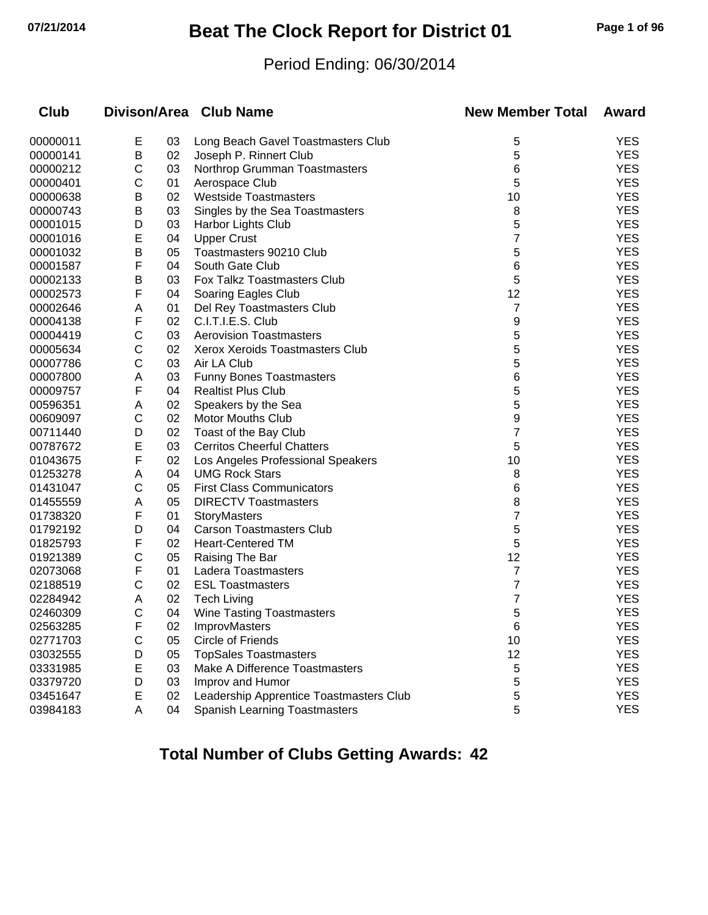## **07/21/2014 Beat The Clock Report for District 01 Page 1 of 96**

## Period Ending: 06/30/2014

| <b>Club</b> |   |    | Divison/Area Club Name                  | <b>New Member Total</b> | Award      |
|-------------|---|----|-----------------------------------------|-------------------------|------------|
| 00000011    | E | 03 | Long Beach Gavel Toastmasters Club      | 5                       | <b>YES</b> |
| 00000141    | В | 02 | Joseph P. Rinnert Club                  | 5                       | <b>YES</b> |
| 00000212    | С | 03 | Northrop Grumman Toastmasters           | 6                       | <b>YES</b> |
| 00000401    | С | 01 | Aerospace Club                          | 5                       | <b>YES</b> |
| 00000638    | В | 02 | <b>Westside Toastmasters</b>            | 10                      | <b>YES</b> |
| 00000743    | В | 03 | Singles by the Sea Toastmasters         | 8                       | <b>YES</b> |
| 00001015    | D | 03 | Harbor Lights Club                      | 5                       | <b>YES</b> |
| 00001016    | Е | 04 | <b>Upper Crust</b>                      | 7                       | <b>YES</b> |
| 00001032    | В | 05 | Toastmasters 90210 Club                 | 5                       | <b>YES</b> |
| 00001587    | F | 04 | South Gate Club                         | 6                       | <b>YES</b> |
| 00002133    | В | 03 | Fox Talkz Toastmasters Club             | 5                       | <b>YES</b> |
| 00002573    | F | 04 | Soaring Eagles Club                     | 12                      | <b>YES</b> |
| 00002646    | Α | 01 | Del Rey Toastmasters Club               | 7                       | <b>YES</b> |
| 00004138    | F | 02 | C.I.T.I.E.S. Club                       | 9                       | <b>YES</b> |
| 00004419    | С | 03 | <b>Aerovision Toastmasters</b>          | 5                       | <b>YES</b> |
| 00005634    | С | 02 | Xerox Xeroids Toastmasters Club         | 5                       | <b>YES</b> |
| 00007786    | C | 03 | Air LA Club                             | 5                       | <b>YES</b> |
| 00007800    | Α | 03 | <b>Funny Bones Toastmasters</b>         | 6                       | <b>YES</b> |
| 00009757    | F | 04 | <b>Realtist Plus Club</b>               | 5                       | <b>YES</b> |
| 00596351    | Α | 02 | Speakers by the Sea                     | 5                       | <b>YES</b> |
| 00609097    | С | 02 | <b>Motor Mouths Club</b>                | 9                       | <b>YES</b> |
| 00711440    | D | 02 | Toast of the Bay Club                   | 7                       | <b>YES</b> |
| 00787672    | E | 03 | <b>Cerritos Cheerful Chatters</b>       | 5                       | <b>YES</b> |
| 01043675    | F | 02 | Los Angeles Professional Speakers       | 10                      | <b>YES</b> |
| 01253278    | Α | 04 | <b>UMG Rock Stars</b>                   | 8                       | <b>YES</b> |
| 01431047    | С | 05 | <b>First Class Communicators</b>        | 6                       | <b>YES</b> |
| 01455559    | A | 05 | <b>DIRECTV Toastmasters</b>             | 8                       | <b>YES</b> |
| 01738320    | F | 01 | StoryMasters                            | 7                       | <b>YES</b> |
| 01792192    | D | 04 | <b>Carson Toastmasters Club</b>         | 5                       | <b>YES</b> |
| 01825793    | F | 02 | <b>Heart-Centered TM</b>                | 5                       | <b>YES</b> |
| 01921389    | C | 05 | Raising The Bar                         | 12                      | <b>YES</b> |
| 02073068    | F | 01 | Ladera Toastmasters                     | 7                       | <b>YES</b> |
| 02188519    | C | 02 | <b>ESL Toastmasters</b>                 | 7                       | <b>YES</b> |
| 02284942    | A | 02 | <b>Tech Living</b>                      | 7                       | <b>YES</b> |
| 02460309    | С | 04 | <b>Wine Tasting Toastmasters</b>        | 5                       | <b>YES</b> |
| 02563285    | ۲ | 02 | <b>ImprovMasters</b>                    | 6                       | <b>YES</b> |
| 02771703    | C | 05 | Circle of Friends                       | 10                      | <b>YES</b> |
| 03032555    | D | 05 | <b>TopSales Toastmasters</b>            | 12                      | <b>YES</b> |
| 03331985    | E | 03 | Make A Difference Toastmasters          | 5                       | <b>YES</b> |
| 03379720    | D | 03 | Improv and Humor                        | 5                       | <b>YES</b> |
| 03451647    | E | 02 | Leadership Apprentice Toastmasters Club | 5                       | <b>YES</b> |
| 03984183    | A | 04 | <b>Spanish Learning Toastmasters</b>    | 5                       | <b>YES</b> |
|             |   |    |                                         |                         |            |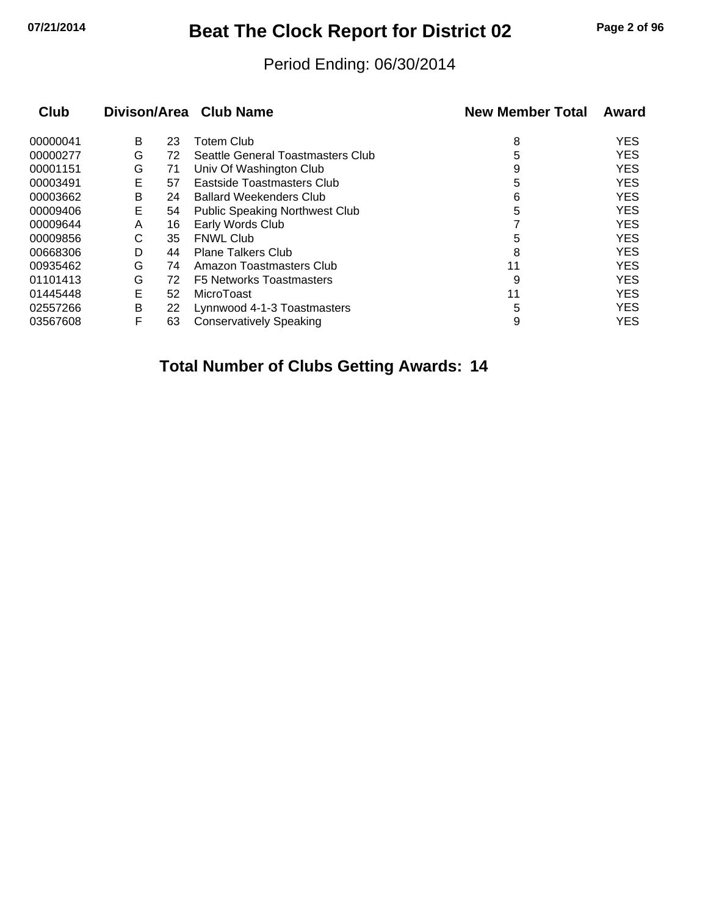## **07/21/2014 Beat The Clock Report for District 02 Page 2 of 96**

## Period Ending: 06/30/2014

| <b>Club</b> |   |    | Divison/Area Club Name                | <b>New Member Total</b> | Award      |
|-------------|---|----|---------------------------------------|-------------------------|------------|
| 00000041    | В | 23 | <b>Totem Club</b>                     | 8                       | <b>YES</b> |
| 00000277    | G | 72 | Seattle General Toastmasters Club     | 5                       | <b>YES</b> |
| 00001151    | G | 71 | Univ Of Washington Club               | 9                       | <b>YES</b> |
| 00003491    | E | 57 | Eastside Toastmasters Club            | 5                       | <b>YES</b> |
| 00003662    | Β | 24 | <b>Ballard Weekenders Club</b>        | 6                       | <b>YES</b> |
| 00009406    | Е | 54 | <b>Public Speaking Northwest Club</b> | 5                       | <b>YES</b> |
| 00009644    | A | 16 | Early Words Club                      |                         | <b>YES</b> |
| 00009856    | С | 35 | <b>FNWL Club</b>                      | 5                       | <b>YES</b> |
| 00668306    | D | 44 | <b>Plane Talkers Club</b>             | 8                       | <b>YES</b> |
| 00935462    | G | 74 | Amazon Toastmasters Club              | 11                      | <b>YES</b> |
| 01101413    | G | 72 | <b>F5 Networks Toastmasters</b>       | 9                       | <b>YES</b> |
| 01445448    | E | 52 | MicroToast                            | 11                      | <b>YES</b> |
| 02557266    | В | 22 | Lynnwood 4-1-3 Toastmasters           | 5                       | <b>YES</b> |
| 03567608    | F | 63 | <b>Conservatively Speaking</b>        | 9                       | <b>YES</b> |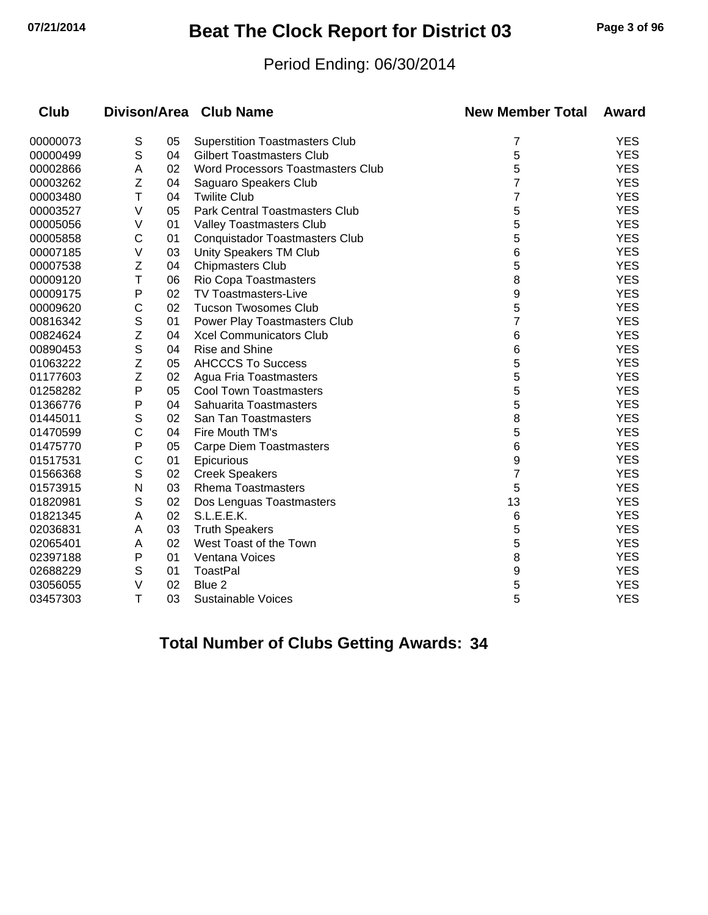## **07/21/2014 Beat The Clock Report for District 03 Page 3 of 96**

## Period Ending: 06/30/2014

| <b>Club</b> |             |    | Divison/Area Club Name                   | <b>New Member Total</b> | Award      |
|-------------|-------------|----|------------------------------------------|-------------------------|------------|
| 00000073    | S           | 05 | <b>Superstition Toastmasters Club</b>    | 7                       | <b>YES</b> |
| 00000499    | $\mathsf S$ | 04 | <b>Gilbert Toastmasters Club</b>         | 5                       | <b>YES</b> |
| 00002866    | Α           | 02 | <b>Word Processors Toastmasters Club</b> | 5                       | <b>YES</b> |
| 00003262    | Ζ           | 04 | Saguaro Speakers Club                    | 7                       | <b>YES</b> |
| 00003480    | T           | 04 | <b>Twilite Club</b>                      | 7                       | <b>YES</b> |
| 00003527    | V           | 05 | Park Central Toastmasters Club           | 5                       | <b>YES</b> |
| 00005056    | V           | 01 | Valley Toastmasters Club                 | 5                       | <b>YES</b> |
| 00005858    | C           | 01 | <b>Conquistador Toastmasters Club</b>    | 5                       | <b>YES</b> |
| 00007185    | V           | 03 | Unity Speakers TM Club                   | 6                       | <b>YES</b> |
| 00007538    | Z           | 04 | <b>Chipmasters Club</b>                  | 5                       | <b>YES</b> |
| 00009120    | Τ           | 06 | Rio Copa Toastmasters                    | 8                       | <b>YES</b> |
| 00009175    | P           | 02 | TV Toastmasters-Live                     | 9                       | <b>YES</b> |
| 00009620    | C           | 02 | <b>Tucson Twosomes Club</b>              | 5                       | <b>YES</b> |
| 00816342    | $\mathbb S$ | 01 | Power Play Toastmasters Club             | 7                       | <b>YES</b> |
| 00824624    | Z           | 04 | <b>Xcel Communicators Club</b>           | 6                       | <b>YES</b> |
| 00890453    | $\mathsf S$ | 04 | Rise and Shine                           | 6                       | <b>YES</b> |
| 01063222    | Z           | 05 | <b>AHCCCS To Success</b>                 | 5                       | <b>YES</b> |
| 01177603    | Z           | 02 | Agua Fria Toastmasters                   | 5                       | <b>YES</b> |
| 01258282    | P           | 05 | <b>Cool Town Toastmasters</b>            | 5                       | <b>YES</b> |
| 01366776    | P           | 04 | Sahuarita Toastmasters                   | 5                       | <b>YES</b> |
| 01445011    | $\mathbb S$ | 02 | San Tan Toastmasters                     | 8                       | <b>YES</b> |
| 01470599    | C           | 04 | Fire Mouth TM's                          | 5                       | <b>YES</b> |
| 01475770    | P           | 05 | <b>Carpe Diem Toastmasters</b>           | 6                       | <b>YES</b> |
| 01517531    | C           | 01 | Epicurious                               | 9                       | <b>YES</b> |
| 01566368    | $\mathbb S$ | 02 | <b>Creek Speakers</b>                    | 7                       | <b>YES</b> |
| 01573915    | N           | 03 | <b>Rhema Toastmasters</b>                | 5                       | <b>YES</b> |
| 01820981    | S           | 02 | Dos Lenguas Toastmasters                 | 13                      | <b>YES</b> |
| 01821345    | A           | 02 | S.L.E.E.K.                               | 6                       | <b>YES</b> |
| 02036831    | Α           | 03 | <b>Truth Speakers</b>                    | 5                       | <b>YES</b> |
| 02065401    | A           | 02 | West Toast of the Town                   | 5                       | <b>YES</b> |
| 02397188    | P           | 01 | Ventana Voices                           | 8                       | <b>YES</b> |
| 02688229    | $\mathbb S$ | 01 | <b>ToastPal</b>                          | 9                       | <b>YES</b> |
| 03056055    | V           | 02 | Blue 2                                   | 5                       | <b>YES</b> |
| 03457303    | T           | 03 | <b>Sustainable Voices</b>                | 5                       | <b>YES</b> |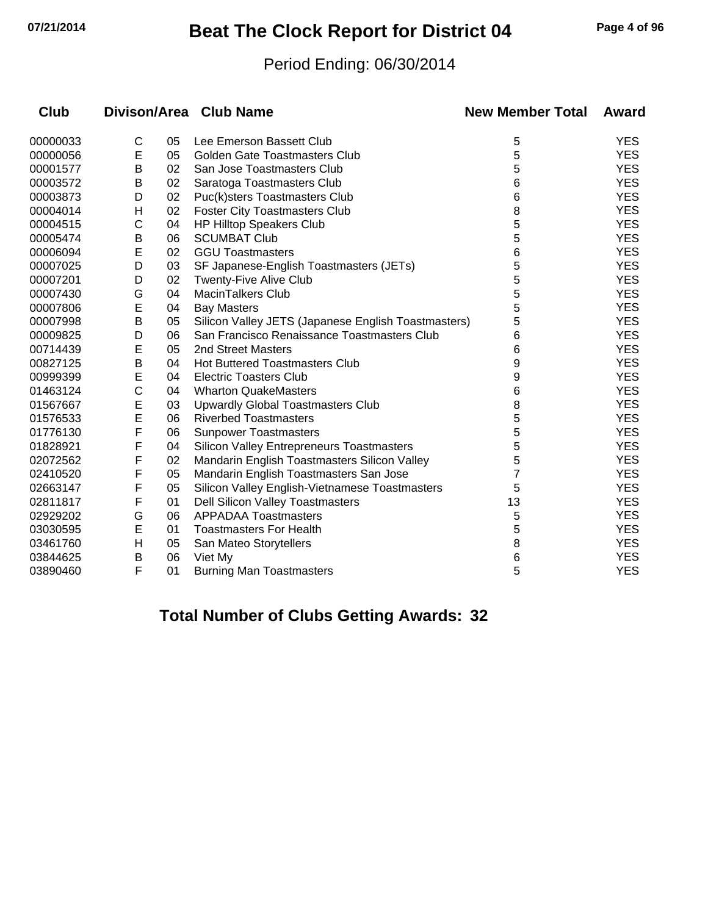## **07/21/2014 Beat The Clock Report for District 04 Page 4 of 96**

## Period Ending: 06/30/2014

| <b>Club</b> |   |    | Divison/Area Club Name                              | <b>New Member Total</b> | Award      |
|-------------|---|----|-----------------------------------------------------|-------------------------|------------|
| 00000033    | С | 05 | Lee Emerson Bassett Club                            | 5                       | <b>YES</b> |
| 00000056    | E | 05 | <b>Golden Gate Toastmasters Club</b>                | 5                       | <b>YES</b> |
| 00001577    | Β | 02 | San Jose Toastmasters Club                          | 5                       | <b>YES</b> |
| 00003572    | Β | 02 | Saratoga Toastmasters Club                          | 6                       | <b>YES</b> |
| 00003873    | D | 02 | Puc(k)sters Toastmasters Club                       | 6                       | <b>YES</b> |
| 00004014    | н | 02 | <b>Foster City Toastmasters Club</b>                | 8                       | <b>YES</b> |
| 00004515    | C | 04 | <b>HP Hilltop Speakers Club</b>                     | 5                       | <b>YES</b> |
| 00005474    | B | 06 | <b>SCUMBAT Club</b>                                 | 5                       | <b>YES</b> |
| 00006094    | E | 02 | <b>GGU Toastmasters</b>                             | 6                       | <b>YES</b> |
| 00007025    | D | 03 | SF Japanese-English Toastmasters (JETs)             | 5                       | <b>YES</b> |
| 00007201    | D | 02 | <b>Twenty-Five Alive Club</b>                       | 5                       | <b>YES</b> |
| 00007430    | G | 04 | <b>MacinTalkers Club</b>                            | 5                       | <b>YES</b> |
| 00007806    | E | 04 | <b>Bay Masters</b>                                  | 5                       | <b>YES</b> |
| 00007998    | Β | 05 | Silicon Valley JETS (Japanese English Toastmasters) | 5                       | <b>YES</b> |
| 00009825    | D | 06 | San Francisco Renaissance Toastmasters Club         | 6                       | <b>YES</b> |
| 00714439    | E | 05 | 2nd Street Masters                                  | 6                       | <b>YES</b> |
| 00827125    | B | 04 | <b>Hot Buttered Toastmasters Club</b>               | 9                       | <b>YES</b> |
| 00999399    | E | 04 | <b>Electric Toasters Club</b>                       | 9                       | <b>YES</b> |
| 01463124    | C | 04 | <b>Wharton QuakeMasters</b>                         | 6                       | <b>YES</b> |
| 01567667    | E | 03 | <b>Upwardly Global Toastmasters Club</b>            | 8                       | <b>YES</b> |
| 01576533    | E | 06 | <b>Riverbed Toastmasters</b>                        | 5                       | <b>YES</b> |
| 01776130    | F | 06 | <b>Sunpower Toastmasters</b>                        | 5                       | <b>YES</b> |
| 01828921    | F | 04 | <b>Silicon Valley Entrepreneurs Toastmasters</b>    | 5                       | <b>YES</b> |
| 02072562    | F | 02 | Mandarin English Toastmasters Silicon Valley        | 5                       | <b>YES</b> |
| 02410520    | F | 05 | Mandarin English Toastmasters San Jose              | $\overline{7}$          | <b>YES</b> |
| 02663147    | F | 05 | Silicon Valley English-Vietnamese Toastmasters      | 5                       | <b>YES</b> |
| 02811817    | F | 01 | <b>Dell Silicon Valley Toastmasters</b>             | 13                      | <b>YES</b> |
| 02929202    | G | 06 | <b>APPADAA Toastmasters</b>                         | 5                       | <b>YES</b> |
| 03030595    | E | 01 | <b>Toastmasters For Health</b>                      | 5                       | <b>YES</b> |
| 03461760    | н | 05 | San Mateo Storytellers                              | 8                       | <b>YES</b> |
| 03844625    | B | 06 | Viet My                                             | 6                       | <b>YES</b> |
| 03890460    | F | 01 | <b>Burning Man Toastmasters</b>                     | 5                       | <b>YES</b> |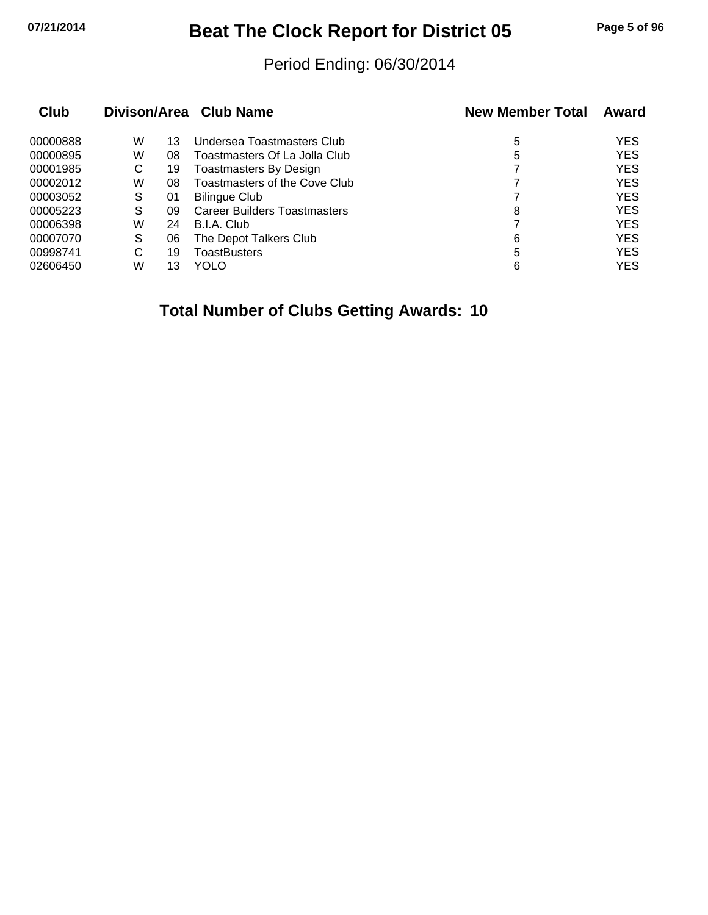# **07/21/2014 Beat The Clock Report for District 05 Page 5 of 96**

## Period Ending: 06/30/2014

| Club     |   |    | Divison/Area Club Name              | <b>New Member Total</b> | Award      |
|----------|---|----|-------------------------------------|-------------------------|------------|
| 00000888 | W | 13 | Undersea Toastmasters Club          | 5                       | <b>YES</b> |
| 00000895 | W | 08 | Toastmasters Of La Jolla Club       | 5                       | <b>YES</b> |
| 00001985 | С | 19 | Toastmasters By Design              |                         | <b>YES</b> |
| 00002012 | W | 08 | Toastmasters of the Cove Club       |                         | <b>YES</b> |
| 00003052 | S | 01 | Bilingue Club                       |                         | <b>YES</b> |
| 00005223 | S | 09 | <b>Career Builders Toastmasters</b> | 8                       | <b>YES</b> |
| 00006398 | W | 24 | B.I.A. Club                         |                         | <b>YES</b> |
| 00007070 | S | 06 | The Depot Talkers Club              | 6                       | <b>YES</b> |
| 00998741 | С | 19 | ToastBusters                        | 5                       | <b>YES</b> |
| 02606450 | W | 13 | YOLO                                | 6                       | <b>YES</b> |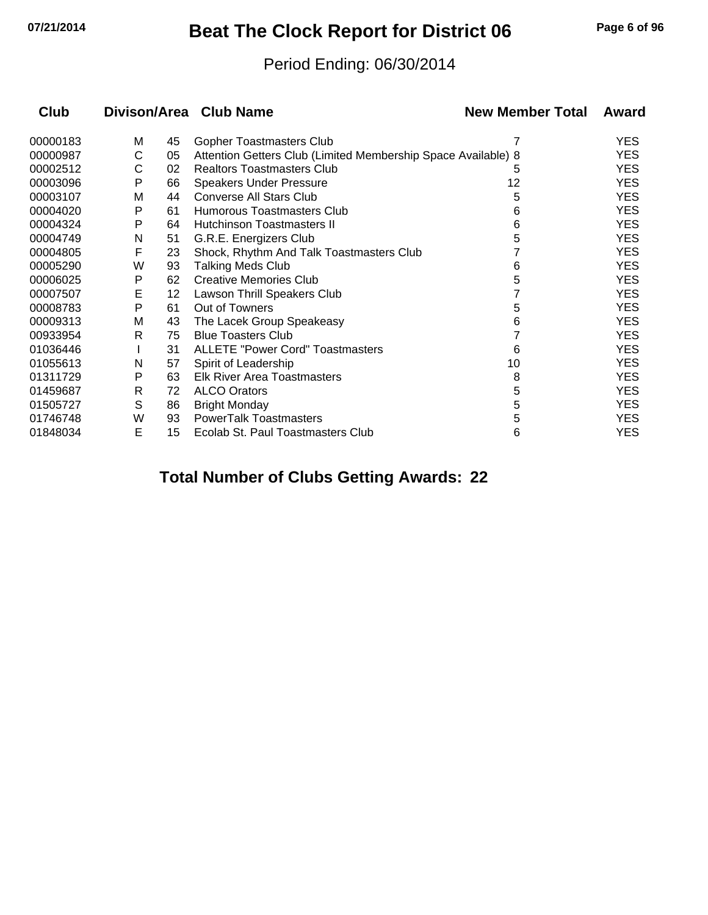## **07/21/2014 Beat The Clock Report for District 06 Page 6 of 96**

## Period Ending: 06/30/2014

| <b>Club</b> |   |    | Divison/Area Club Name                                        | <b>New Member Total</b> | Award      |
|-------------|---|----|---------------------------------------------------------------|-------------------------|------------|
| 00000183    | М | 45 | Gopher Toastmasters Club                                      | 7                       | <b>YES</b> |
| 00000987    | С | 05 | Attention Getters Club (Limited Membership Space Available) 8 |                         | <b>YES</b> |
| 00002512    | С | 02 | <b>Realtors Toastmasters Club</b>                             | 5                       | YES.       |
| 00003096    | P | 66 | <b>Speakers Under Pressure</b>                                | 12                      | <b>YES</b> |
| 00003107    | M | 44 | Converse All Stars Club                                       | 5                       | <b>YES</b> |
| 00004020    | P | 61 | Humorous Toastmasters Club                                    | 6                       | <b>YES</b> |
| 00004324    | P | 64 | Hutchinson Toastmasters II                                    | 6                       | YES.       |
| 00004749    | N | 51 | G.R.E. Energizers Club                                        | 5                       | YES.       |
| 00004805    | F | 23 | Shock, Rhythm And Talk Toastmasters Club                      |                         | YES.       |
| 00005290    | W | 93 | <b>Talking Meds Club</b>                                      | 6                       | YES.       |
| 00006025    | P | 62 | <b>Creative Memories Club</b>                                 | 5                       | <b>YES</b> |
| 00007507    | E | 12 | Lawson Thrill Speakers Club                                   |                         | <b>YES</b> |
| 00008783    | P | 61 | Out of Towners                                                | 5                       | <b>YES</b> |
| 00009313    | M | 43 | The Lacek Group Speakeasy                                     | 6                       | YES.       |
| 00933954    | R | 75 | <b>Blue Toasters Club</b>                                     |                         | YES.       |
| 01036446    |   | 31 | <b>ALLETE "Power Cord" Toastmasters</b>                       | 6                       | <b>YES</b> |
| 01055613    | N | 57 | Spirit of Leadership                                          | 10                      | YES.       |
| 01311729    | P | 63 | <b>Elk River Area Toastmasters</b>                            | 8                       | <b>YES</b> |
| 01459687    | R | 72 | <b>ALCO Orators</b>                                           | 5                       | YES.       |
| 01505727    | S | 86 | <b>Bright Monday</b>                                          | 5                       | <b>YES</b> |
| 01746748    | W | 93 | <b>PowerTalk Toastmasters</b>                                 | 5                       | YES.       |
| 01848034    | E | 15 | Ecolab St. Paul Toastmasters Club                             | 6                       | <b>YES</b> |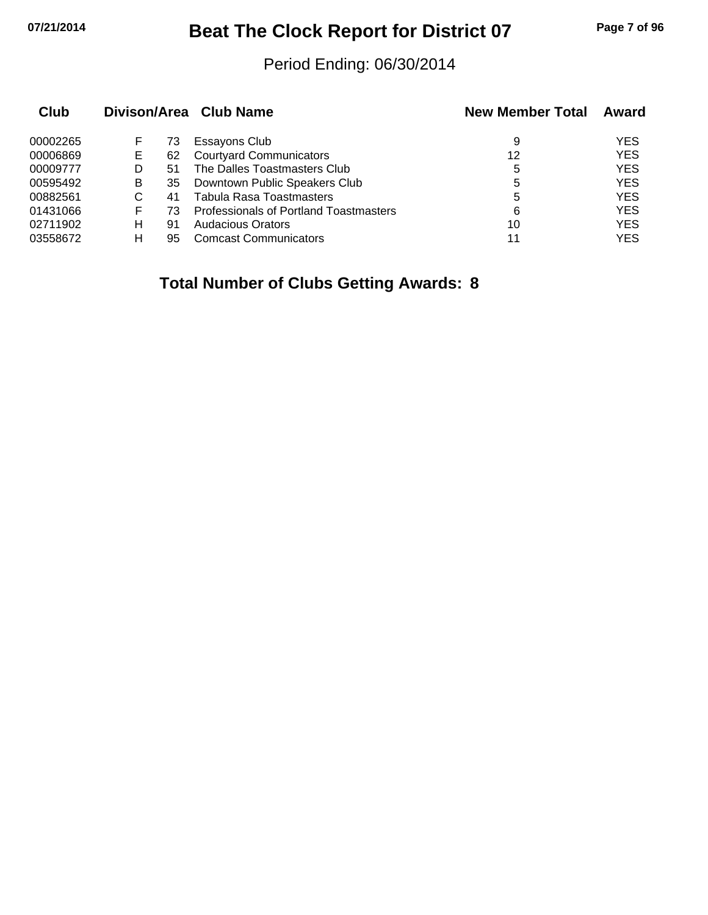## **07/21/2014 Beat The Clock Report for District 07 Page 7 of 96**

## Period Ending: 06/30/2014

| Club     |    |    | Divison/Area Club Name                 | <b>New Member Total</b> | Award      |
|----------|----|----|----------------------------------------|-------------------------|------------|
| 00002265 | F. | 73 | Essayons Club                          | 9                       | <b>YES</b> |
| 00006869 | Е  | 62 | <b>Courtyard Communicators</b>         | 12                      | <b>YES</b> |
| 00009777 | D  | 51 | The Dalles Toastmasters Club           | 5                       | <b>YES</b> |
| 00595492 | В  | 35 | Downtown Public Speakers Club          | 5                       | <b>YES</b> |
| 00882561 | С  | 41 | <b>Tabula Rasa Toastmasters</b>        | 5                       | <b>YES</b> |
| 01431066 | F  | 73 | Professionals of Portland Toastmasters | 6                       | <b>YES</b> |
| 02711902 | н  | 91 | Audacious Orators                      | 10                      | <b>YES</b> |
| 03558672 | н  | 95 | <b>Comcast Communicators</b>           | 11                      | YES        |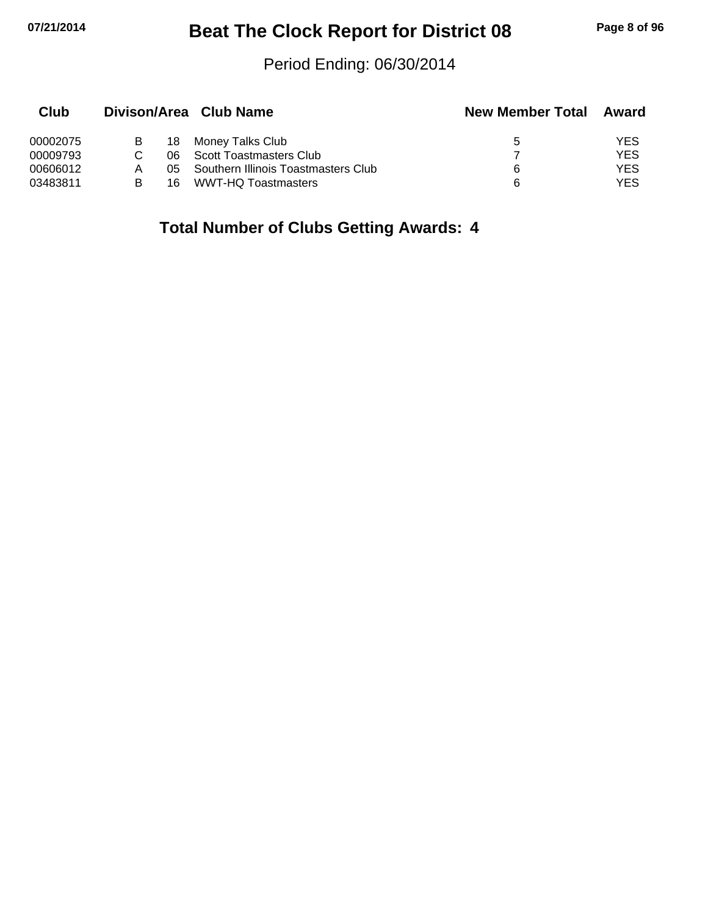## **07/21/2014 Beat The Clock Report for District 08 Page 8 of 96**

## Period Ending: 06/30/2014

| Club     |   |     | Divison/Area Club Name              | <b>New Member Total</b> | Award |
|----------|---|-----|-------------------------------------|-------------------------|-------|
| 00002075 | B | 18  | Money Talks Club                    | 5                       | YES   |
| 00009793 |   | 06. | Scott Toastmasters Club             |                         | YES   |
| 00606012 |   | 05. | Southern Illinois Toastmasters Club | 6                       | YES   |
| 03483811 | в | 16  | WWT-HQ Toastmasters                 | 6                       | YES   |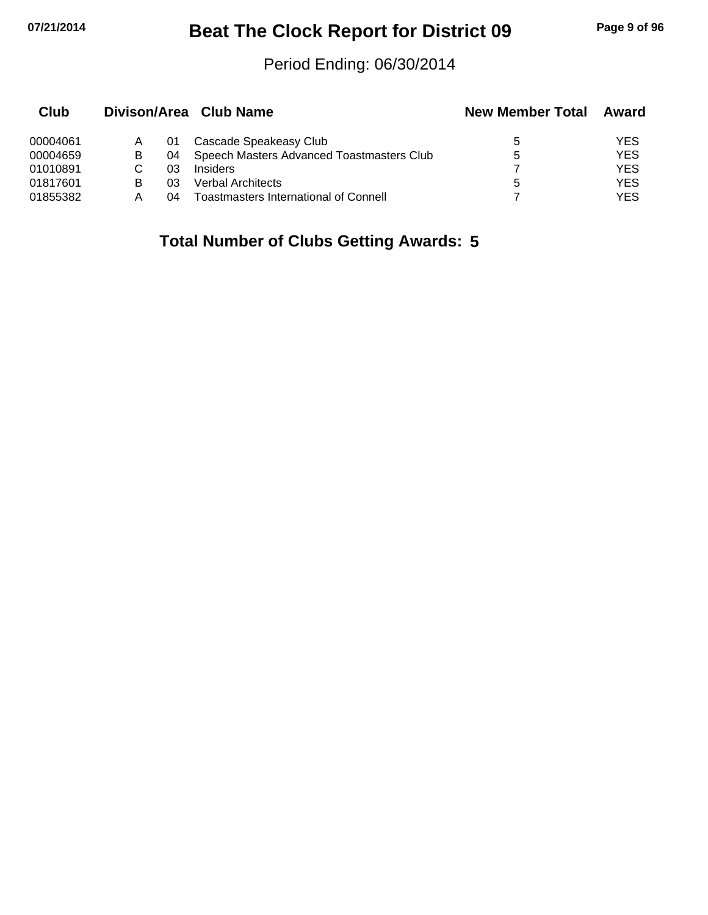## **07/21/2014 Beat The Clock Report for District 09 Page 9 of 96**

## Period Ending: 06/30/2014

| Club     |   |    | Divison/Area Club Name                       | <b>New Member Total</b> | Award      |
|----------|---|----|----------------------------------------------|-------------------------|------------|
| 00004061 |   | 01 | Cascade Speakeasy Club                       | 5                       | YES.       |
| 00004659 | В | 04 | Speech Masters Advanced Toastmasters Club    | 5                       | <b>YES</b> |
| 01010891 |   | 03 | <b>Insiders</b>                              |                         | <b>YES</b> |
| 01817601 |   | 03 | Verbal Architects                            | 5                       | YES        |
| 01855382 | А | 04 | <b>Toastmasters International of Connell</b> |                         | YES.       |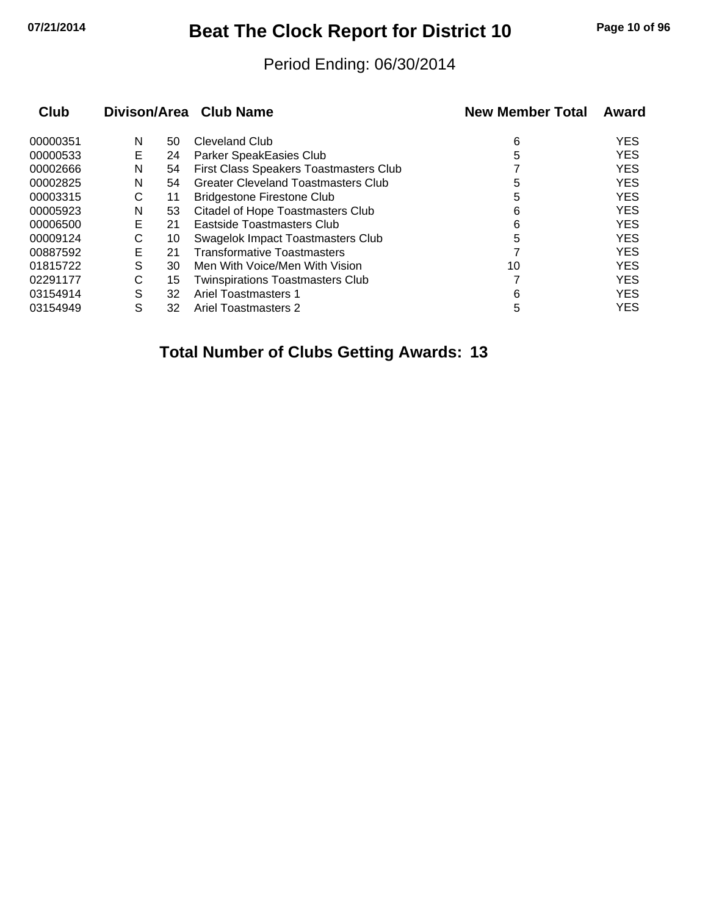# **07/21/2014 Beat The Clock Report for District 10 Page 10 of 96**

## Period Ending: 06/30/2014

| Club     |   |    | Divison/Area Club Name                     | <b>New Member Total</b> | Award      |
|----------|---|----|--------------------------------------------|-------------------------|------------|
| 00000351 | N | 50 | Cleveland Club                             | 6                       | <b>YES</b> |
| 00000533 | E | 24 | Parker SpeakEasies Club                    | 5                       | <b>YES</b> |
| 00002666 | N | 54 | First Class Speakers Toastmasters Club     |                         | <b>YES</b> |
| 00002825 | N | 54 | <b>Greater Cleveland Toastmasters Club</b> | 5                       | <b>YES</b> |
| 00003315 | С | 11 | <b>Bridgestone Firestone Club</b>          | 5                       | <b>YES</b> |
| 00005923 | N | 53 | <b>Citadel of Hope Toastmasters Club</b>   | 6                       | <b>YES</b> |
| 00006500 | E | 21 | Eastside Toastmasters Club                 | 6                       | <b>YES</b> |
| 00009124 | С | 10 | Swagelok Impact Toastmasters Club          | 5                       | <b>YES</b> |
| 00887592 | Е | 21 | <b>Transformative Toastmasters</b>         |                         | <b>YES</b> |
| 01815722 | S | 30 | Men With Voice/Men With Vision             | 10                      | <b>YES</b> |
| 02291177 | С | 15 | <b>Twinspirations Toastmasters Club</b>    |                         | <b>YES</b> |
| 03154914 | S | 32 | Ariel Toastmasters 1                       | 6                       | <b>YES</b> |
| 03154949 | S | 32 | Ariel Toastmasters 2                       | 5                       | <b>YES</b> |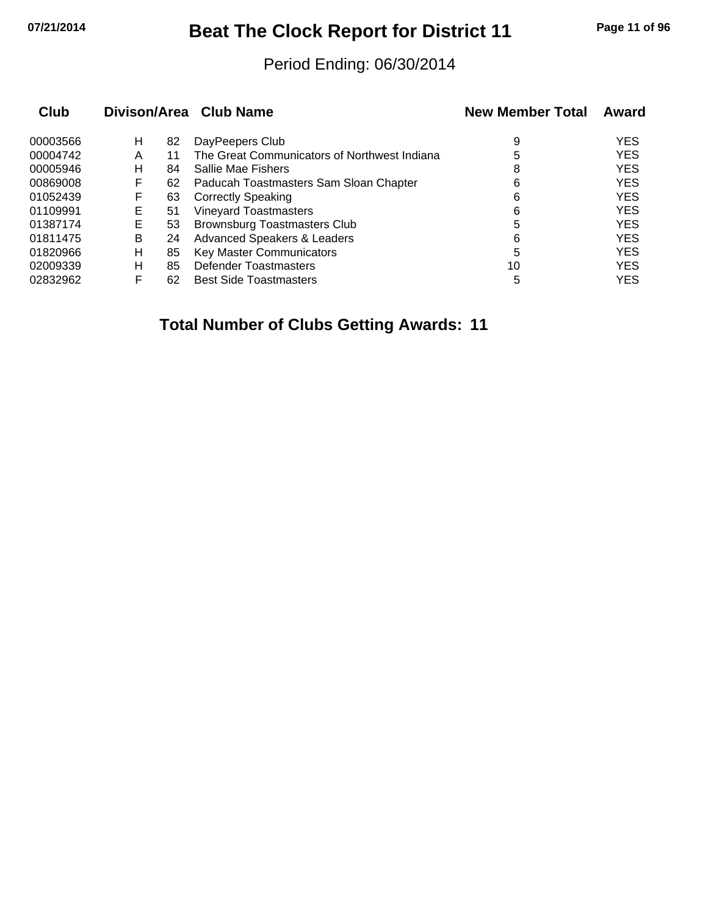# **07/21/2014 Beat The Clock Report for District 11 Page 11 of 96**

## Period Ending: 06/30/2014

| <b>Club</b> |    |    | Divison/Area Club Name                       | <b>New Member Total</b> | Award      |
|-------------|----|----|----------------------------------------------|-------------------------|------------|
| 00003566    | н  | 82 | DayPeepers Club                              | 9                       | <b>YES</b> |
| 00004742    | A  | 11 | The Great Communicators of Northwest Indiana | 5                       | <b>YES</b> |
| 00005946    | н  | 84 | Sallie Mae Fishers                           | 8                       | <b>YES</b> |
| 00869008    | F  | 62 | Paducah Toastmasters Sam Sloan Chapter       | 6                       | <b>YES</b> |
| 01052439    | F  | 63 | <b>Correctly Speaking</b>                    | 6                       | <b>YES</b> |
| 01109991    | E. | 51 | <b>Vineyard Toastmasters</b>                 | 6                       | <b>YES</b> |
| 01387174    | Е  | 53 | Brownsburg Toastmasters Club                 | 5                       | <b>YES</b> |
| 01811475    | B  | 24 | <b>Advanced Speakers &amp; Leaders</b>       | 6                       | <b>YES</b> |
| 01820966    | н  | 85 | <b>Key Master Communicators</b>              | 5                       | <b>YES</b> |
| 02009339    | н  | 85 | Defender Toastmasters                        | 10                      | <b>YES</b> |
| 02832962    | F  | 62 | <b>Best Side Toastmasters</b>                | 5                       | <b>YES</b> |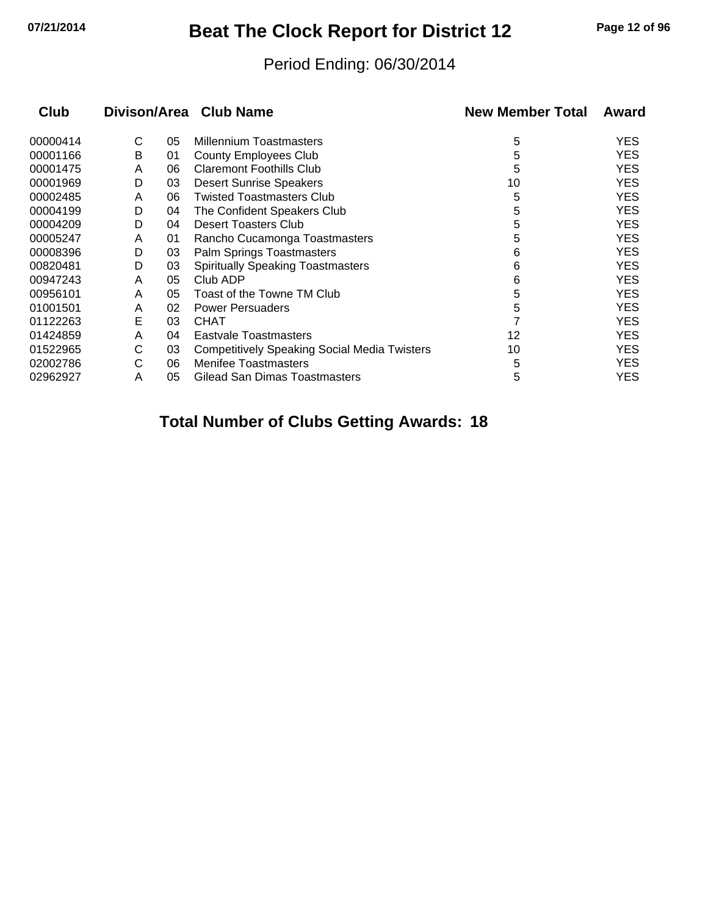## **07/21/2014 Beat The Clock Report for District 12 Page 12 of 96**

## Period Ending: 06/30/2014

| <b>Club</b> |   |    | Divison/Area Club Name                              | <b>New Member Total</b> | Award      |
|-------------|---|----|-----------------------------------------------------|-------------------------|------------|
| 00000414    | С | 05 | <b>Millennium Toastmasters</b>                      | 5                       | <b>YES</b> |
| 00001166    | Β | 01 | <b>County Employees Club</b>                        | 5                       | <b>YES</b> |
| 00001475    | A | 06 | <b>Claremont Foothills Club</b>                     | 5                       | <b>YES</b> |
| 00001969    | D | 03 | <b>Desert Sunrise Speakers</b>                      | 10                      | <b>YES</b> |
| 00002485    | A | 06 | <b>Twisted Toastmasters Club</b>                    | 5                       | <b>YES</b> |
| 00004199    | D | 04 | The Confident Speakers Club                         | 5                       | <b>YES</b> |
| 00004209    | D | 04 | <b>Desert Toasters Club</b>                         | 5                       | <b>YES</b> |
| 00005247    | A | 01 | Rancho Cucamonga Toastmasters                       | 5                       | <b>YES</b> |
| 00008396    | D | 03 | Palm Springs Toastmasters                           | 6                       | <b>YES</b> |
| 00820481    | D | 03 | <b>Spiritually Speaking Toastmasters</b>            | 6                       | <b>YES</b> |
| 00947243    | A | 05 | Club ADP                                            | 6                       | <b>YES</b> |
| 00956101    | A | 05 | Toast of the Towne TM Club                          | 5                       | <b>YES</b> |
| 01001501    | A | 02 | <b>Power Persuaders</b>                             | 5                       | <b>YES</b> |
| 01122263    | E | 03 | <b>CHAT</b>                                         |                         | <b>YES</b> |
| 01424859    | A | 04 | <b>Eastvale Toastmasters</b>                        | 12                      | <b>YES</b> |
| 01522965    | С | 03 | <b>Competitively Speaking Social Media Twisters</b> | 10                      | <b>YES</b> |
| 02002786    | C | 06 | <b>Menifee Toastmasters</b>                         | 5                       | <b>YES</b> |
| 02962927    | A | 05 | <b>Gilead San Dimas Toastmasters</b>                | 5                       | <b>YES</b> |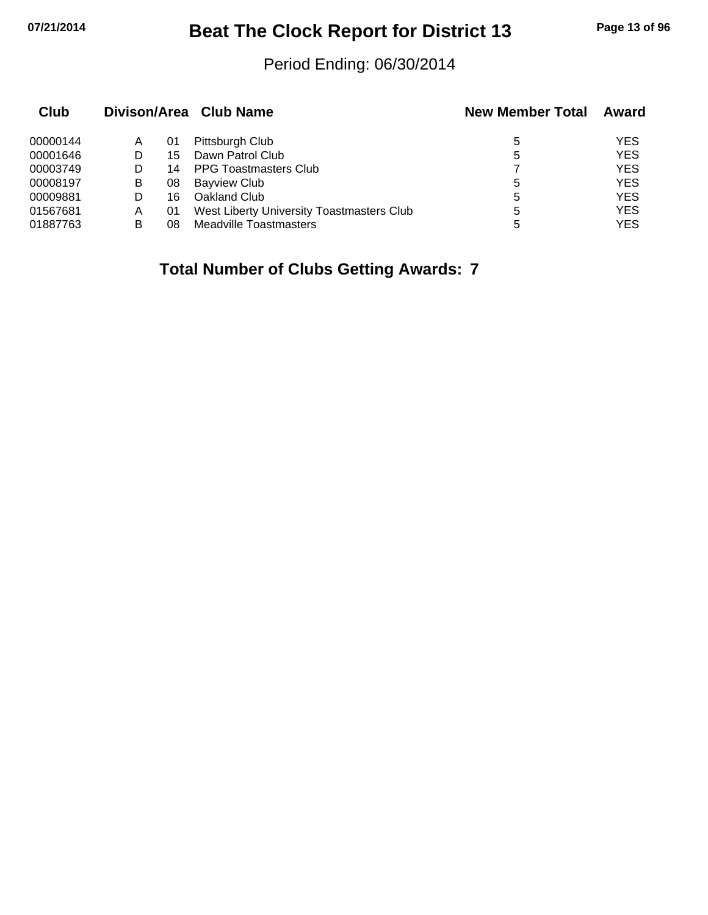## **07/21/2014 Beat The Clock Report for District 13 Page 13 of 96**

## Period Ending: 06/30/2014

| Club     |   |    | Divison/Area Club Name                    | <b>New Member Total</b> | Award      |
|----------|---|----|-------------------------------------------|-------------------------|------------|
| 00000144 | A | 01 | Pittsburgh Club                           | 5                       | <b>YES</b> |
| 00001646 | D | 15 | Dawn Patrol Club                          | 5                       | <b>YES</b> |
| 00003749 | D | 14 | <b>PPG Toastmasters Club</b>              |                         | <b>YES</b> |
| 00008197 | B | 08 | <b>Bayview Club</b>                       | 5                       | <b>YES</b> |
| 00009881 | D | 16 | Oakland Club                              | 5                       | <b>YES</b> |
| 01567681 | Α | 01 | West Liberty University Toastmasters Club | 5                       | <b>YES</b> |
| 01887763 | в | 08 | Meadville Toastmasters                    | 5                       | YES        |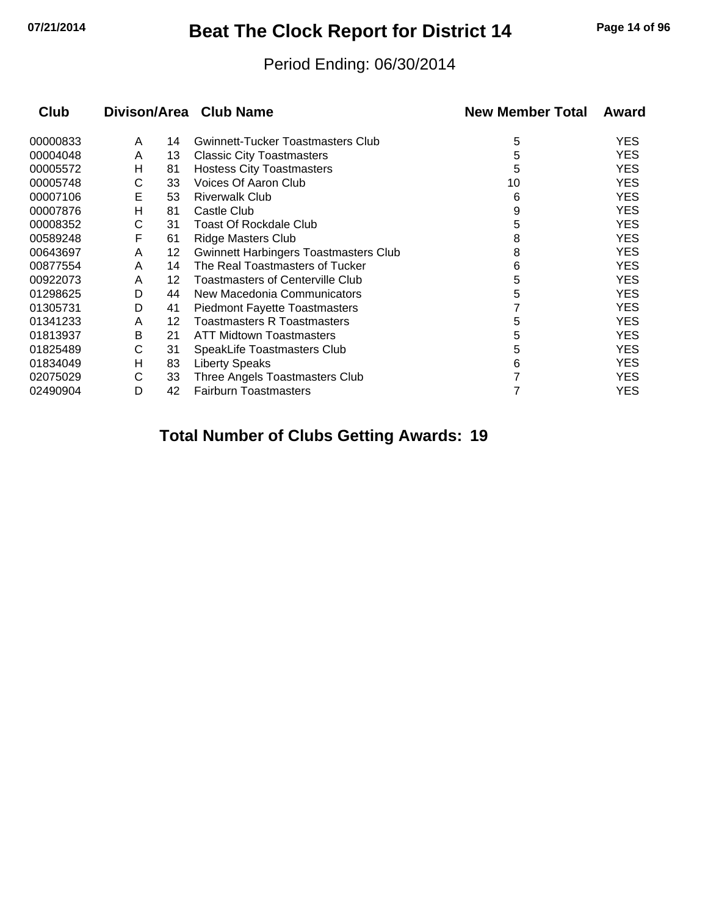## **07/21/2014 Beat The Clock Report for District 14 Page 14 of 96**

## Period Ending: 06/30/2014

| <b>Club</b> |   |    | Divison/Area Club Name                       | <b>New Member Total</b> | Award      |
|-------------|---|----|----------------------------------------------|-------------------------|------------|
| 00000833    | A | 14 | <b>Gwinnett-Tucker Toastmasters Club</b>     | 5                       | <b>YES</b> |
| 00004048    | A | 13 | <b>Classic City Toastmasters</b>             | 5                       | <b>YES</b> |
| 00005572    | н | 81 | <b>Hostess City Toastmasters</b>             | 5                       | <b>YES</b> |
| 00005748    | С | 33 | Voices Of Aaron Club                         | 10                      | <b>YES</b> |
| 00007106    | E | 53 | <b>Riverwalk Club</b>                        | 6                       | <b>YES</b> |
| 00007876    | н | 81 | Castle Club                                  | 9                       | <b>YES</b> |
| 00008352    | С | 31 | <b>Toast Of Rockdale Club</b>                | 5                       | <b>YES</b> |
| 00589248    | F | 61 | <b>Ridge Masters Club</b>                    | 8                       | <b>YES</b> |
| 00643697    | A | 12 | <b>Gwinnett Harbingers Toastmasters Club</b> | 8                       | <b>YES</b> |
| 00877554    | A | 14 | The Real Toastmasters of Tucker              | 6                       | <b>YES</b> |
| 00922073    | A | 12 | <b>Toastmasters of Centerville Club</b>      | 5                       | <b>YES</b> |
| 01298625    | D | 44 | New Macedonia Communicators                  | 5                       | <b>YES</b> |
| 01305731    | D | 41 | <b>Piedmont Fayette Toastmasters</b>         |                         | <b>YES</b> |
| 01341233    | A | 12 | <b>Toastmasters R Toastmasters</b>           | 5                       | <b>YES</b> |
| 01813937    | B | 21 | <b>ATT Midtown Toastmasters</b>              | 5                       | <b>YES</b> |
| 01825489    | С | 31 | SpeakLife Toastmasters Club                  | 5                       | <b>YES</b> |
| 01834049    | н | 83 | <b>Liberty Speaks</b>                        | 6                       | <b>YES</b> |
| 02075029    | С | 33 | Three Angels Toastmasters Club               |                         | <b>YES</b> |
| 02490904    | D | 42 | <b>Fairburn Toastmasters</b>                 |                         | <b>YES</b> |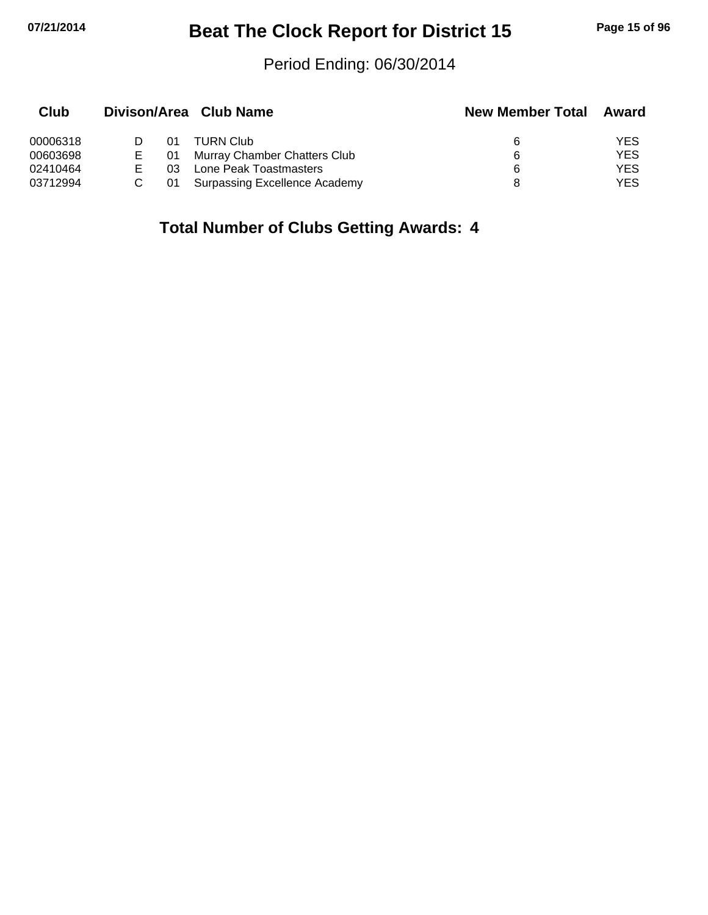## **07/21/2014 Beat The Clock Report for District 15 Page 15 of 96**

## Period Ending: 06/30/2014

| Club     |    |    | Divison/Area Club Name        | <b>New Member Total</b> | Award |
|----------|----|----|-------------------------------|-------------------------|-------|
| 00006318 |    | 01 | <b>TURN Club</b>              | 6                       | YES   |
| 00603698 | Е  | 01 | Murray Chamber Chatters Club  | 6                       | YES   |
| 02410464 | E. | 03 | Lone Peak Toastmasters        | 6                       | YES   |
| 03712994 |    | 01 | Surpassing Excellence Academy |                         | YES   |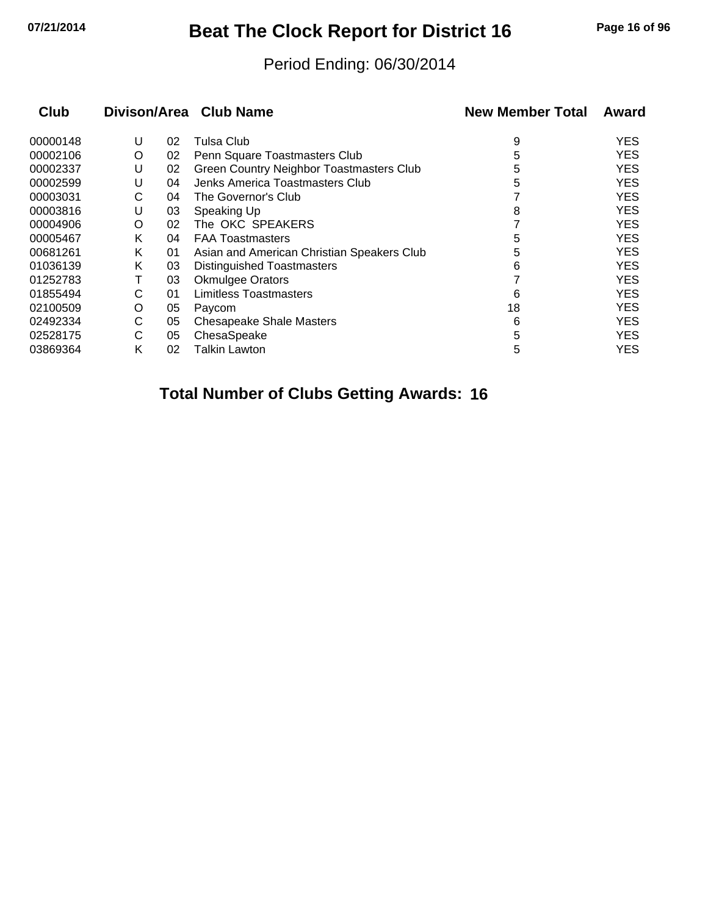# **07/21/2014 Beat The Clock Report for District 16 Page 16 of 96**

## Period Ending: 06/30/2014

| <b>Club</b> |   |    | Divison/Area Club Name                     | <b>New Member Total</b> | Award      |
|-------------|---|----|--------------------------------------------|-------------------------|------------|
| 00000148    | U | 02 | Tulsa Club                                 | 9                       | <b>YES</b> |
| 00002106    | O | 02 | Penn Square Toastmasters Club              | 5                       | <b>YES</b> |
| 00002337    | U | 02 | Green Country Neighbor Toastmasters Club   | 5                       | <b>YES</b> |
| 00002599    | U | 04 | Jenks America Toastmasters Club            | 5                       | <b>YES</b> |
| 00003031    | С | 04 | The Governor's Club                        |                         | <b>YES</b> |
| 00003816    | U | 03 | Speaking Up                                | 8                       | <b>YES</b> |
| 00004906    | O | 02 | The OKC SPEAKERS                           |                         | <b>YES</b> |
| 00005467    | Κ | 04 | <b>FAA Toastmasters</b>                    | 5                       | <b>YES</b> |
| 00681261    | Κ | 01 | Asian and American Christian Speakers Club | 5                       | <b>YES</b> |
| 01036139    | Κ | 03 | <b>Distinguished Toastmasters</b>          | 6                       | <b>YES</b> |
| 01252783    | т | 03 | <b>Okmulgee Orators</b>                    |                         | <b>YES</b> |
| 01855494    | С | 01 | Limitless Toastmasters                     | 6                       | <b>YES</b> |
| 02100509    | O | 05 | Paycom                                     | 18                      | <b>YES</b> |
| 02492334    | С | 05 | <b>Chesapeake Shale Masters</b>            | 6                       | <b>YES</b> |
| 02528175    | С | 05 | ChesaSpeake                                | 5                       | <b>YES</b> |
| 03869364    | Κ | 02 | <b>Talkin Lawton</b>                       | 5                       | YES        |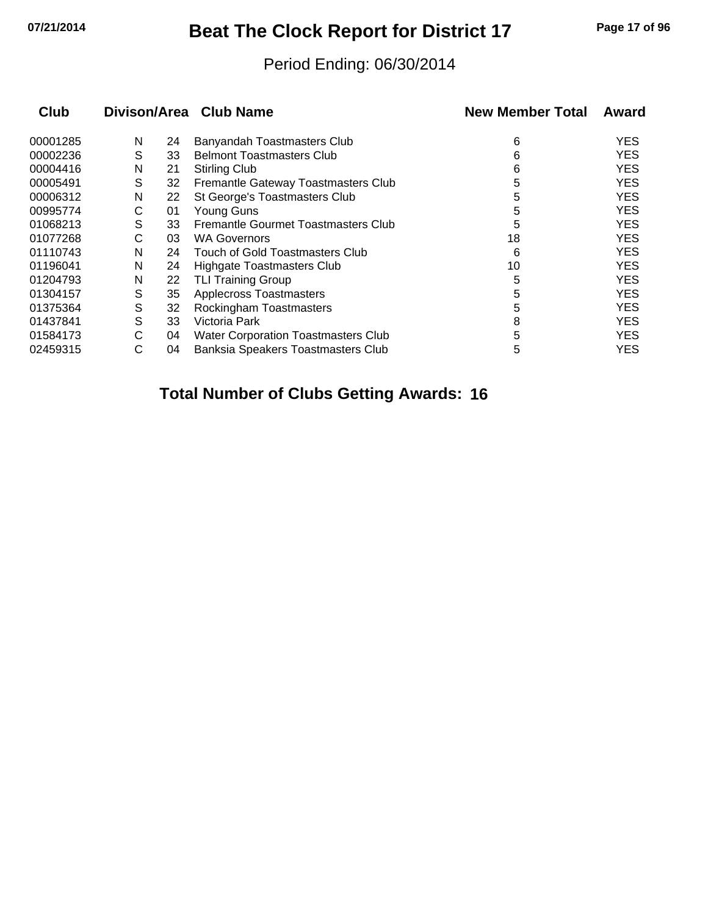# **07/21/2014 Beat The Clock Report for District 17 Page 17 of 96**

## Period Ending: 06/30/2014

| Club     |   |    | Divison/Area Club Name                     | <b>New Member Total</b> | Award      |
|----------|---|----|--------------------------------------------|-------------------------|------------|
| 00001285 | N | 24 | Banyandah Toastmasters Club                | 6                       | <b>YES</b> |
| 00002236 | S | 33 | <b>Belmont Toastmasters Club</b>           | 6                       | <b>YES</b> |
| 00004416 | N | 21 | <b>Stirling Club</b>                       | 6                       | <b>YES</b> |
| 00005491 | S | 32 | Fremantle Gateway Toastmasters Club        | 5                       | <b>YES</b> |
| 00006312 | N | 22 | St George's Toastmasters Club              | 5                       | <b>YES</b> |
| 00995774 | С | 01 | Young Guns                                 | 5                       | <b>YES</b> |
| 01068213 | S | 33 | Fremantle Gourmet Toastmasters Club        | 5                       | <b>YES</b> |
| 01077268 | С | 03 | <b>WA Governors</b>                        | 18                      | <b>YES</b> |
| 01110743 | N | 24 | Touch of Gold Toastmasters Club            | 6                       | <b>YES</b> |
| 01196041 | N | 24 | Highgate Toastmasters Club                 | 10                      | <b>YES</b> |
| 01204793 | N | 22 | <b>TLI Training Group</b>                  | 5                       | <b>YES</b> |
| 01304157 | S | 35 | <b>Applecross Toastmasters</b>             | 5                       | <b>YES</b> |
| 01375364 | S | 32 | Rockingham Toastmasters                    | 5                       | <b>YES</b> |
| 01437841 | S | 33 | Victoria Park                              | 8                       | <b>YES</b> |
| 01584173 | С | 04 | <b>Water Corporation Toastmasters Club</b> | 5                       | <b>YES</b> |
| 02459315 | С | 04 | Banksia Speakers Toastmasters Club         | 5                       | YES        |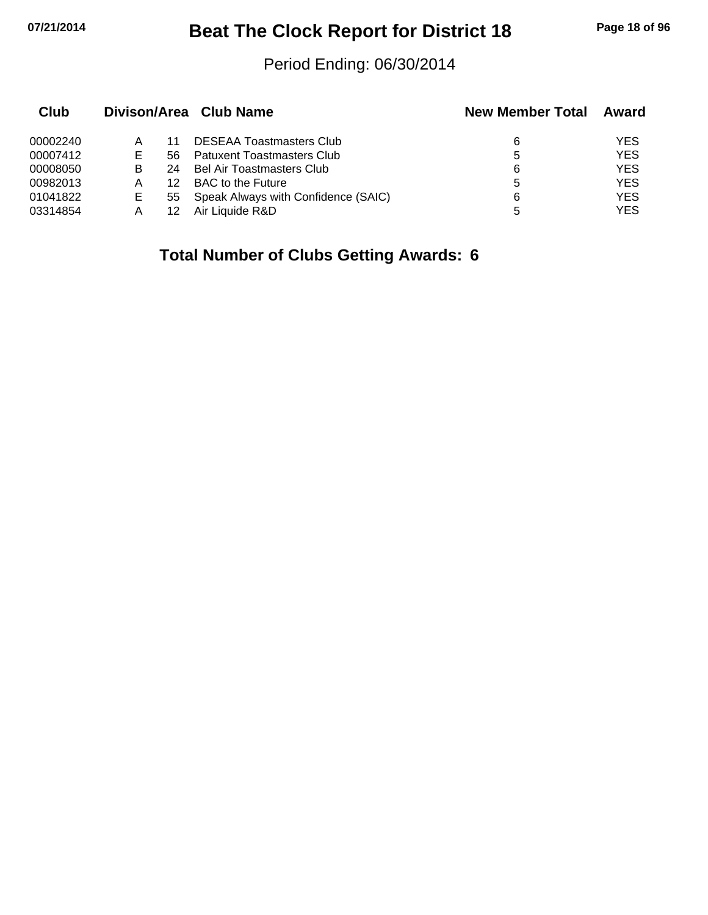## **07/21/2014 Beat The Clock Report for District 18 Page 18 of 96**

## Period Ending: 06/30/2014

| Club     |    |     | Divison/Area Club Name              | <b>New Member Total</b> | Award      |
|----------|----|-----|-------------------------------------|-------------------------|------------|
| 00002240 | Α  |     | <b>DESEAA Toastmasters Club</b>     | 6                       | YES        |
| 00007412 | E. | 56. | <b>Patuxent Toastmasters Club</b>   | 5                       | <b>YES</b> |
| 00008050 | в  | 24  | Bel Air Toastmasters Club           | 6                       | <b>YES</b> |
| 00982013 | Α  | 12  | <b>BAC</b> to the Future            | 5                       | <b>YES</b> |
| 01041822 | E  | 55  | Speak Always with Confidence (SAIC) | 6                       | <b>YES</b> |
| 03314854 | А  | 12  | Air Liquide R&D                     | 5                       | YES        |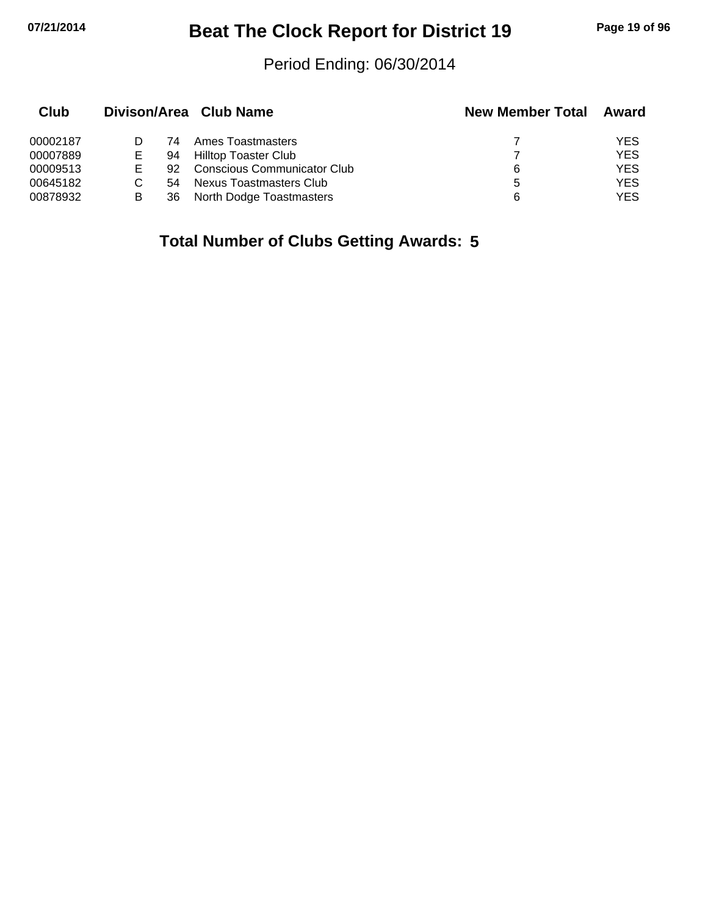## **07/21/2014 Beat The Clock Report for District 19 Page 19 of 96**

## Period Ending: 06/30/2014

| Club     |   |     | Divison/Area Club Name      | <b>New Member Total</b> | Award      |
|----------|---|-----|-----------------------------|-------------------------|------------|
| 00002187 |   | 74  | Ames Toastmasters           |                         | <b>YES</b> |
| 00007889 | E | 94  | Hilltop Toaster Club        |                         | <b>YES</b> |
| 00009513 |   | 92. | Conscious Communicator Club | 6                       | <b>YES</b> |
| 00645182 |   | 54  | Nexus Toastmasters Club     | 5                       | <b>YES</b> |
| 00878932 | В | 36  | North Dodge Toastmasters    | 6                       | YES        |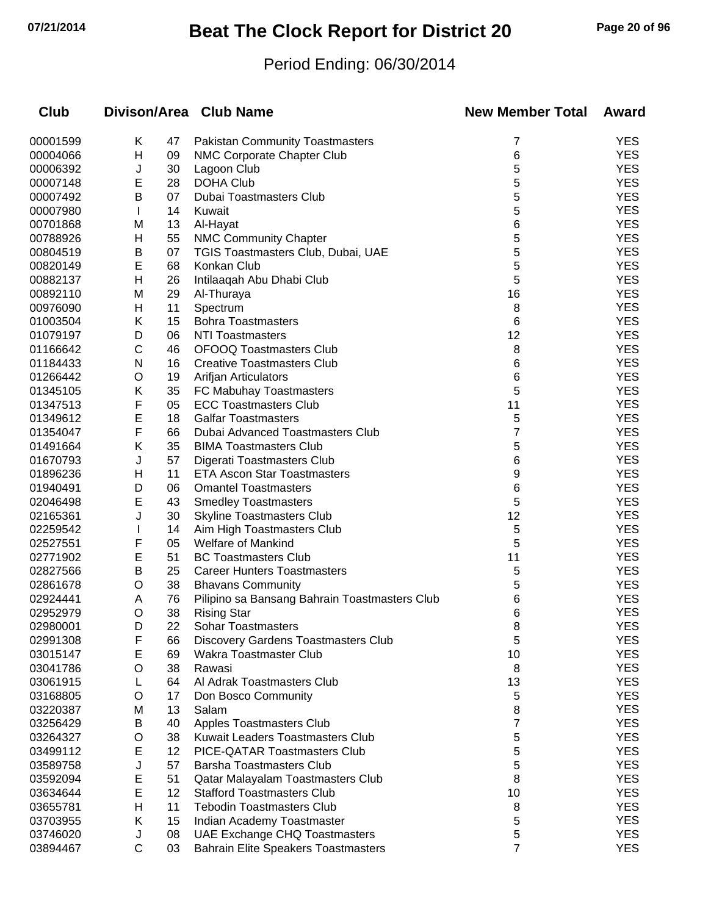# **07/21/2014 Beat The Clock Report for District 20 Page 20 of 96**

## Period Ending: 06/30/2014

| <b>Club</b> |              |    | Divison/Area Club Name                        | <b>New Member Total</b> | Award      |
|-------------|--------------|----|-----------------------------------------------|-------------------------|------------|
| 00001599    | Κ            | 47 | <b>Pakistan Community Toastmasters</b>        | 7                       | <b>YES</b> |
| 00004066    | Η            | 09 | NMC Corporate Chapter Club                    | 6                       | <b>YES</b> |
| 00006392    | J            | 30 | Lagoon Club                                   | 5                       | <b>YES</b> |
| 00007148    | E            | 28 | <b>DOHA Club</b>                              | 5                       | <b>YES</b> |
| 00007492    | B            | 07 | Dubai Toastmasters Club                       | 5                       | <b>YES</b> |
| 00007980    | $\mathbf{I}$ | 14 | Kuwait                                        | 5                       | <b>YES</b> |
| 00701868    | M            | 13 | Al-Hayat                                      | 6                       | <b>YES</b> |
| 00788926    | H            | 55 | <b>NMC Community Chapter</b>                  | 5                       | <b>YES</b> |
| 00804519    | Β            | 07 | TGIS Toastmasters Club, Dubai, UAE            | 5                       | <b>YES</b> |
| 00820149    | E            | 68 | Konkan Club                                   | 5                       | <b>YES</b> |
| 00882137    | Η            | 26 | Intilaaqah Abu Dhabi Club                     | 5                       | <b>YES</b> |
| 00892110    | M            | 29 | Al-Thuraya                                    | 16                      | <b>YES</b> |
| 00976090    | н            | 11 | Spectrum                                      | 8                       | <b>YES</b> |
| 01003504    | Κ            | 15 | <b>Bohra Toastmasters</b>                     | 6                       | <b>YES</b> |
| 01079197    | D            | 06 | NTI Toastmasters                              | 12                      | <b>YES</b> |
| 01166642    | C            | 46 | <b>OFOOQ Toastmasters Club</b>                | 8                       | <b>YES</b> |
| 01184433    | N            | 16 | <b>Creative Toastmasters Club</b>             | 6                       | <b>YES</b> |
| 01266442    | O            | 19 | Arifjan Articulators                          | 6                       | <b>YES</b> |
| 01345105    | Κ            | 35 | FC Mabuhay Toastmasters                       | 5                       | <b>YES</b> |
| 01347513    | F            | 05 | <b>ECC Toastmasters Club</b>                  | 11                      | <b>YES</b> |
| 01349612    | E            | 18 | <b>Galfar Toastmasters</b>                    | 5                       | <b>YES</b> |
| 01354047    | F            | 66 | Dubai Advanced Toastmasters Club              | 7                       | <b>YES</b> |
| 01491664    | Κ            | 35 | <b>BIMA Toastmasters Club</b>                 | 5                       | <b>YES</b> |
| 01670793    | J            | 57 | Digerati Toastmasters Club                    | 6                       | <b>YES</b> |
| 01896236    | н            | 11 | <b>ETA Ascon Star Toastmasters</b>            | 9                       | <b>YES</b> |
| 01940491    | D            | 06 | <b>Omantel Toastmasters</b>                   | 6                       | <b>YES</b> |
| 02046498    | E            | 43 | <b>Smedley Toastmasters</b>                   | 5                       | <b>YES</b> |
| 02165361    | J            | 30 | <b>Skyline Toastmasters Club</b>              | 12                      | <b>YES</b> |
| 02259542    |              | 14 | Aim High Toastmasters Club                    | 5                       | <b>YES</b> |
| 02527551    | F            | 05 | <b>Welfare of Mankind</b>                     | 5                       | <b>YES</b> |
| 02771902    | E            | 51 | <b>BC Toastmasters Club</b>                   | 11                      | <b>YES</b> |
| 02827566    | Β            | 25 | <b>Career Hunters Toastmasters</b>            | 5                       | <b>YES</b> |
| 02861678    | O            | 38 | <b>Bhavans Community</b>                      | 5                       | <b>YES</b> |
| 02924441    | Α            | 76 | Pilipino sa Bansang Bahrain Toastmasters Club | 6                       | <b>YES</b> |
| 02952979    | O            | 38 | <b>Rising Star</b>                            | 6                       | <b>YES</b> |
| 02980001    | D            | 22 | <b>Sohar Toastmasters</b>                     | 8                       | YES        |
| 02991308    | F            | 66 | Discovery Gardens Toastmasters Club           | 5                       | <b>YES</b> |
| 03015147    | E            | 69 | Wakra Toastmaster Club                        | 10                      | <b>YES</b> |
| 03041786    | O            | 38 | Rawasi                                        | 8                       | <b>YES</b> |
| 03061915    | L            | 64 | Al Adrak Toastmasters Club                    | 13                      | <b>YES</b> |
| 03168805    | O            | 17 | Don Bosco Community                           | 5                       | <b>YES</b> |
| 03220387    | M            | 13 | Salam                                         | 8                       | <b>YES</b> |
| 03256429    | B            | 40 | Apples Toastmasters Club                      | 7                       | <b>YES</b> |
| 03264327    | O            | 38 | <b>Kuwait Leaders Toastmasters Club</b>       | 5                       | <b>YES</b> |
| 03499112    | E            | 12 | PICE-QATAR Toastmasters Club                  | 5                       | <b>YES</b> |
| 03589758    | J            | 57 | <b>Barsha Toastmasters Club</b>               | 5                       | <b>YES</b> |
| 03592094    | E            | 51 | Qatar Malayalam Toastmasters Club             | 8                       | <b>YES</b> |
| 03634644    | E            | 12 | <b>Stafford Toastmasters Club</b>             | 10                      | <b>YES</b> |
| 03655781    | н            | 11 | <b>Tebodin Toastmasters Club</b>              | 8                       | <b>YES</b> |
| 03703955    | Κ            | 15 | Indian Academy Toastmaster                    | 5                       | <b>YES</b> |
| 03746020    | J            | 08 | UAE Exchange CHQ Toastmasters                 | 5                       | <b>YES</b> |
| 03894467    | $\mathsf{C}$ | 03 | <b>Bahrain Elite Speakers Toastmasters</b>    | 7                       | <b>YES</b> |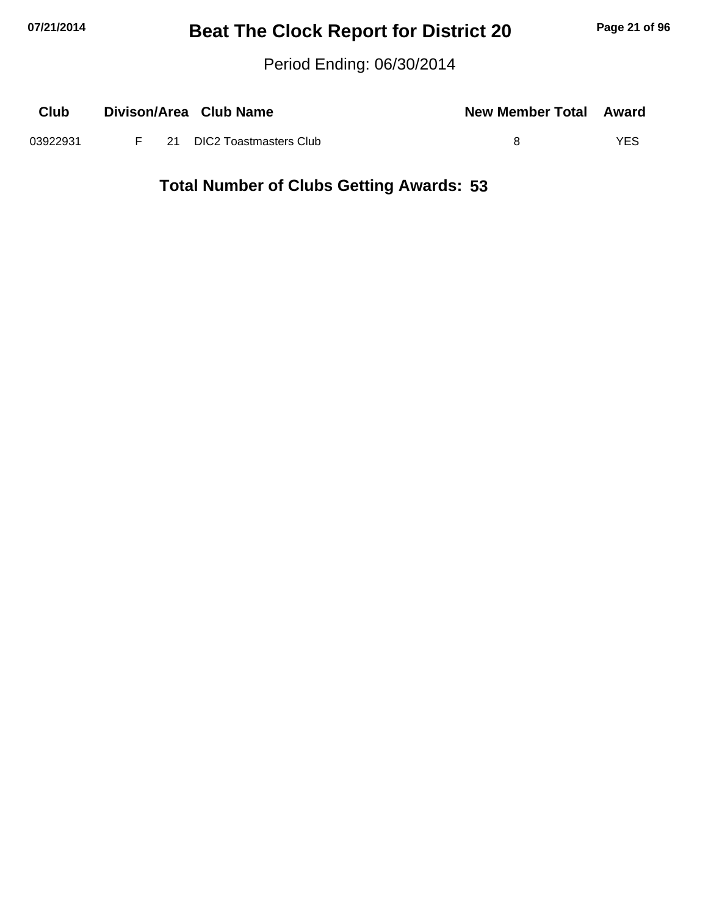## **07/21/2014 Beat The Clock Report for District 20 Page 21 of 96**

Period Ending: 06/30/2014

| Club     |  | Divison/Area Club Name      | <b>New Member Total Award</b> |     |
|----------|--|-----------------------------|-------------------------------|-----|
| 03922931 |  | F 21 DIC2 Toastmasters Club |                               | YES |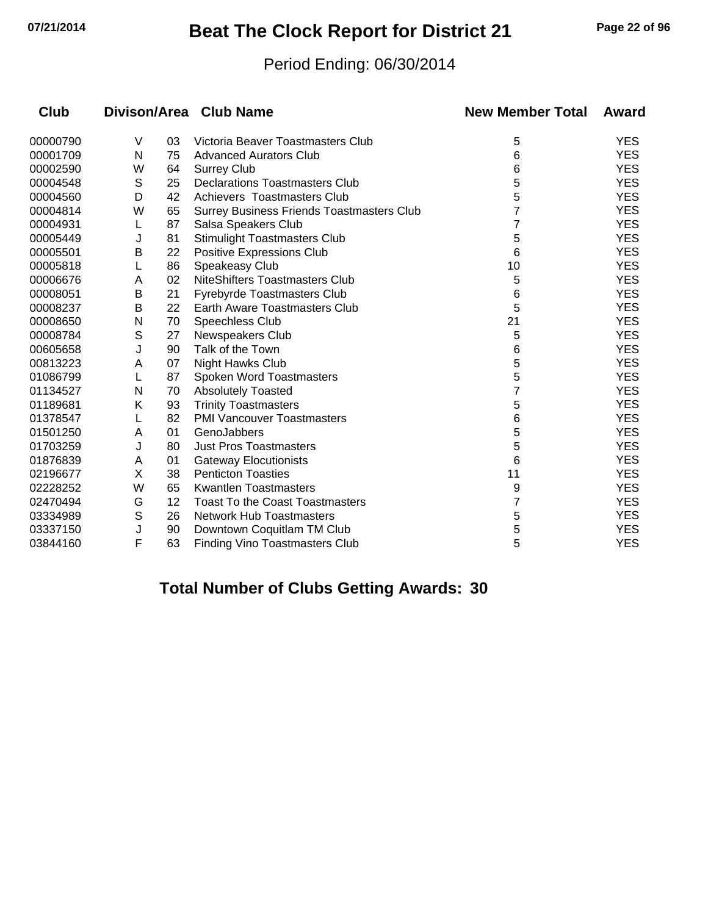## **07/21/2014 Beat The Clock Report for District 21 Page 22 of 96**

## Period Ending: 06/30/2014

| <b>Club</b> |   |    | Divison/Area Club Name                           | <b>New Member Total</b> | Award      |
|-------------|---|----|--------------------------------------------------|-------------------------|------------|
| 00000790    | V | 03 | Victoria Beaver Toastmasters Club                | 5                       | <b>YES</b> |
| 00001709    | N | 75 | <b>Advanced Aurators Club</b>                    | 6                       | <b>YES</b> |
| 00002590    | W | 64 | <b>Surrey Club</b>                               | 6                       | <b>YES</b> |
| 00004548    | S | 25 | <b>Declarations Toastmasters Club</b>            | 5                       | <b>YES</b> |
| 00004560    | D | 42 | Achievers Toastmasters Club                      | 5                       | <b>YES</b> |
| 00004814    | W | 65 | <b>Surrey Business Friends Toastmasters Club</b> |                         | <b>YES</b> |
| 00004931    | L | 87 | Salsa Speakers Club                              |                         | <b>YES</b> |
| 00005449    | J | 81 | Stimulight Toastmasters Club                     | 5                       | <b>YES</b> |
| 00005501    | В | 22 | Positive Expressions Club                        | 6                       | <b>YES</b> |
| 00005818    | L | 86 | Speakeasy Club                                   | 10                      | <b>YES</b> |
| 00006676    | A | 02 | NiteShifters Toastmasters Club                   | 5                       | <b>YES</b> |
| 00008051    | В | 21 | Fyrebyrde Toastmasters Club                      | 6                       | <b>YES</b> |
| 00008237    | B | 22 | Earth Aware Toastmasters Club                    | 5                       | <b>YES</b> |
| 00008650    | N | 70 | Speechless Club                                  | 21                      | <b>YES</b> |
| 00008784    | S | 27 | <b>Newspeakers Club</b>                          | 5                       | <b>YES</b> |
| 00605658    | J | 90 | Talk of the Town                                 | 6                       | <b>YES</b> |
| 00813223    | A | 07 | <b>Night Hawks Club</b>                          | 5                       | <b>YES</b> |
| 01086799    | L | 87 | Spoken Word Toastmasters                         | 5                       | <b>YES</b> |
| 01134527    | N | 70 | <b>Absolutely Toasted</b>                        | 7                       | <b>YES</b> |
| 01189681    | Κ | 93 | <b>Trinity Toastmasters</b>                      | 5                       | <b>YES</b> |
| 01378547    |   | 82 | <b>PMI Vancouver Toastmasters</b>                | 6                       | <b>YES</b> |
| 01501250    | A | 01 | GenoJabbers                                      | 5                       | <b>YES</b> |
| 01703259    | J | 80 | <b>Just Pros Toastmasters</b>                    | 5                       | <b>YES</b> |
| 01876839    | A | 01 | <b>Gateway Elocutionists</b>                     | 6                       | <b>YES</b> |
| 02196677    | X | 38 | <b>Penticton Toasties</b>                        | 11                      | <b>YES</b> |
| 02228252    | W | 65 | Kwantlen Toastmasters                            | 9                       | <b>YES</b> |
| 02470494    | G | 12 | <b>Toast To the Coast Toastmasters</b>           | 7                       | <b>YES</b> |
| 03334989    | S | 26 | <b>Network Hub Toastmasters</b>                  | 5                       | <b>YES</b> |
| 03337150    | J | 90 | Downtown Coquitlam TM Club                       | 5                       | <b>YES</b> |
| 03844160    | F | 63 | <b>Finding Vino Toastmasters Club</b>            | 5                       | <b>YES</b> |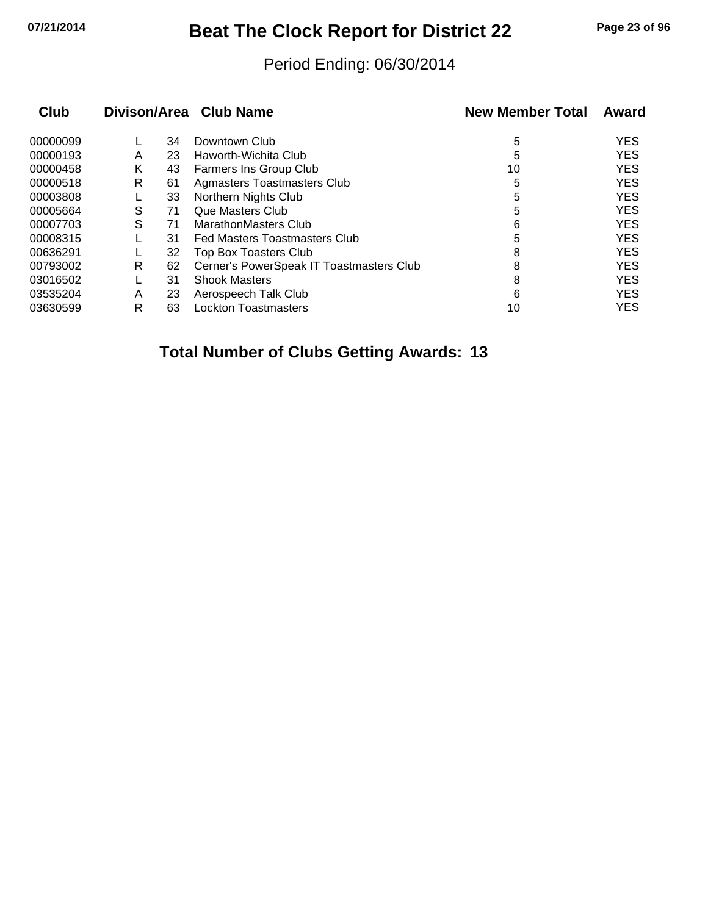## **07/21/2014 Beat The Clock Report for District 22 Page 23 of 96**

## Period Ending: 06/30/2014

| Club     |   |    | Divison/Area Club Name                   | <b>New Member Total</b> | Award      |
|----------|---|----|------------------------------------------|-------------------------|------------|
| 00000099 |   | 34 | Downtown Club                            | 5                       | <b>YES</b> |
| 00000193 | A | 23 | Haworth-Wichita Club                     | 5                       | <b>YES</b> |
| 00000458 | Κ | 43 | <b>Farmers Ins Group Club</b>            | 10                      | <b>YES</b> |
| 00000518 | R | 61 | <b>Agmasters Toastmasters Club</b>       | 5                       | <b>YES</b> |
| 00003808 |   | 33 | Northern Nights Club                     | 5                       | <b>YES</b> |
| 00005664 | S | 71 | Que Masters Club                         | 5                       | <b>YES</b> |
| 00007703 | S | 71 | MarathonMasters Club                     | 6                       | <b>YES</b> |
| 00008315 |   | 31 | <b>Fed Masters Toastmasters Club</b>     | 5                       | <b>YES</b> |
| 00636291 |   | 32 | Top Box Toasters Club                    | 8                       | <b>YES</b> |
| 00793002 | R | 62 | Cerner's PowerSpeak IT Toastmasters Club | 8                       | <b>YES</b> |
| 03016502 |   | 31 | <b>Shook Masters</b>                     | 8                       | <b>YES</b> |
| 03535204 | A | 23 | Aerospeech Talk Club                     | 6                       | <b>YES</b> |
| 03630599 | R | 63 | <b>Lockton Toastmasters</b>              | 10                      | <b>YES</b> |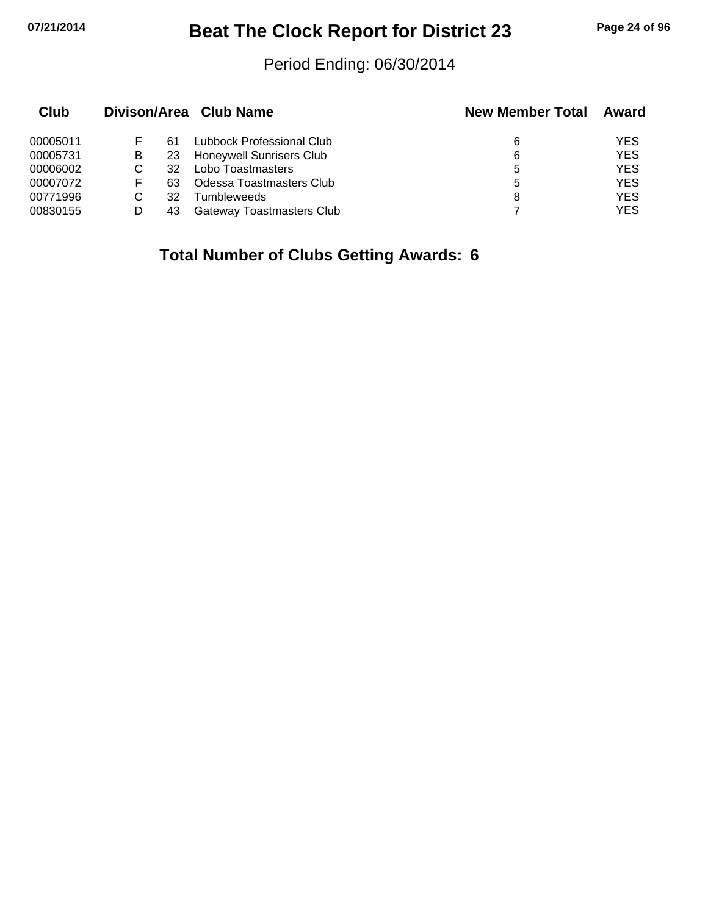## **07/21/2014 Beat The Clock Report for District 23 Page 24 of 96**

## Period Ending: 06/30/2014

| Club     |   |    | Divison/Area Club Name    | <b>New Member Total</b> | Award      |
|----------|---|----|---------------------------|-------------------------|------------|
| 00005011 |   | 61 | Lubbock Professional Club | 6                       | YES        |
| 00005731 | B | 23 | Honeywell Sunrisers Club  | 6                       | <b>YES</b> |
| 00006002 |   | 32 | Lobo Toastmasters         | 5                       | <b>YES</b> |
| 00007072 | F | 63 | Odessa Toastmasters Club  | 5                       | <b>YES</b> |
| 00771996 |   | 32 | Tumbleweeds               | 8                       | <b>YES</b> |
| 00830155 |   | 43 | Gateway Toastmasters Club |                         | YES        |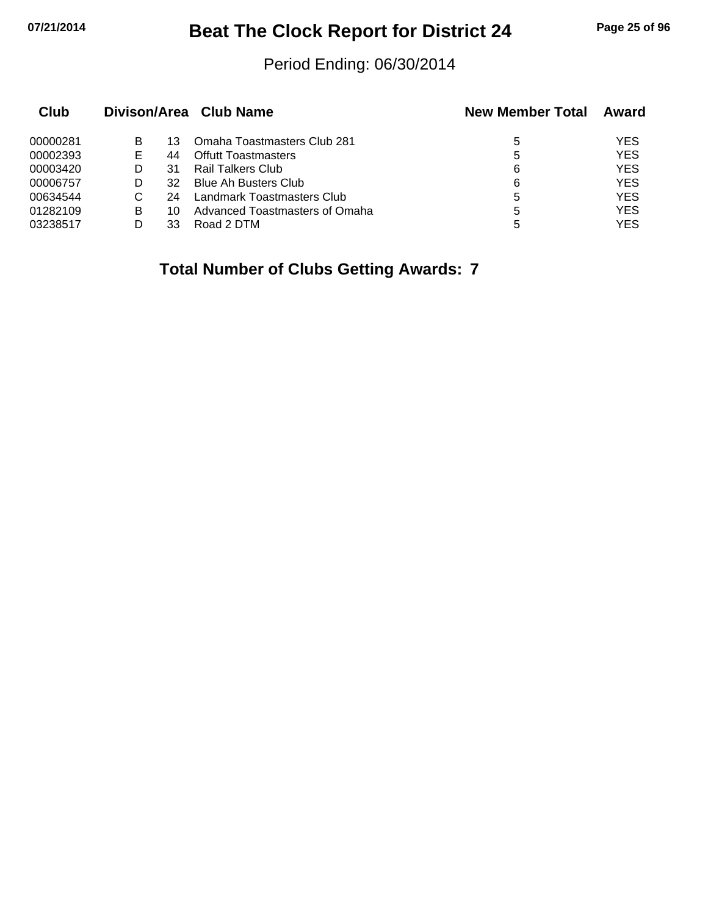## **07/21/2014 Beat The Clock Report for District 24 Page 25 of 96**

## Period Ending: 06/30/2014

| Club     |    |    | Divison/Area Club Name         | <b>New Member Total</b> | Award      |
|----------|----|----|--------------------------------|-------------------------|------------|
| 00000281 | B  | 13 | Omaha Toastmasters Club 281    | 5                       | YES        |
| 00002393 | E. | 44 | <b>Offutt Toastmasters</b>     | 5                       | <b>YES</b> |
| 00003420 |    | 31 | Rail Talkers Club              | 6                       | <b>YES</b> |
| 00006757 |    | 32 | <b>Blue Ah Busters Club</b>    | 6                       | <b>YES</b> |
| 00634544 | C  | 24 | Landmark Toastmasters Club     | 5                       | <b>YES</b> |
| 01282109 | B  | 10 | Advanced Toastmasters of Omaha | 5                       | <b>YES</b> |
| 03238517 |    | 33 | Road 2 DTM                     | 5                       | <b>YES</b> |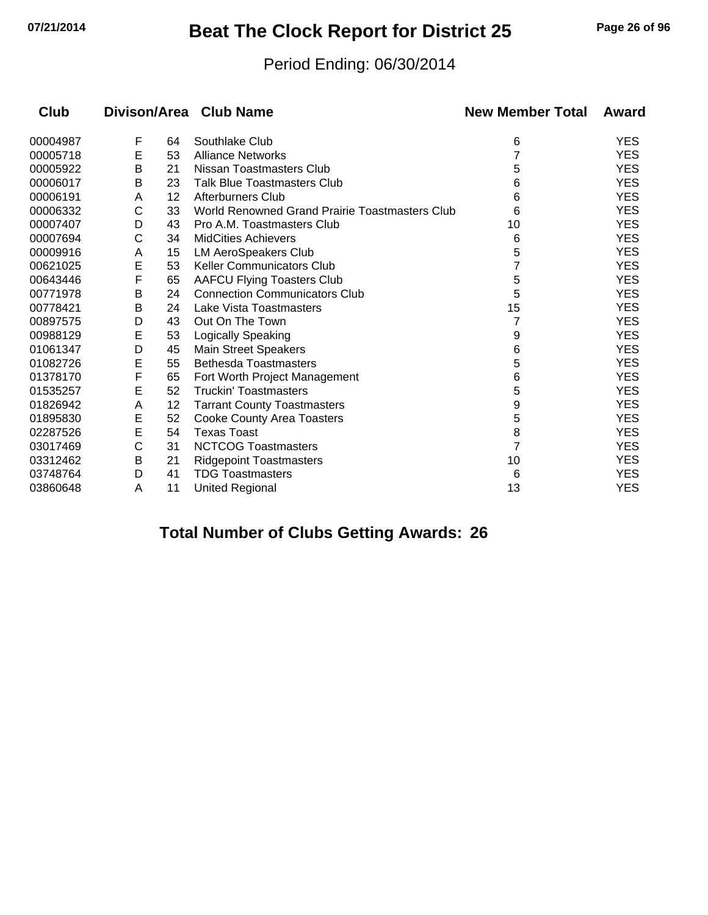## **07/21/2014 Beat The Clock Report for District 25 Page 26 of 96**

## Period Ending: 06/30/2014

| Club     |   |    | Divison/Area Club Name                         | <b>New Member Total</b> | Award      |
|----------|---|----|------------------------------------------------|-------------------------|------------|
| 00004987 | F | 64 | Southlake Club                                 | 6                       | <b>YES</b> |
| 00005718 | Е | 53 | <b>Alliance Networks</b>                       | 7                       | <b>YES</b> |
| 00005922 | B | 21 | Nissan Toastmasters Club                       | 5                       | <b>YES</b> |
| 00006017 | В | 23 | <b>Talk Blue Toastmasters Club</b>             | 6                       | <b>YES</b> |
| 00006191 | A | 12 | <b>Afterburners Club</b>                       | 6                       | <b>YES</b> |
| 00006332 | C | 33 | World Renowned Grand Prairie Toastmasters Club | 6                       | <b>YES</b> |
| 00007407 | D | 43 | Pro A.M. Toastmasters Club                     | 10                      | <b>YES</b> |
| 00007694 | С | 34 | <b>MidCities Achievers</b>                     | 6                       | <b>YES</b> |
| 00009916 | A | 15 | <b>LM AeroSpeakers Club</b>                    | 5                       | <b>YES</b> |
| 00621025 | E | 53 | <b>Keller Communicators Club</b>               |                         | <b>YES</b> |
| 00643446 | F | 65 | <b>AAFCU Flying Toasters Club</b>              | 5                       | <b>YES</b> |
| 00771978 | B | 24 | <b>Connection Communicators Club</b>           | 5                       | <b>YES</b> |
| 00778421 | B | 24 | Lake Vista Toastmasters                        | 15                      | <b>YES</b> |
| 00897575 | D | 43 | Out On The Town                                | 7                       | <b>YES</b> |
| 00988129 | Е | 53 | Logically Speaking                             | 9                       | <b>YES</b> |
| 01061347 | D | 45 | <b>Main Street Speakers</b>                    | 6                       | <b>YES</b> |
| 01082726 | E | 55 | <b>Bethesda Toastmasters</b>                   | 5                       | <b>YES</b> |
| 01378170 | F | 65 | Fort Worth Project Management                  | 6                       | <b>YES</b> |
| 01535257 | E | 52 | <b>Truckin' Toastmasters</b>                   | 5                       | <b>YES</b> |
| 01826942 | A | 12 | <b>Tarrant County Toastmasters</b>             | 9                       | <b>YES</b> |
| 01895830 | E | 52 | <b>Cooke County Area Toasters</b>              | 5                       | <b>YES</b> |
| 02287526 | E | 54 | <b>Texas Toast</b>                             | 8                       | <b>YES</b> |
| 03017469 | C | 31 | <b>NCTCOG Toastmasters</b>                     | 7                       | <b>YES</b> |
| 03312462 | B | 21 | <b>Ridgepoint Toastmasters</b>                 | 10                      | <b>YES</b> |
| 03748764 | D | 41 | <b>TDG Toastmasters</b>                        | 6                       | <b>YES</b> |
| 03860648 | A | 11 | <b>United Regional</b>                         | 13                      | <b>YES</b> |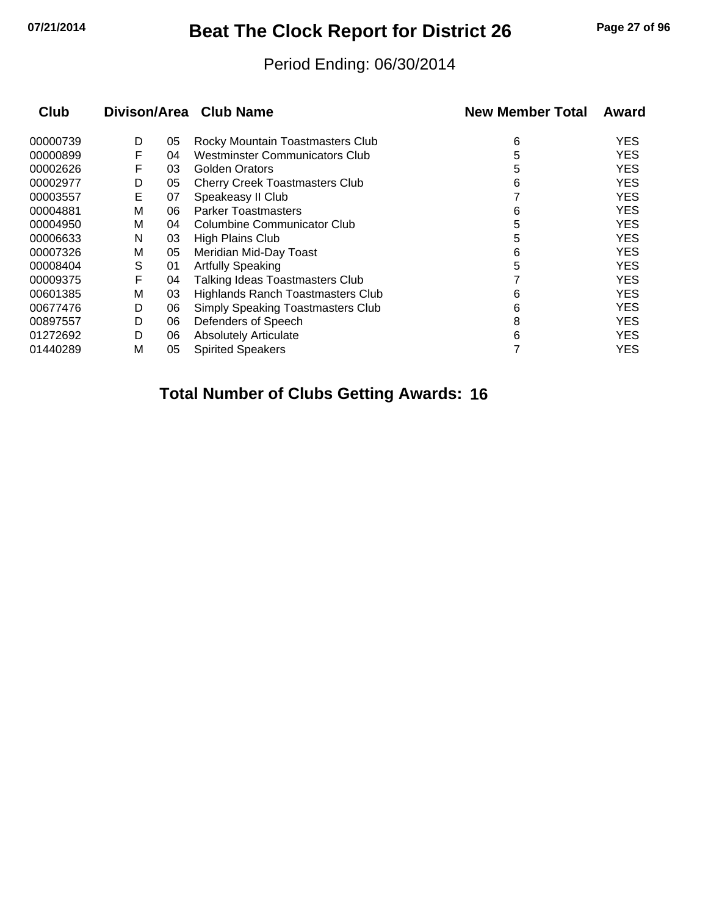# **07/21/2014 Beat The Clock Report for District 26 Page 27 of 96**

## Period Ending: 06/30/2014

| Club     |   |    | Divison/Area Club Name                   | <b>New Member Total</b> | Award      |
|----------|---|----|------------------------------------------|-------------------------|------------|
| 00000739 | D | 05 | Rocky Mountain Toastmasters Club         | 6                       | <b>YES</b> |
| 00000899 | F | 04 | <b>Westminster Communicators Club</b>    | 5                       | <b>YES</b> |
| 00002626 | F | 03 | <b>Golden Orators</b>                    | 5                       | <b>YES</b> |
| 00002977 | D | 05 | <b>Cherry Creek Toastmasters Club</b>    | 6                       | <b>YES</b> |
| 00003557 | E | 07 | Speakeasy II Club                        |                         | <b>YES</b> |
| 00004881 | M | 06 | <b>Parker Toastmasters</b>               | 6                       | <b>YES</b> |
| 00004950 | М | 04 | Columbine Communicator Club              | 5                       | <b>YES</b> |
| 00006633 | N | 03 | <b>High Plains Club</b>                  | 5                       | <b>YES</b> |
| 00007326 | M | 05 | Meridian Mid-Day Toast                   | 6                       | <b>YES</b> |
| 00008404 | S | 01 | <b>Artfully Speaking</b>                 | 5                       | <b>YES</b> |
| 00009375 | F | 04 | Talking Ideas Toastmasters Club          |                         | <b>YES</b> |
| 00601385 | M | 03 | Highlands Ranch Toastmasters Club        | 6                       | <b>YES</b> |
| 00677476 | D | 06 | <b>Simply Speaking Toastmasters Club</b> | 6                       | <b>YES</b> |
| 00897557 | D | 06 | Defenders of Speech                      | 8                       | <b>YES</b> |
| 01272692 | D | 06 | <b>Absolutely Articulate</b>             | 6                       | <b>YES</b> |
| 01440289 | M | 05 | <b>Spirited Speakers</b>                 |                         | YES        |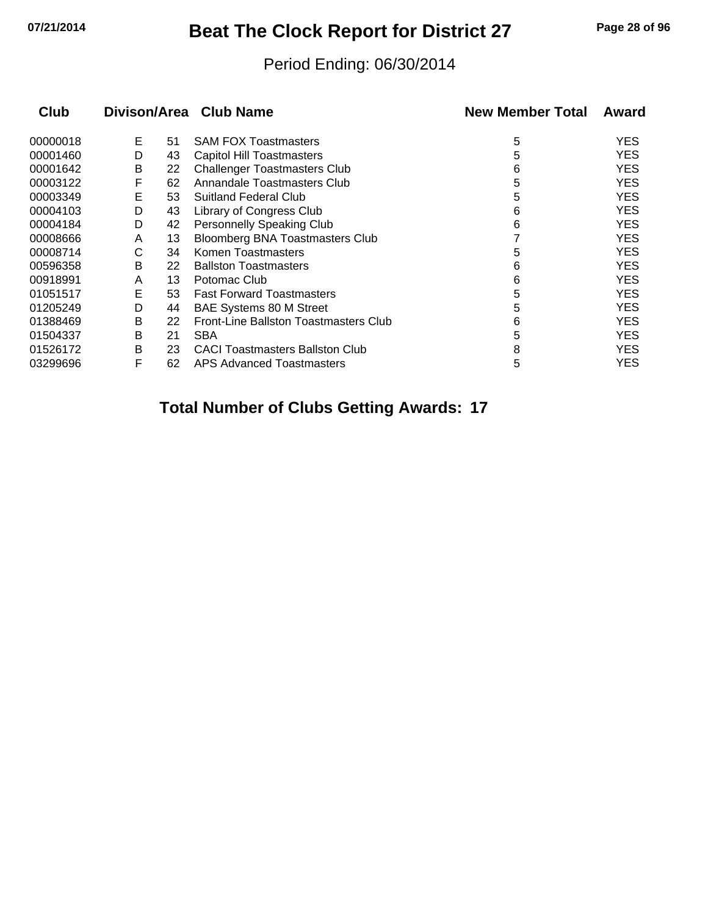## **07/21/2014 Beat The Clock Report for District 27 Page 28 of 96**

## Period Ending: 06/30/2014

| <b>Club</b> |   |    | Divison/Area Club Name                 | <b>New Member Total</b> | Award      |
|-------------|---|----|----------------------------------------|-------------------------|------------|
| 00000018    | Е | 51 | <b>SAM FOX Toastmasters</b>            | 5                       | YES.       |
| 00001460    | D | 43 | <b>Capitol Hill Toastmasters</b>       | 5                       | <b>YES</b> |
| 00001642    | B | 22 | <b>Challenger Toastmasters Club</b>    | 6                       | <b>YES</b> |
| 00003122    | F | 62 | Annandale Toastmasters Club            | 5                       | <b>YES</b> |
| 00003349    | Е | 53 | <b>Suitland Federal Club</b>           | 5                       | <b>YES</b> |
| 00004103    | D | 43 | Library of Congress Club               | 6                       | <b>YES</b> |
| 00004184    | D | 42 | <b>Personnelly Speaking Club</b>       | 6                       | <b>YES</b> |
| 00008666    | A | 13 | Bloomberg BNA Toastmasters Club        |                         | <b>YES</b> |
| 00008714    | С | 34 | Komen Toastmasters                     | 5                       | <b>YES</b> |
| 00596358    | В | 22 | <b>Ballston Toastmasters</b>           | 6                       | <b>YES</b> |
| 00918991    | A | 13 | Potomac Club                           | 6                       | <b>YES</b> |
| 01051517    | Е | 53 | <b>Fast Forward Toastmasters</b>       | 5                       | <b>YES</b> |
| 01205249    | D | 44 | <b>BAE Systems 80 M Street</b>         | 5                       | <b>YES</b> |
| 01388469    | B | 22 | Front-Line Ballston Toastmasters Club  | 6                       | <b>YES</b> |
| 01504337    | Β | 21 | <b>SBA</b>                             | 5                       | <b>YES</b> |
| 01526172    | В | 23 | <b>CACI Toastmasters Ballston Club</b> | 8                       | <b>YES</b> |
| 03299696    | F | 62 | APS Advanced Toastmasters              | 5                       | <b>YES</b> |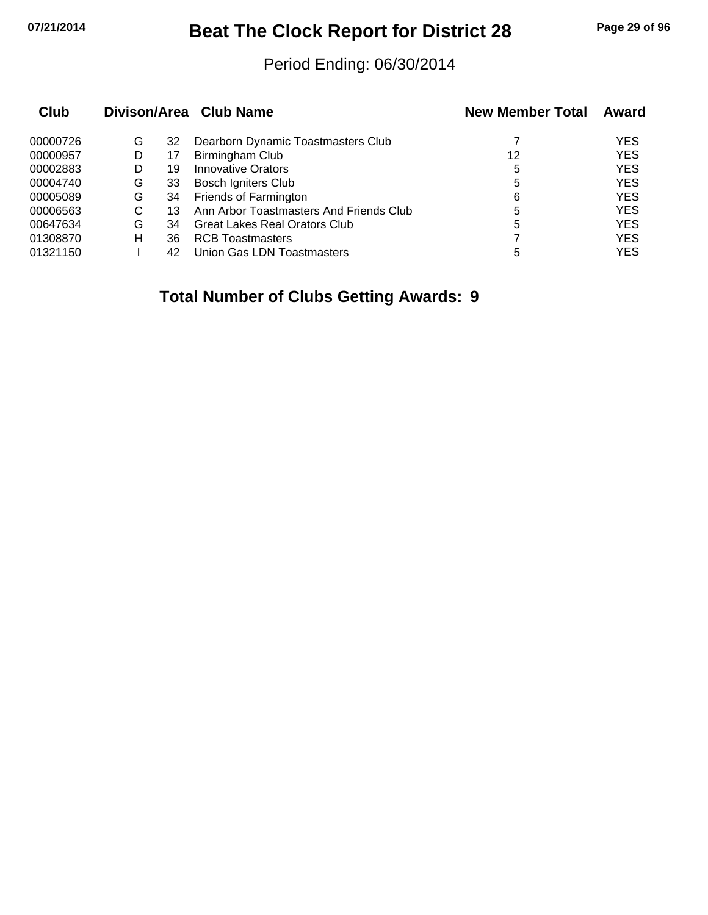## **07/21/2014 Beat The Clock Report for District 28 Page 29 of 96**

## Period Ending: 06/30/2014

| Club     |   |    | Divison/Area Club Name                  | <b>New Member Total</b> | Award      |
|----------|---|----|-----------------------------------------|-------------------------|------------|
| 00000726 | G | 32 | Dearborn Dynamic Toastmasters Club      |                         | <b>YES</b> |
| 00000957 | D | 17 | Birmingham Club                         | 12                      | <b>YES</b> |
| 00002883 |   | 19 | Innovative Orators                      | 5                       | <b>YES</b> |
| 00004740 | G | 33 | <b>Bosch Igniters Club</b>              | 5                       | <b>YES</b> |
| 00005089 | G | 34 | Friends of Farmington                   | 6                       | <b>YES</b> |
| 00006563 | С | 13 | Ann Arbor Toastmasters And Friends Club | 5                       | <b>YES</b> |
| 00647634 | G | 34 | Great Lakes Real Orators Club           | 5                       | <b>YES</b> |
| 01308870 | н | 36 | <b>RCB Toastmasters</b>                 |                         | <b>YES</b> |
| 01321150 |   | 42 | Union Gas LDN Toastmasters              | 5                       | YES        |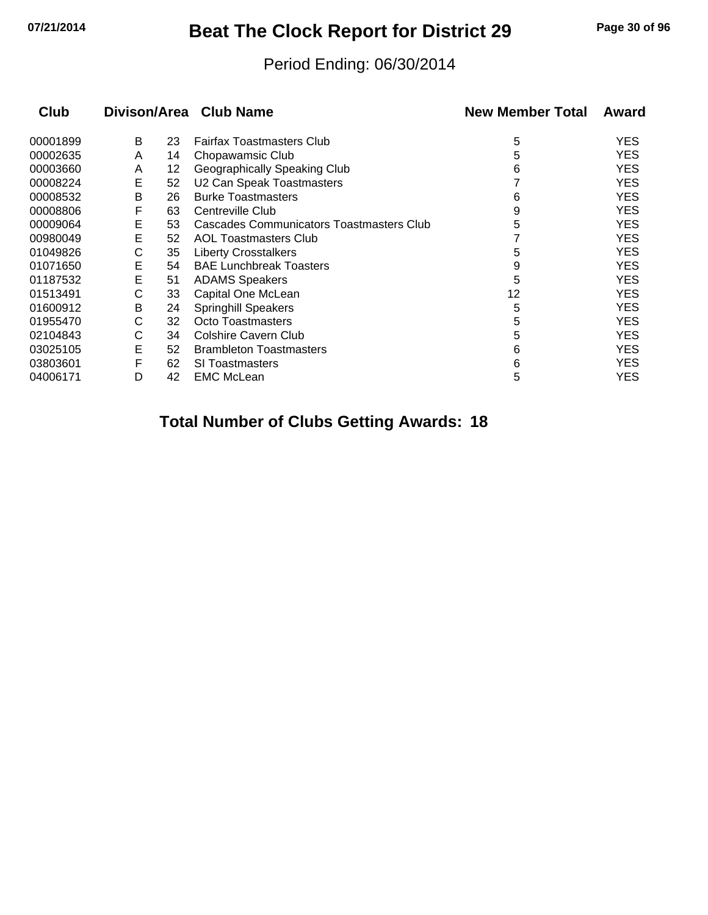# **07/21/2014 Beat The Clock Report for District 29 Page 30 of 96**

## Period Ending: 06/30/2014

| <b>Club</b> |   |    | Divison/Area Club Name                   | <b>New Member Total</b> | Award      |
|-------------|---|----|------------------------------------------|-------------------------|------------|
| 00001899    | В | 23 | <b>Fairfax Toastmasters Club</b>         | 5                       | <b>YES</b> |
| 00002635    | A | 14 | Chopawamsic Club                         | 5                       | <b>YES</b> |
| 00003660    | A | 12 | Geographically Speaking Club             | 6                       | <b>YES</b> |
| 00008224    | Е | 52 | U2 Can Speak Toastmasters                |                         | <b>YES</b> |
| 00008532    | B | 26 | <b>Burke Toastmasters</b>                | 6                       | <b>YES</b> |
| 00008806    | F | 63 | Centreville Club                         | 9                       | <b>YES</b> |
| 00009064    | Е | 53 | Cascades Communicators Toastmasters Club | 5                       | <b>YES</b> |
| 00980049    | Е | 52 | <b>AOL Toastmasters Club</b>             |                         | <b>YES</b> |
| 01049826    | С | 35 | <b>Liberty Crosstalkers</b>              | 5                       | <b>YES</b> |
| 01071650    | E | 54 | <b>BAE Lunchbreak Toasters</b>           | 9                       | <b>YES</b> |
| 01187532    | E | 51 | <b>ADAMS Speakers</b>                    | 5                       | <b>YES</b> |
| 01513491    | C | 33 | Capital One McLean                       | 12                      | <b>YES</b> |
| 01600912    | В | 24 | <b>Springhill Speakers</b>               | 5                       | <b>YES</b> |
| 01955470    | С | 32 | Octo Toastmasters                        | 5                       | <b>YES</b> |
| 02104843    | С | 34 | <b>Colshire Cavern Club</b>              | 5                       | <b>YES</b> |
| 03025105    | E | 52 | <b>Brambleton Toastmasters</b>           | 6                       | <b>YES</b> |
| 03803601    | F | 62 | SI Toastmasters                          | 6                       | <b>YES</b> |
| 04006171    | D | 42 | <b>EMC McLean</b>                        | 5                       | <b>YES</b> |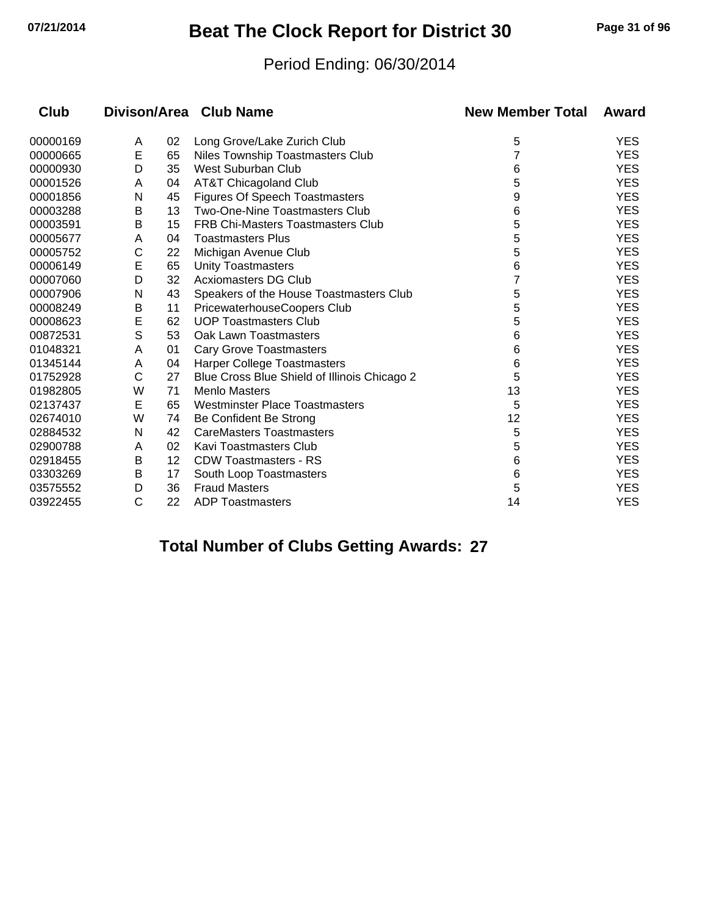# **07/21/2014 Beat The Clock Report for District 30 Page 31 of 96**

## Period Ending: 06/30/2014

| Club     |              |    | Divison/Area Club Name                       | <b>New Member Total</b> | Award      |
|----------|--------------|----|----------------------------------------------|-------------------------|------------|
| 00000169 | A            | 02 | Long Grove/Lake Zurich Club                  | 5                       | <b>YES</b> |
| 00000665 | E            | 65 | Niles Township Toastmasters Club             |                         | <b>YES</b> |
| 00000930 | D            | 35 | West Suburban Club                           | 6                       | <b>YES</b> |
| 00001526 | A            | 04 | AT&T Chicagoland Club                        | 5                       | <b>YES</b> |
| 00001856 | N            | 45 | Figures Of Speech Toastmasters               | 9                       | <b>YES</b> |
| 00003288 | Β            | 13 | Two-One-Nine Toastmasters Club               | 6                       | <b>YES</b> |
| 00003591 | B            | 15 | <b>FRB Chi-Masters Toastmasters Club</b>     | 5                       | <b>YES</b> |
| 00005677 | A            | 04 | <b>Toastmasters Plus</b>                     | 5                       | <b>YES</b> |
| 00005752 | С            | 22 | Michigan Avenue Club                         | 5                       | <b>YES</b> |
| 00006149 | E            | 65 | <b>Unity Toastmasters</b>                    | 6                       | <b>YES</b> |
| 00007060 | D            | 32 | <b>Acxiomasters DG Club</b>                  |                         | <b>YES</b> |
| 00007906 | N            | 43 | Speakers of the House Toastmasters Club      | 5                       | <b>YES</b> |
| 00008249 | B            | 11 | PricewaterhouseCoopers Club                  | 5                       | <b>YES</b> |
| 00008623 | E            | 62 | <b>UOP Toastmasters Club</b>                 | 5                       | <b>YES</b> |
| 00872531 | S            | 53 | Oak Lawn Toastmasters                        | 6                       | <b>YES</b> |
| 01048321 | Α            | 01 | <b>Cary Grove Toastmasters</b>               | 6                       | <b>YES</b> |
| 01345144 | A            | 04 | Harper College Toastmasters                  | 6                       | <b>YES</b> |
| 01752928 | C            | 27 | Blue Cross Blue Shield of Illinois Chicago 2 | 5                       | <b>YES</b> |
| 01982805 | W            | 71 | <b>Menlo Masters</b>                         | 13                      | <b>YES</b> |
| 02137437 | Е            | 65 | <b>Westminster Place Toastmasters</b>        | 5                       | <b>YES</b> |
| 02674010 | W            | 74 | Be Confident Be Strong                       | 12                      | <b>YES</b> |
| 02884532 | Ν            | 42 | <b>CareMasters Toastmasters</b>              | 5                       | <b>YES</b> |
| 02900788 | Α            | 02 | Kavi Toastmasters Club                       | 5                       | <b>YES</b> |
| 02918455 | B            | 12 | <b>CDW Toastmasters - RS</b>                 | 6                       | <b>YES</b> |
| 03303269 | B            | 17 | South Loop Toastmasters                      | 6                       | <b>YES</b> |
| 03575552 | D            | 36 | <b>Fraud Masters</b>                         | 5                       | <b>YES</b> |
| 03922455 | $\mathsf{C}$ | 22 | <b>ADP Toastmasters</b>                      | 14                      | <b>YES</b> |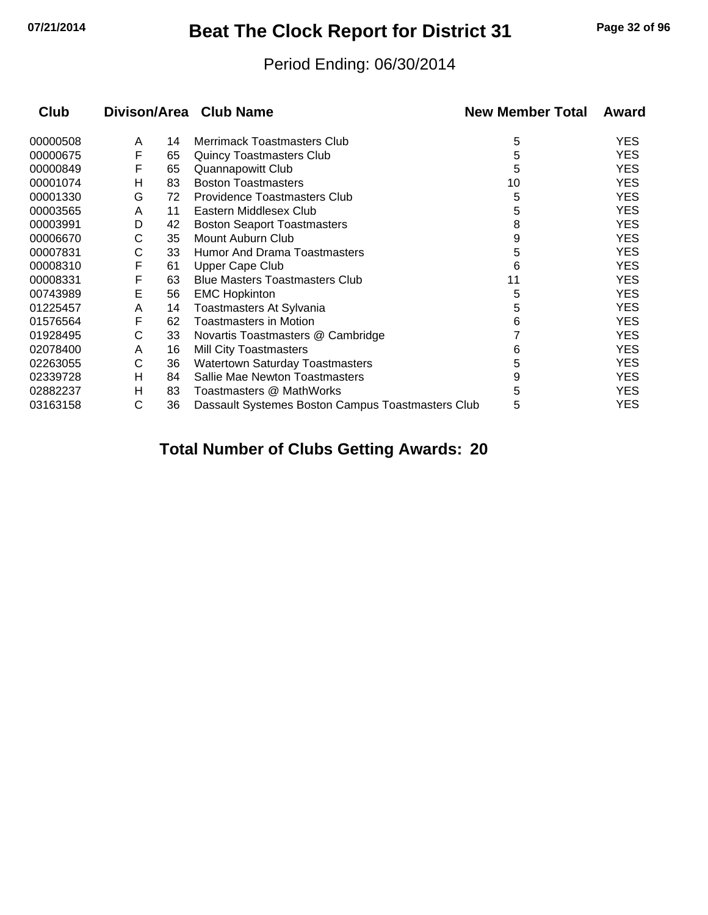## **07/21/2014 Beat The Clock Report for District 31 Page 32 of 96**

## Period Ending: 06/30/2014

| Club     |   |    | Divison/Area Club Name                            | <b>New Member Total</b> | Award      |
|----------|---|----|---------------------------------------------------|-------------------------|------------|
| 00000508 | A | 14 | Merrimack Toastmasters Club                       | 5                       | <b>YES</b> |
| 00000675 | F | 65 | <b>Quincy Toastmasters Club</b>                   | 5                       | <b>YES</b> |
| 00000849 | F | 65 | Quannapowitt Club                                 | 5                       | <b>YES</b> |
| 00001074 | н | 83 | <b>Boston Toastmasters</b>                        | 10                      | <b>YES</b> |
| 00001330 | G | 72 | <b>Providence Toastmasters Club</b>               | 5                       | <b>YES</b> |
| 00003565 | A | 11 | Eastern Middlesex Club                            | 5                       | <b>YES</b> |
| 00003991 | D | 42 | <b>Boston Seaport Toastmasters</b>                | 8                       | <b>YES</b> |
| 00006670 | С | 35 | Mount Auburn Club                                 | 9                       | <b>YES</b> |
| 00007831 | С | 33 | <b>Humor And Drama Toastmasters</b>               | 5                       | <b>YES</b> |
| 00008310 | F | 61 | <b>Upper Cape Club</b>                            | 6                       | <b>YES</b> |
| 00008331 | F | 63 | <b>Blue Masters Toastmasters Club</b>             | 11                      | <b>YES</b> |
| 00743989 | Е | 56 | <b>EMC Hopkinton</b>                              | 5                       | <b>YES</b> |
| 01225457 | A | 14 | Toastmasters At Sylvania                          | 5                       | <b>YES</b> |
| 01576564 | F | 62 | Toastmasters in Motion                            | 6                       | <b>YES</b> |
| 01928495 | С | 33 | Novartis Toastmasters @ Cambridge                 |                         | <b>YES</b> |
| 02078400 | A | 16 | <b>Mill City Toastmasters</b>                     | 6                       | <b>YES</b> |
| 02263055 | С | 36 | <b>Watertown Saturday Toastmasters</b>            | 5                       | <b>YES</b> |
| 02339728 | н | 84 | Sallie Mae Newton Toastmasters                    | 9                       | <b>YES</b> |
| 02882237 | н | 83 | Toastmasters @ MathWorks                          | 5                       | <b>YES</b> |
| 03163158 | С | 36 | Dassault Systemes Boston Campus Toastmasters Club | 5                       | <b>YES</b> |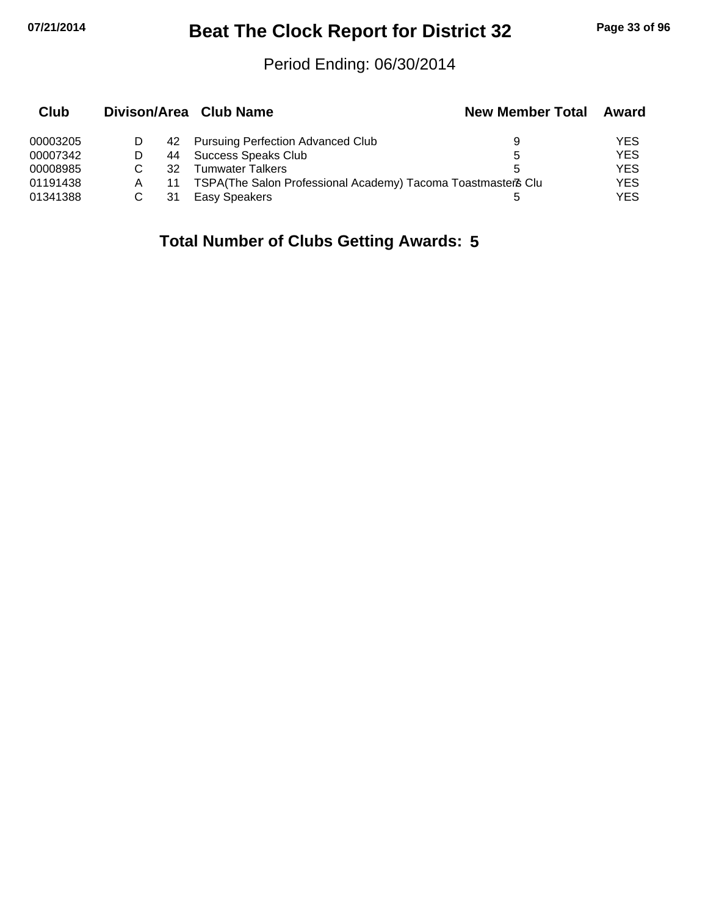# **07/21/2014 Beat The Clock Report for District 32 Page 33 of 96**

## Period Ending: 06/30/2014

| Club     |    | Divison/Area Club Name                                       | <b>New Member Total</b> | Award      |
|----------|----|--------------------------------------------------------------|-------------------------|------------|
| 00003205 |    | 42 Pursuing Perfection Advanced Club                         | 9                       | YES        |
| 00007342 | 44 | Success Speaks Club                                          | 5                       | <b>YES</b> |
| 00008985 | 32 | Tumwater Talkers                                             |                         | YES        |
| 01191438 | 11 | TSPA(The Salon Professional Academy) Tacoma Toastmaster& Clu |                         | <b>YES</b> |
| 01341388 | 31 | Easy Speakers                                                |                         | YES        |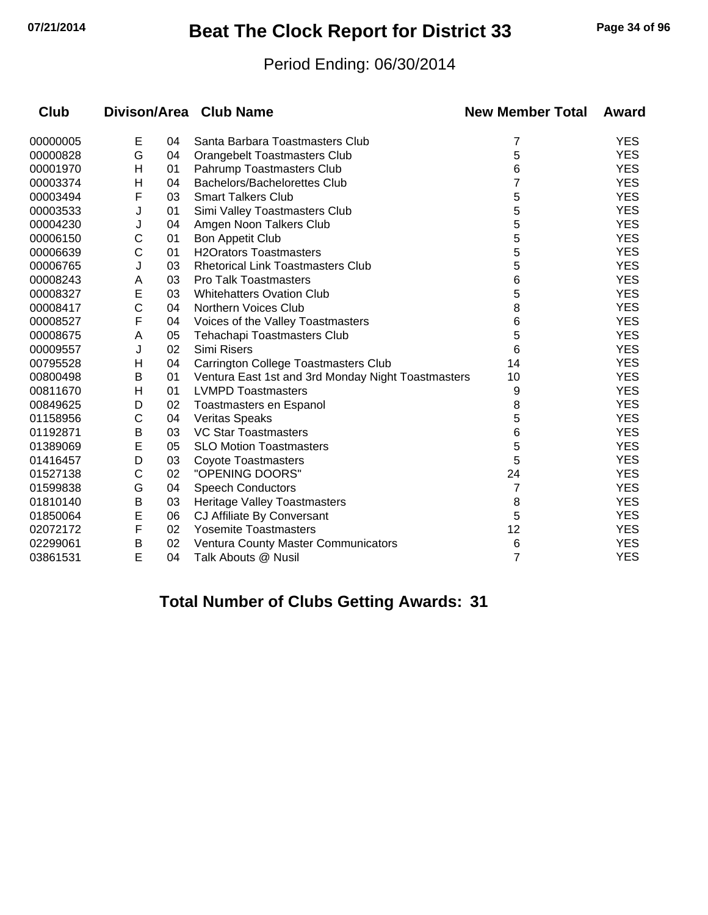## **07/21/2014 Beat The Clock Report for District 33 Page 34 of 96**

## Period Ending: 06/30/2014

| Club     |   |    | Divison/Area Club Name                             | <b>New Member Total</b> | Award      |
|----------|---|----|----------------------------------------------------|-------------------------|------------|
| 00000005 | E | 04 | Santa Barbara Toastmasters Club                    | 7                       | <b>YES</b> |
| 00000828 | G | 04 | <b>Orangebelt Toastmasters Club</b>                | 5                       | <b>YES</b> |
| 00001970 | Η | 01 | Pahrump Toastmasters Club                          | 6                       | <b>YES</b> |
| 00003374 | н | 04 | Bachelors/Bachelorettes Club                       | 7                       | <b>YES</b> |
| 00003494 | F | 03 | <b>Smart Talkers Club</b>                          | 5                       | <b>YES</b> |
| 00003533 | J | 01 | Simi Valley Toastmasters Club                      | 5                       | <b>YES</b> |
| 00004230 | J | 04 | Amgen Noon Talkers Club                            | 5                       | <b>YES</b> |
| 00006150 | С | 01 | <b>Bon Appetit Club</b>                            | 5                       | <b>YES</b> |
| 00006639 | C | 01 | <b>H2Orators Toastmasters</b>                      | 5                       | <b>YES</b> |
| 00006765 | J | 03 | <b>Rhetorical Link Toastmasters Club</b>           | 5                       | <b>YES</b> |
| 00008243 | A | 03 | <b>Pro Talk Toastmasters</b>                       | 6                       | <b>YES</b> |
| 00008327 | E | 03 | <b>Whitehatters Ovation Club</b>                   | 5                       | <b>YES</b> |
| 00008417 | C | 04 | Northern Voices Club                               | 8                       | <b>YES</b> |
| 00008527 | F | 04 | Voices of the Valley Toastmasters                  | 6                       | <b>YES</b> |
| 00008675 | A | 05 | Tehachapi Toastmasters Club                        | 5                       | <b>YES</b> |
| 00009557 | J | 02 | Simi Risers                                        | 6                       | <b>YES</b> |
| 00795528 | Н | 04 | Carrington College Toastmasters Club               | 14                      | <b>YES</b> |
| 00800498 | В | 01 | Ventura East 1st and 3rd Monday Night Toastmasters | 10                      | <b>YES</b> |
| 00811670 | H | 01 | <b>LVMPD Toastmasters</b>                          | 9                       | <b>YES</b> |
| 00849625 | D | 02 | Toastmasters en Espanol                            | 8                       | <b>YES</b> |
| 01158956 | C | 04 | <b>Veritas Speaks</b>                              | 5                       | <b>YES</b> |
| 01192871 | B | 03 | <b>VC Star Toastmasters</b>                        | 6                       | <b>YES</b> |
| 01389069 | E | 05 | <b>SLO Motion Toastmasters</b>                     | 5                       | <b>YES</b> |
| 01416457 | D | 03 | <b>Coyote Toastmasters</b>                         | 5                       | <b>YES</b> |
| 01527138 | C | 02 | "OPENING DOORS"                                    | 24                      | <b>YES</b> |
| 01599838 | G | 04 | <b>Speech Conductors</b>                           | 7                       | <b>YES</b> |
| 01810140 | B | 03 | <b>Heritage Valley Toastmasters</b>                | 8                       | <b>YES</b> |
| 01850064 | E | 06 | CJ Affiliate By Conversant                         | 5                       | <b>YES</b> |
| 02072172 | F | 02 | <b>Yosemite Toastmasters</b>                       | 12                      | <b>YES</b> |
| 02299061 | Β | 02 | <b>Ventura County Master Communicators</b>         | 6                       | <b>YES</b> |
| 03861531 | E | 04 | Talk Abouts @ Nusil                                | 7                       | <b>YES</b> |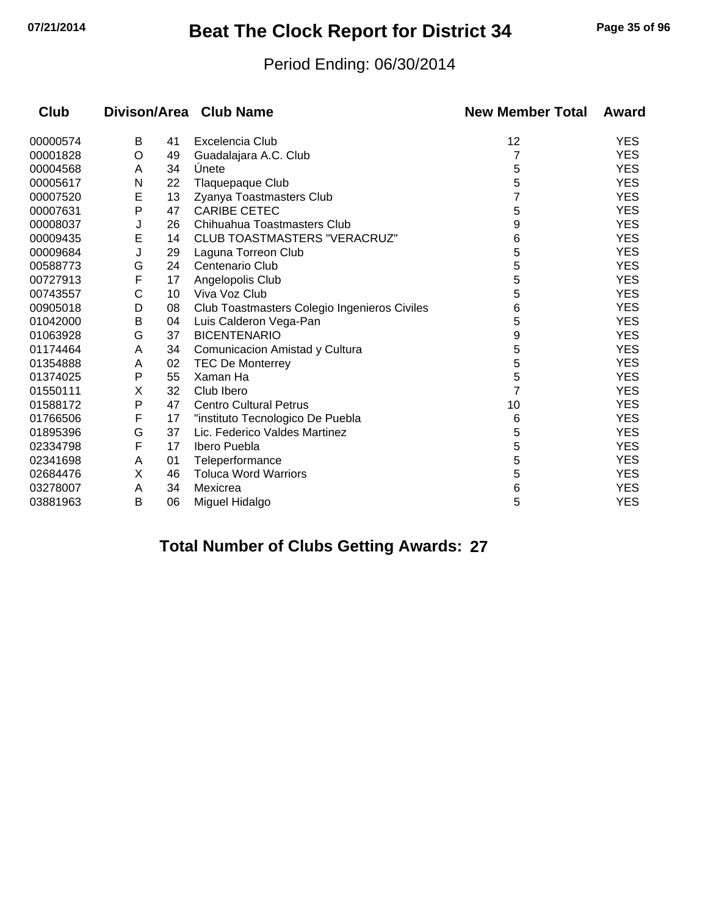## **07/21/2014 Beat The Clock Report for District 34 Page 35 of 96**

## Period Ending: 06/30/2014

| Club     |   |    | Divison/Area Club Name                       | <b>New Member Total</b> | Award      |
|----------|---|----|----------------------------------------------|-------------------------|------------|
| 00000574 | В | 41 | Excelencia Club                              | 12                      | <b>YES</b> |
| 00001828 | O | 49 | Guadalajara A.C. Club                        |                         | <b>YES</b> |
| 00004568 | A | 34 | Unete                                        | 5                       | <b>YES</b> |
| 00005617 | N | 22 | Tlaquepaque Club                             | 5                       | <b>YES</b> |
| 00007520 | E | 13 | Zyanya Toastmasters Club                     | 7                       | <b>YES</b> |
| 00007631 | P | 47 | <b>CARIBE CETEC</b>                          | 5                       | <b>YES</b> |
| 00008037 | J | 26 | Chihuahua Toastmasters Club                  | 9                       | <b>YES</b> |
| 00009435 | E | 14 | <b>CLUB TOASTMASTERS "VERACRUZ"</b>          | 6                       | <b>YES</b> |
| 00009684 | J | 29 | Laguna Torreon Club                          | 5                       | <b>YES</b> |
| 00588773 | G | 24 | Centenario Club                              | 5                       | <b>YES</b> |
| 00727913 | F | 17 | Angelopolis Club                             | 5                       | <b>YES</b> |
| 00743557 | С | 10 | Viva Voz Club                                | 5                       | <b>YES</b> |
| 00905018 | D | 08 | Club Toastmasters Colegio Ingenieros Civiles | 6                       | <b>YES</b> |
| 01042000 | B | 04 | Luis Calderon Vega-Pan                       | 5                       | <b>YES</b> |
| 01063928 | G | 37 | <b>BICENTENARIO</b>                          | 9                       | <b>YES</b> |
| 01174464 | A | 34 | Comunicacion Amistad y Cultura               | 5                       | <b>YES</b> |
| 01354888 | A | 02 | <b>TEC De Monterrey</b>                      | 5                       | <b>YES</b> |
| 01374025 | P | 55 | Xaman Ha                                     | 5                       | <b>YES</b> |
| 01550111 | X | 32 | Club Ibero                                   | 7                       | <b>YES</b> |
| 01588172 | P | 47 | <b>Centro Cultural Petrus</b>                | 10                      | <b>YES</b> |
| 01766506 | F | 17 | "instituto Tecnologico De Puebla             | 6                       | <b>YES</b> |
| 01895396 | G | 37 | Lic. Federico Valdes Martinez                | 5                       | <b>YES</b> |
| 02334798 | F | 17 | Ibero Puebla                                 | 5                       | <b>YES</b> |
| 02341698 | A | 01 | Teleperformance                              | 5                       | <b>YES</b> |
| 02684476 | Χ | 46 | <b>Toluca Word Warriors</b>                  | 5                       | <b>YES</b> |
| 03278007 | A | 34 | Mexicrea                                     | 6                       | <b>YES</b> |
| 03881963 | B | 06 | Miguel Hidalgo                               | 5                       | <b>YES</b> |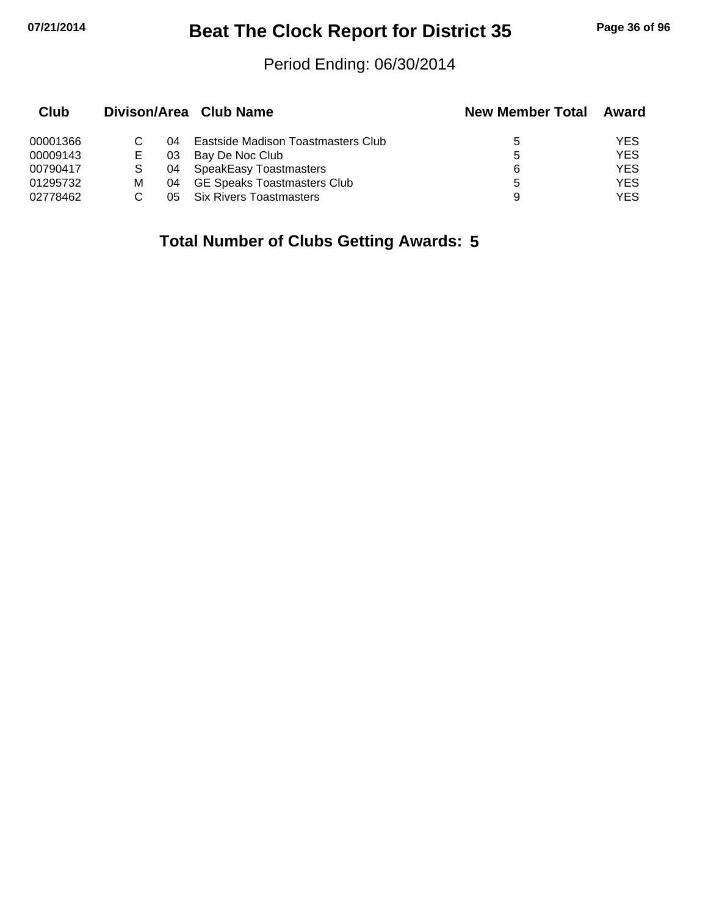# **07/21/2014 Beat The Clock Report for District 35 Page 36 of 96**

## Period Ending: 06/30/2014

| Club     |   |      | Divison/Area Club Name             | <b>New Member Total</b> | Award      |
|----------|---|------|------------------------------------|-------------------------|------------|
| 00001366 |   | 04.  | Eastside Madison Toastmasters Club | 5                       | YES.       |
| 00009143 |   | 03   | Bay De Noc Club                    | 5                       | <b>YES</b> |
| 00790417 |   | - 04 | SpeakEasy Toastmasters             | 6                       | YES.       |
| 01295732 | м | 04   | GE Speaks Toastmasters Club        | 5                       | YES.       |
| 02778462 |   | 05   | <b>Six Rivers Toastmasters</b>     | 9                       | YES.       |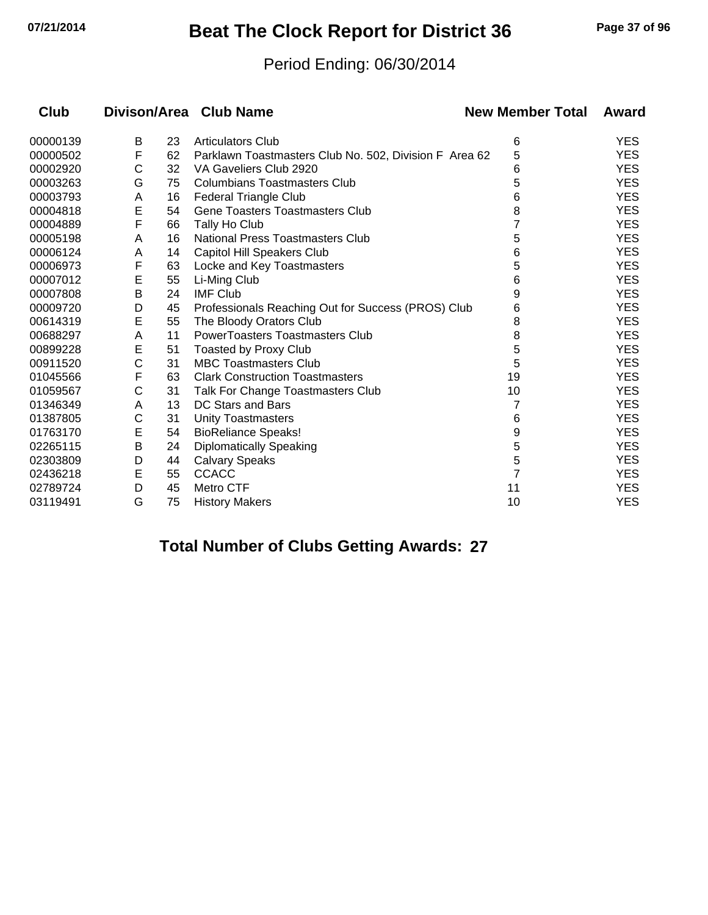# **07/21/2014 Beat The Clock Report for District 36 Page 37 of 96**

#### Period Ending: 06/30/2014

| Club     |             |    | Divison/Area Club Name                                 | <b>New Member Total</b> | Award      |
|----------|-------------|----|--------------------------------------------------------|-------------------------|------------|
| 00000139 | B           | 23 | <b>Articulators Club</b>                               | 6                       | <b>YES</b> |
| 00000502 | F           | 62 | Parklawn Toastmasters Club No. 502, Division F Area 62 | 5                       | <b>YES</b> |
| 00002920 | С           | 32 | VA Gaveliers Club 2920                                 | 6                       | <b>YES</b> |
| 00003263 | G           | 75 | <b>Columbians Toastmasters Club</b>                    | 5                       | <b>YES</b> |
| 00003793 | A           | 16 | Federal Triangle Club                                  | 6                       | <b>YES</b> |
| 00004818 | E           | 54 | <b>Gene Toasters Toastmasters Club</b>                 | 8                       | <b>YES</b> |
| 00004889 | F           | 66 | Tally Ho Club                                          |                         | <b>YES</b> |
| 00005198 | A           | 16 | National Press Toastmasters Club                       | 5                       | <b>YES</b> |
| 00006124 | A           | 14 | Capitol Hill Speakers Club                             | 6                       | <b>YES</b> |
| 00006973 | F           | 63 | Locke and Key Toastmasters                             | 5                       | <b>YES</b> |
| 00007012 | E           | 55 | Li-Ming Club                                           | 6                       | <b>YES</b> |
| 00007808 | B           | 24 | <b>IMF Club</b>                                        | 9                       | <b>YES</b> |
| 00009720 | D           | 45 | Professionals Reaching Out for Success (PROS) Club     | 6                       | <b>YES</b> |
| 00614319 | E           | 55 | The Bloody Orators Club                                | 8                       | <b>YES</b> |
| 00688297 | A           | 11 | <b>PowerToasters Toastmasters Club</b>                 | 8                       | <b>YES</b> |
| 00899228 | E           | 51 | Toasted by Proxy Club                                  | 5                       | <b>YES</b> |
| 00911520 | $\mathsf C$ | 31 | <b>MBC Toastmasters Club</b>                           | 5                       | <b>YES</b> |
| 01045566 | F           | 63 | <b>Clark Construction Toastmasters</b>                 | 19                      | <b>YES</b> |
| 01059567 | C           | 31 | Talk For Change Toastmasters Club                      | 10                      | <b>YES</b> |
| 01346349 | A           | 13 | DC Stars and Bars                                      | 7                       | <b>YES</b> |
| 01387805 | С           | 31 | <b>Unity Toastmasters</b>                              | 6                       | <b>YES</b> |
| 01763170 | Е           | 54 | <b>BioReliance Speaks!</b>                             | 9                       | <b>YES</b> |
| 02265115 | В           | 24 | <b>Diplomatically Speaking</b>                         | 5                       | <b>YES</b> |
| 02303809 | D           | 44 | <b>Calvary Speaks</b>                                  | 5                       | <b>YES</b> |
| 02436218 | Е           | 55 | <b>CCACC</b>                                           | $\overline{7}$          | <b>YES</b> |
| 02789724 | D           | 45 | Metro CTF                                              | 11                      | <b>YES</b> |
| 03119491 | G           | 75 | <b>History Makers</b>                                  | 10                      | <b>YES</b> |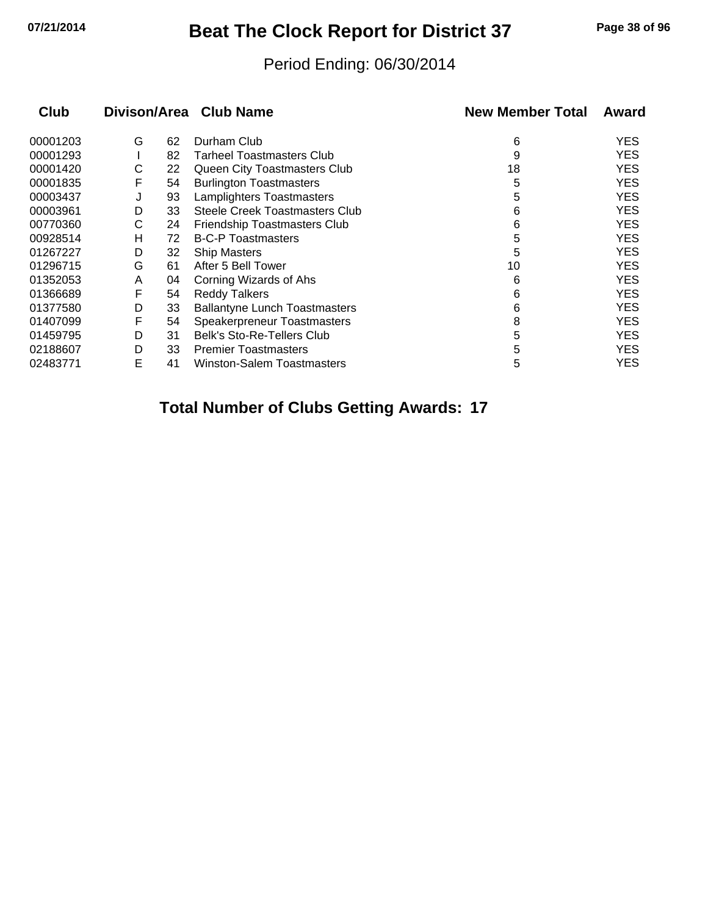## **07/21/2014 Beat The Clock Report for District 37 Page 38 of 96**

#### Period Ending: 06/30/2014

| <b>Club</b> |   |    | Divison/Area Club Name                | <b>New Member Total</b> | Award |
|-------------|---|----|---------------------------------------|-------------------------|-------|
| 00001203    | G | 62 | Durham Club                           | 6                       | YES   |
| 00001293    |   | 82 | <b>Tarheel Toastmasters Club</b>      | 9                       | YES.  |
| 00001420    | С | 22 | Queen City Toastmasters Club          | 18                      | YES   |
| 00001835    | F | 54 | <b>Burlington Toastmasters</b>        | 5                       | YES   |
| 00003437    | J | 93 | Lamplighters Toastmasters             | 5                       | YES   |
| 00003961    | D | 33 | <b>Steele Creek Toastmasters Club</b> | 6                       | YES   |
| 00770360    | С | 24 | Friendship Toastmasters Club          | 6                       | YES   |
| 00928514    | н | 72 | <b>B-C-P Toastmasters</b>             | 5                       | YES   |
| 01267227    | D | 32 | <b>Ship Masters</b>                   | 5                       | YES   |
| 01296715    | G | 61 | After 5 Bell Tower                    | 10                      | YES   |
| 01352053    | A | 04 | Corning Wizards of Ahs                | 6                       | YES   |
| 01366689    | F | 54 | <b>Reddy Talkers</b>                  | 6                       | YES   |
| 01377580    | D | 33 | <b>Ballantyne Lunch Toastmasters</b>  | 6                       | YES   |
| 01407099    | F | 54 | Speakerpreneur Toastmasters           | 8                       | YES   |
| 01459795    | D | 31 | Belk's Sto-Re-Tellers Club            | 5                       | YES.  |
| 02188607    | D | 33 | <b>Premier Toastmasters</b>           | 5                       | YES.  |
| 02483771    | E | 41 | Winston-Salem Toastmasters            | 5                       | YES   |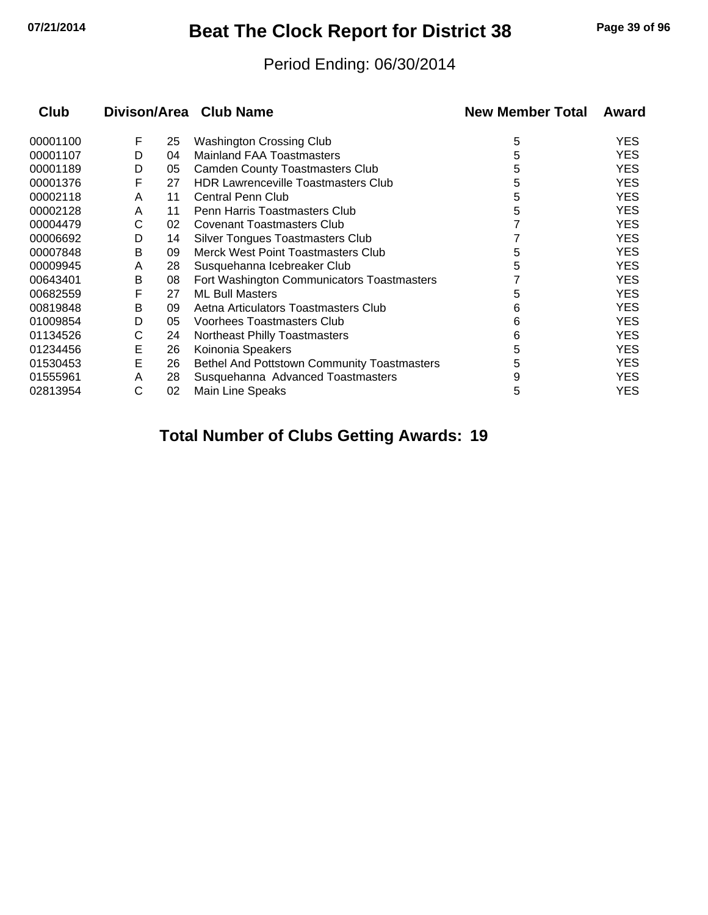## **07/21/2014 Beat The Clock Report for District 38 Page 39 of 96**

#### Period Ending: 06/30/2014

| <b>Club</b> |   |    | Divison/Area Club Name                      | <b>New Member Total</b> | Award      |
|-------------|---|----|---------------------------------------------|-------------------------|------------|
| 00001100    | F | 25 | <b>Washington Crossing Club</b>             | 5                       | <b>YES</b> |
| 00001107    | D | 04 | <b>Mainland FAA Toastmasters</b>            | 5                       | <b>YES</b> |
| 00001189    | D | 05 | <b>Camden County Toastmasters Club</b>      | 5                       | <b>YES</b> |
| 00001376    | F | 27 | <b>HDR Lawrenceville Toastmasters Club</b>  | 5                       | <b>YES</b> |
| 00002118    | A | 11 | <b>Central Penn Club</b>                    | 5                       | <b>YES</b> |
| 00002128    | A | 11 | Penn Harris Toastmasters Club               | 5                       | <b>YES</b> |
| 00004479    | С | 02 | Covenant Toastmasters Club                  |                         | <b>YES</b> |
| 00006692    | D | 14 | <b>Silver Tongues Toastmasters Club</b>     |                         | <b>YES</b> |
| 00007848    | В | 09 | Merck West Point Toastmasters Club          | 5                       | <b>YES</b> |
| 00009945    | A | 28 | Susquehanna Icebreaker Club                 | 5                       | <b>YES</b> |
| 00643401    | В | 08 | Fort Washington Communicators Toastmasters  |                         | <b>YES</b> |
| 00682559    | F | 27 | <b>ML Bull Masters</b>                      | 5                       | <b>YES</b> |
| 00819848    | В | 09 | Aetna Articulators Toastmasters Club        | 6                       | <b>YES</b> |
| 01009854    | D | 05 | <b>Voorhees Toastmasters Club</b>           | 6                       | <b>YES</b> |
| 01134526    | С | 24 | Northeast Philly Toastmasters               | 6                       | <b>YES</b> |
| 01234456    | E | 26 | Koinonia Speakers                           | 5                       | <b>YES</b> |
| 01530453    | E | 26 | Bethel And Pottstown Community Toastmasters | 5                       | <b>YES</b> |
| 01555961    | A | 28 | Susquehanna Advanced Toastmasters           | 9                       | <b>YES</b> |
| 02813954    | С | 02 | Main Line Speaks                            | 5                       | <b>YES</b> |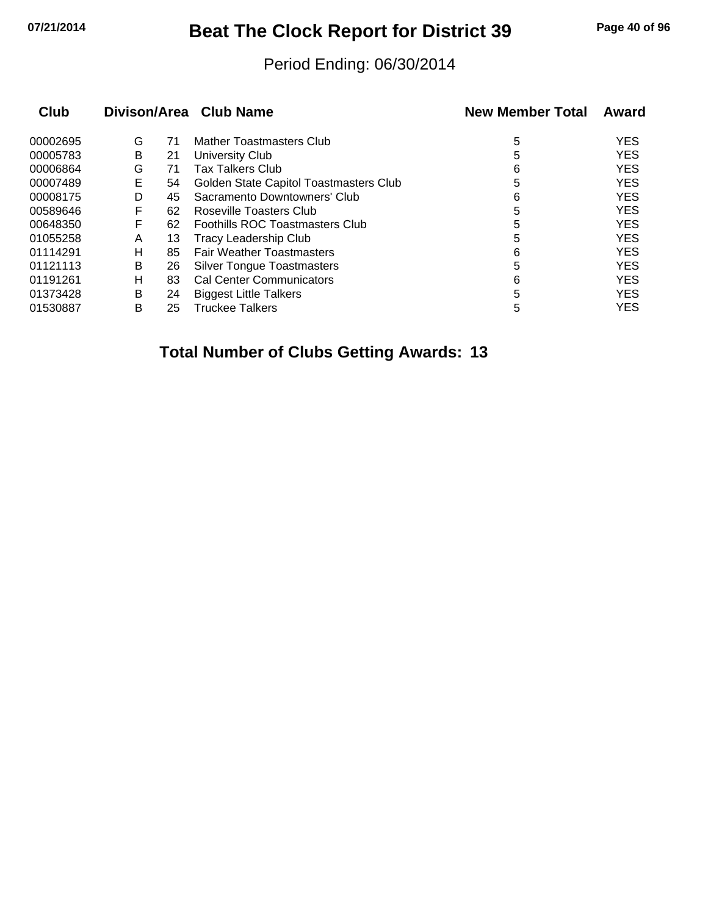## **07/21/2014 Beat The Clock Report for District 39 Page 40 of 96**

#### Period Ending: 06/30/2014

| Club     |   |    | Divison/Area Club Name                 | <b>New Member Total</b> | Award      |
|----------|---|----|----------------------------------------|-------------------------|------------|
| 00002695 | G | 71 | Mather Toastmasters Club               | 5                       | <b>YES</b> |
| 00005783 | В | 21 | University Club                        | 5                       | <b>YES</b> |
| 00006864 | G | 71 | <b>Tax Talkers Club</b>                | 6                       | <b>YES</b> |
| 00007489 | Е | 54 | Golden State Capitol Toastmasters Club | 5                       | <b>YES</b> |
| 00008175 | D | 45 | Sacramento Downtowners' Club           | 6                       | <b>YES</b> |
| 00589646 | F | 62 | Roseville Toasters Club                | 5                       | <b>YES</b> |
| 00648350 | F | 62 | Foothills ROC Toastmasters Club        | 5                       | <b>YES</b> |
| 01055258 | A | 13 | <b>Tracy Leadership Club</b>           | 5                       | <b>YES</b> |
| 01114291 | н | 85 | <b>Fair Weather Toastmasters</b>       | 6                       | <b>YES</b> |
| 01121113 | В | 26 | <b>Silver Tongue Toastmasters</b>      | 5                       | <b>YES</b> |
| 01191261 | н | 83 | <b>Cal Center Communicators</b>        | 6                       | <b>YES</b> |
| 01373428 | В | 24 | <b>Biggest Little Talkers</b>          | 5                       | <b>YES</b> |
| 01530887 | В | 25 | <b>Truckee Talkers</b>                 | 5                       | <b>YES</b> |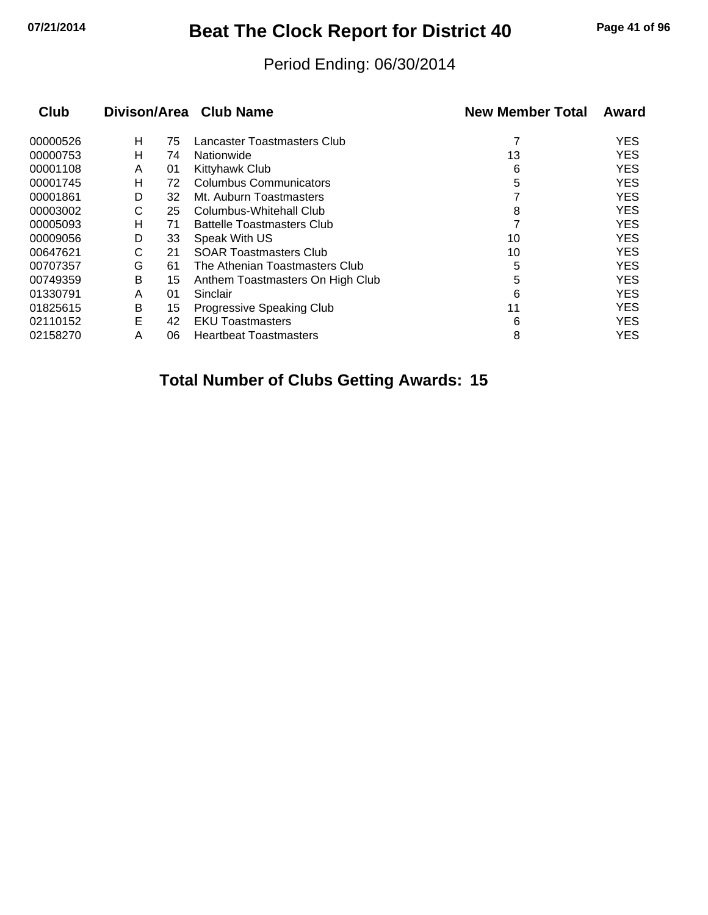# **07/21/2014 Beat The Clock Report for District 40 Page 41 of 96**

#### Period Ending: 06/30/2014

| <b>Club</b> |   |    | Divison/Area Club Name            | <b>New Member Total</b> | Award      |
|-------------|---|----|-----------------------------------|-------------------------|------------|
| 00000526    | н | 75 | Lancaster Toastmasters Club       |                         | <b>YES</b> |
| 00000753    | н | 74 | Nationwide                        | 13                      | <b>YES</b> |
| 00001108    | A | 01 | Kittyhawk Club                    | 6                       | <b>YES</b> |
| 00001745    | н | 72 | <b>Columbus Communicators</b>     | 5                       | <b>YES</b> |
| 00001861    | D | 32 | Mt. Auburn Toastmasters           |                         | <b>YES</b> |
| 00003002    | С | 25 | Columbus-Whitehall Club           | 8                       | <b>YES</b> |
| 00005093    | н | 71 | <b>Battelle Toastmasters Club</b> |                         | <b>YES</b> |
| 00009056    | D | 33 | Speak With US                     | 10                      | <b>YES</b> |
| 00647621    | С | 21 | <b>SOAR Toastmasters Club</b>     | 10                      | <b>YES</b> |
| 00707357    | G | 61 | The Athenian Toastmasters Club    | 5                       | <b>YES</b> |
| 00749359    | B | 15 | Anthem Toastmasters On High Club  | 5                       | <b>YES</b> |
| 01330791    | A | 01 | Sinclair                          | 6                       | <b>YES</b> |
| 01825615    | В | 15 | Progressive Speaking Club         | 11                      | <b>YES</b> |
| 02110152    | Е | 42 | <b>EKU Toastmasters</b>           | 6                       | <b>YES</b> |
| 02158270    | Α | 06 | <b>Heartbeat Toastmasters</b>     | 8                       | <b>YES</b> |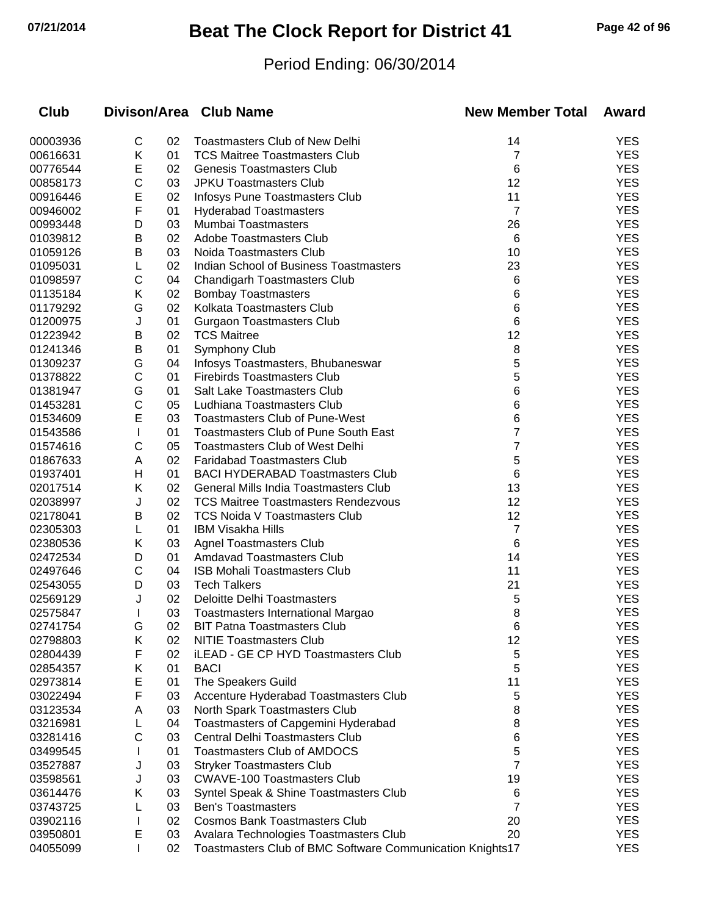# **07/21/2014 Beat The Clock Report for District 41 Page 42 of 96**

### Period Ending: 06/30/2014

| Club     |   |    | Divison/Area Club Name                                    | <b>New Member Total</b> | Award      |
|----------|---|----|-----------------------------------------------------------|-------------------------|------------|
| 00003936 | С | 02 | <b>Toastmasters Club of New Delhi</b>                     | 14                      | <b>YES</b> |
| 00616631 | Κ | 01 | <b>TCS Maitree Toastmasters Club</b>                      | 7                       | <b>YES</b> |
| 00776544 | E | 02 | <b>Genesis Toastmasters Club</b>                          | 6                       | <b>YES</b> |
| 00858173 | C | 03 | <b>JPKU Toastmasters Club</b>                             | 12                      | <b>YES</b> |
| 00916446 | E | 02 | Infosys Pune Toastmasters Club                            | 11                      | <b>YES</b> |
| 00946002 | F | 01 | <b>Hyderabad Toastmasters</b>                             | 7                       | <b>YES</b> |
| 00993448 | D | 03 | Mumbai Toastmasters                                       | 26                      | <b>YES</b> |
| 01039812 | B | 02 | <b>Adobe Toastmasters Club</b>                            | 6                       | <b>YES</b> |
| 01059126 | Β | 03 | Noida Toastmasters Club                                   | 10                      | <b>YES</b> |
| 01095031 | L | 02 | Indian School of Business Toastmasters                    | 23                      | <b>YES</b> |
| 01098597 | C | 04 | <b>Chandigarh Toastmasters Club</b>                       | 6                       | <b>YES</b> |
| 01135184 | Κ | 02 | <b>Bombay Toastmasters</b>                                | 6                       | <b>YES</b> |
| 01179292 | G | 02 | Kolkata Toastmasters Club                                 | 6                       | <b>YES</b> |
| 01200975 | J | 01 | <b>Gurgaon Toastmasters Club</b>                          | 6                       | <b>YES</b> |
| 01223942 | Β | 02 | <b>TCS Maitree</b>                                        | 12                      | <b>YES</b> |
| 01241346 | В | 01 | <b>Symphony Club</b>                                      | 8                       | <b>YES</b> |
| 01309237 | G | 04 | Infosys Toastmasters, Bhubaneswar                         | 5                       | <b>YES</b> |
| 01378822 | C | 01 | <b>Firebirds Toastmasters Club</b>                        | 5                       | <b>YES</b> |
| 01381947 | G | 01 | Salt Lake Toastmasters Club                               | 6                       | <b>YES</b> |
| 01453281 | C | 05 | Ludhiana Toastmasters Club                                | 6                       | <b>YES</b> |
| 01534609 | Ε | 03 | <b>Toastmasters Club of Pune-West</b>                     | 6                       | <b>YES</b> |
| 01543586 |   | 01 | <b>Toastmasters Club of Pune South East</b>               | 7                       | <b>YES</b> |
| 01574616 | С | 05 | <b>Toastmasters Club of West Delhi</b>                    | 7                       | <b>YES</b> |
| 01867633 | A | 02 | <b>Faridabad Toastmasters Club</b>                        | 5                       | <b>YES</b> |
| 01937401 | н | 01 | <b>BACI HYDERABAD Toastmasters Club</b>                   | 6                       | <b>YES</b> |
| 02017514 | Κ | 02 | General Mills India Toastmasters Club                     | 13                      | <b>YES</b> |
| 02038997 | J | 02 | <b>TCS Maitree Toastmasters Rendezvous</b>                | 12                      | <b>YES</b> |
| 02178041 | в | 02 | TCS Noida V Toastmasters Club                             | 12                      | <b>YES</b> |
| 02305303 | L | 01 | <b>IBM Visakha Hills</b>                                  | 7                       | <b>YES</b> |
| 02380536 | Κ | 03 | <b>Agnel Toastmasters Club</b>                            | 6                       | <b>YES</b> |
| 02472534 | D | 01 | <b>Amdavad Toastmasters Club</b>                          | 14                      | <b>YES</b> |
| 02497646 | С | 04 | ISB Mohali Toastmasters Club                              | 11                      | <b>YES</b> |
| 02543055 | D | 03 | <b>Tech Talkers</b>                                       | 21                      | <b>YES</b> |
| 02569129 | J | 02 | <b>Deloitte Delhi Toastmasters</b>                        | 5                       | <b>YES</b> |
| 02575847 | I | 03 | Toastmasters International Margao                         | 8                       | <b>YES</b> |
| 02741754 | G | 02 | <b>BIT Patna Toastmasters Club</b>                        | 6                       | <b>YES</b> |
| 02798803 | Κ | 02 | <b>NITIE Toastmasters Club</b>                            | 12                      | <b>YES</b> |
| 02804439 | F | 02 | iLEAD - GE CP HYD Toastmasters Club                       | 5                       | <b>YES</b> |
| 02854357 | Κ | 01 | <b>BACI</b>                                               | 5                       | <b>YES</b> |
| 02973814 | Е | 01 | The Speakers Guild                                        | 11                      | <b>YES</b> |
| 03022494 | F | 03 | Accenture Hyderabad Toastmasters Club                     | 5                       | <b>YES</b> |
| 03123534 | Α | 03 | North Spark Toastmasters Club                             | 8                       | <b>YES</b> |
| 03216981 | L | 04 | Toastmasters of Capgemini Hyderabad                       | 8                       | <b>YES</b> |
| 03281416 | С | 03 | <b>Central Delhi Toastmasters Club</b>                    | 6                       | <b>YES</b> |
| 03499545 |   | 01 | <b>Toastmasters Club of AMDOCS</b>                        | 5                       | <b>YES</b> |
| 03527887 | J | 03 | <b>Stryker Toastmasters Club</b>                          | 7                       | <b>YES</b> |
| 03598561 | J | 03 | <b>CWAVE-100 Toastmasters Club</b>                        | 19                      | <b>YES</b> |
| 03614476 | Κ | 03 | Syntel Speak & Shine Toastmasters Club                    | 6                       | <b>YES</b> |
| 03743725 |   | 03 | <b>Ben's Toastmasters</b>                                 | 7                       | <b>YES</b> |
| 03902116 |   | 02 | <b>Cosmos Bank Toastmasters Club</b>                      | 20                      | <b>YES</b> |
| 03950801 | E | 03 | Avalara Technologies Toastmasters Club                    | 20                      | <b>YES</b> |
| 04055099 |   | 02 | Toastmasters Club of BMC Software Communication Knights17 |                         | <b>YES</b> |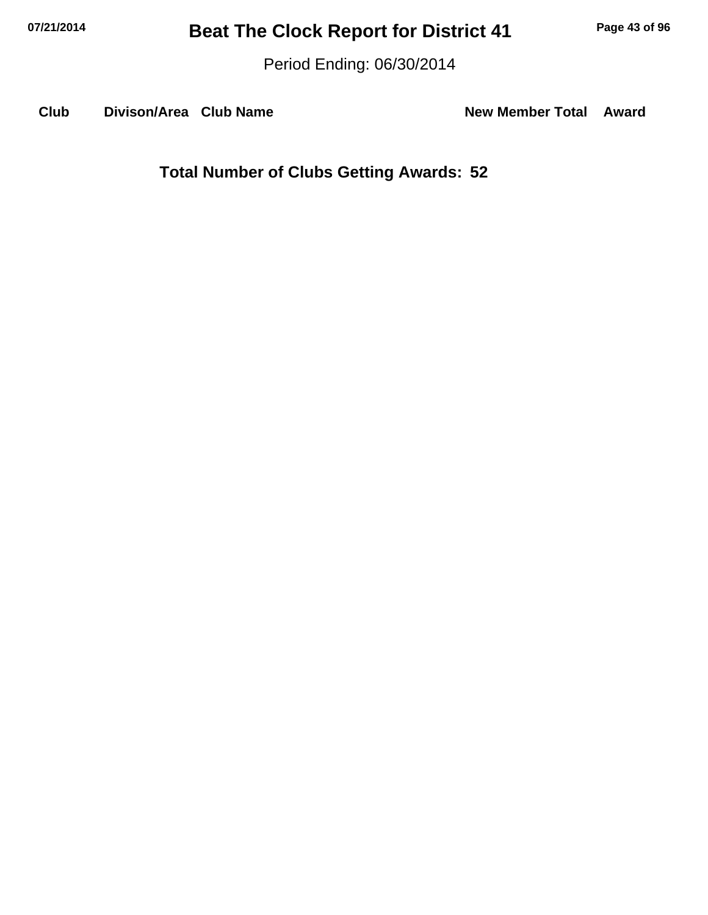Period Ending: 06/30/2014

Club Divison/Area Club Name **New Member Total Award**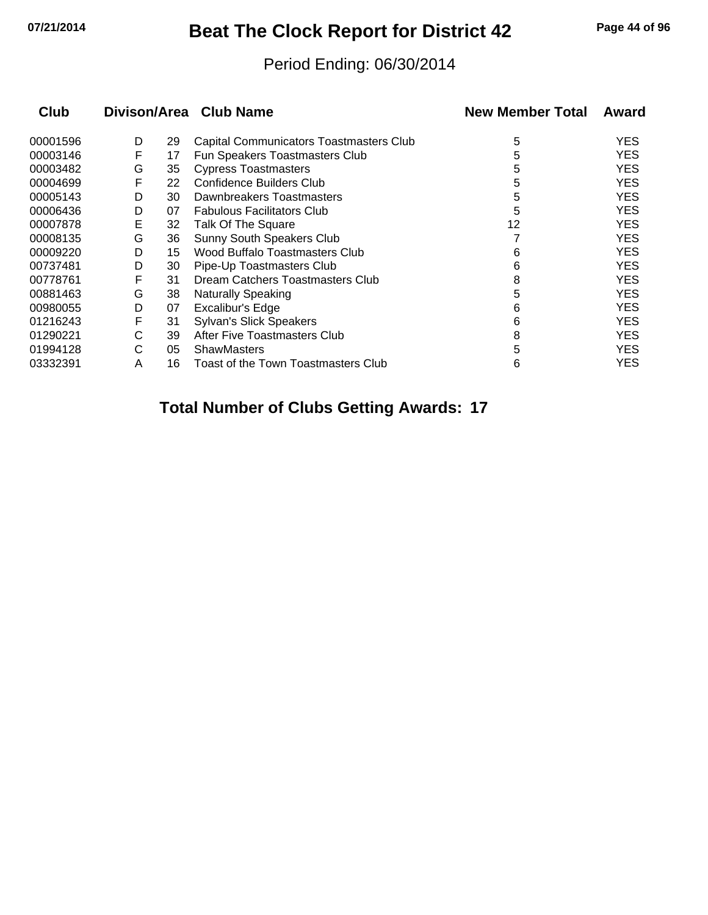## **07/21/2014 Beat The Clock Report for District 42 Page 44 of 96**

#### Period Ending: 06/30/2014

| <b>Club</b> |   |    | Divison/Area Club Name                  | <b>New Member Total</b> | Award      |
|-------------|---|----|-----------------------------------------|-------------------------|------------|
| 00001596    | D | 29 | Capital Communicators Toastmasters Club | 5                       | <b>YES</b> |
| 00003146    | F | 17 | Fun Speakers Toastmasters Club          | 5                       | <b>YES</b> |
| 00003482    | G | 35 | <b>Cypress Toastmasters</b>             | 5                       | <b>YES</b> |
| 00004699    | F | 22 | Confidence Builders Club                | 5                       | <b>YES</b> |
| 00005143    | D | 30 | Dawnbreakers Toastmasters               | 5                       | <b>YES</b> |
| 00006436    | D | 07 | <b>Fabulous Facilitators Club</b>       | 5                       | <b>YES</b> |
| 00007878    | Е | 32 | Talk Of The Square                      | 12                      | <b>YES</b> |
| 00008135    | G | 36 | <b>Sunny South Speakers Club</b>        |                         | <b>YES</b> |
| 00009220    | D | 15 | Wood Buffalo Toastmasters Club          | 6                       | <b>YES</b> |
| 00737481    | D | 30 | Pipe-Up Toastmasters Club               | 6                       | <b>YES</b> |
| 00778761    | F | 31 | Dream Catchers Toastmasters Club        | 8                       | <b>YES</b> |
| 00881463    | G | 38 | <b>Naturally Speaking</b>               | 5                       | <b>YES</b> |
| 00980055    | D | 07 | Excalibur's Edge                        | 6                       | <b>YES</b> |
| 01216243    | F | 31 | <b>Sylvan's Slick Speakers</b>          | 6                       | <b>YES</b> |
| 01290221    | С | 39 | After Five Toastmasters Club            | 8                       | <b>YES</b> |
| 01994128    | C | 05 | <b>ShawMasters</b>                      | 5                       | <b>YES</b> |
| 03332391    | A | 16 | Toast of the Town Toastmasters Club     | 6                       | YES.       |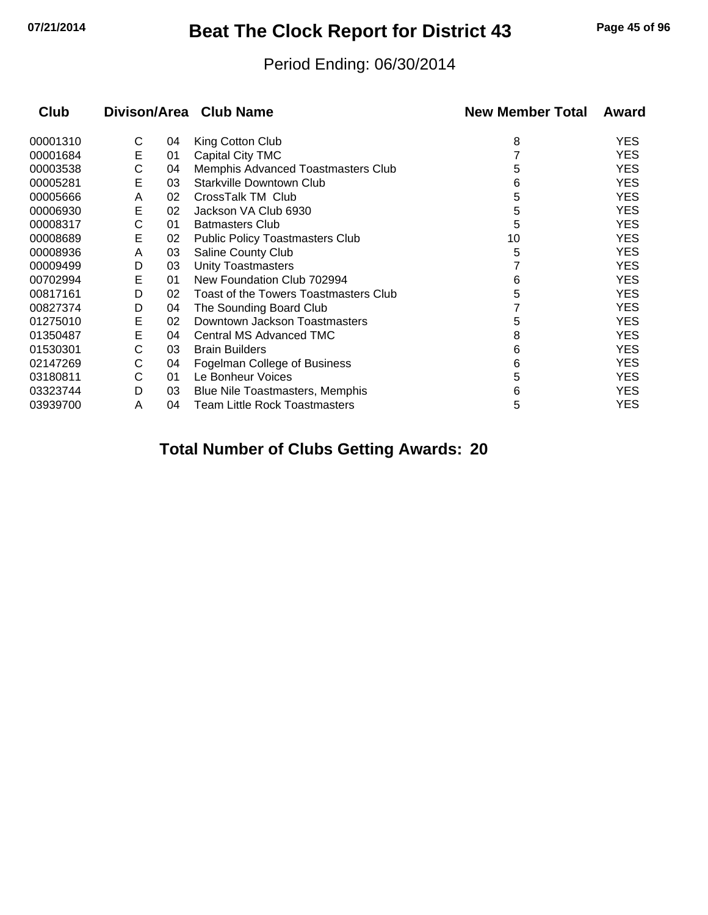# **07/21/2014 Beat The Clock Report for District 43 Page 45 of 96**

#### Period Ending: 06/30/2014

| Club     |   |    | Divison/Area Club Name                 | <b>New Member Total</b> | Award      |
|----------|---|----|----------------------------------------|-------------------------|------------|
| 00001310 | С | 04 | King Cotton Club                       | 8                       | <b>YES</b> |
| 00001684 | Е | 01 | Capital City TMC                       |                         | <b>YES</b> |
| 00003538 | С | 04 | Memphis Advanced Toastmasters Club     | 5                       | <b>YES</b> |
| 00005281 | E | 03 | <b>Starkville Downtown Club</b>        | 6                       | <b>YES</b> |
| 00005666 | A | 02 | CrossTalk TM Club                      | 5                       | <b>YES</b> |
| 00006930 | E | 02 | Jackson VA Club 6930                   | 5                       | <b>YES</b> |
| 00008317 | С | 01 | <b>Batmasters Club</b>                 | 5                       | <b>YES</b> |
| 00008689 | E | 02 | <b>Public Policy Toastmasters Club</b> | 10                      | <b>YES</b> |
| 00008936 | A | 03 | Saline County Club                     | 5                       | <b>YES</b> |
| 00009499 | D | 03 | <b>Unity Toastmasters</b>              |                         | <b>YES</b> |
| 00702994 | Е | 01 | New Foundation Club 702994             | 6                       | <b>YES</b> |
| 00817161 | D | 02 | Toast of the Towers Toastmasters Club  | 5                       | <b>YES</b> |
| 00827374 | D | 04 | The Sounding Board Club                |                         | <b>YES</b> |
| 01275010 | E | 02 | Downtown Jackson Toastmasters          | 5                       | <b>YES</b> |
| 01350487 | E | 04 | Central MS Advanced TMC                | 8                       | <b>YES</b> |
| 01530301 | С | 03 | <b>Brain Builders</b>                  | 6                       | <b>YES</b> |
| 02147269 | С | 04 | Fogelman College of Business           | 6                       | <b>YES</b> |
| 03180811 | С | 01 | Le Bonheur Voices                      | 5                       | <b>YES</b> |
| 03323744 | D | 03 | Blue Nile Toastmasters, Memphis        | 6                       | <b>YES</b> |
| 03939700 | A | 04 | <b>Team Little Rock Toastmasters</b>   | 5                       | <b>YES</b> |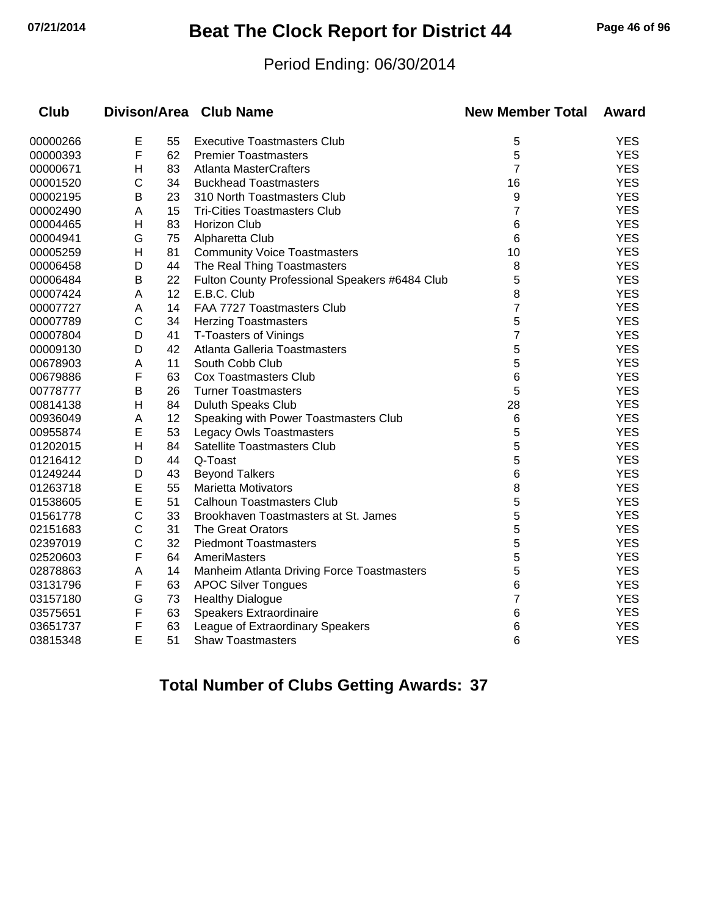## **07/21/2014 Beat The Clock Report for District 44 Page 46 of 96**

#### Period Ending: 06/30/2014

| Club     |   |    | Divison/Area Club Name                         | <b>New Member Total</b> | Award      |
|----------|---|----|------------------------------------------------|-------------------------|------------|
| 00000266 | E | 55 | <b>Executive Toastmasters Club</b>             | 5                       | <b>YES</b> |
| 00000393 | F | 62 | <b>Premier Toastmasters</b>                    | 5                       | <b>YES</b> |
| 00000671 | Н | 83 | <b>Atlanta MasterCrafters</b>                  | $\overline{7}$          | <b>YES</b> |
| 00001520 | C | 34 | <b>Buckhead Toastmasters</b>                   | 16                      | <b>YES</b> |
| 00002195 | B | 23 | 310 North Toastmasters Club                    | 9                       | <b>YES</b> |
| 00002490 | A | 15 | <b>Tri-Cities Toastmasters Club</b>            | 7                       | <b>YES</b> |
| 00004465 | Н | 83 | <b>Horizon Club</b>                            | 6                       | <b>YES</b> |
| 00004941 | G | 75 | Alpharetta Club                                | 6                       | <b>YES</b> |
| 00005259 | Н | 81 | <b>Community Voice Toastmasters</b>            | 10                      | <b>YES</b> |
| 00006458 | D | 44 | The Real Thing Toastmasters                    | 8                       | <b>YES</b> |
| 00006484 | B | 22 | Fulton County Professional Speakers #6484 Club | 5                       | <b>YES</b> |
| 00007424 | A | 12 | E.B.C. Club                                    | 8                       | <b>YES</b> |
| 00007727 | A | 14 | FAA 7727 Toastmasters Club                     | 7                       | <b>YES</b> |
| 00007789 | C | 34 | <b>Herzing Toastmasters</b>                    | 5                       | <b>YES</b> |
| 00007804 | D | 41 | <b>T-Toasters of Vinings</b>                   | 7                       | <b>YES</b> |
| 00009130 | D | 42 | Atlanta Galleria Toastmasters                  | 5                       | <b>YES</b> |
| 00678903 | Α | 11 | South Cobb Club                                | 5                       | <b>YES</b> |
| 00679886 | F | 63 | <b>Cox Toastmasters Club</b>                   | 6                       | <b>YES</b> |
| 00778777 | B | 26 | <b>Turner Toastmasters</b>                     | 5                       | <b>YES</b> |
| 00814138 | H | 84 | <b>Duluth Speaks Club</b>                      | 28                      | <b>YES</b> |
| 00936049 | A | 12 | Speaking with Power Toastmasters Club          | $6\phantom{1}$          | <b>YES</b> |
| 00955874 | E | 53 | Legacy Owls Toastmasters                       | 5                       | <b>YES</b> |
| 01202015 | H | 84 | <b>Satellite Toastmasters Club</b>             | 5                       | <b>YES</b> |
| 01216412 | D | 44 | Q-Toast                                        | 5                       | <b>YES</b> |
| 01249244 | D | 43 | <b>Beyond Talkers</b>                          | 6                       | <b>YES</b> |
| 01263718 | E | 55 | <b>Marietta Motivators</b>                     | 8                       | <b>YES</b> |
| 01538605 | E | 51 | <b>Calhoun Toastmasters Club</b>               | 5                       | <b>YES</b> |
| 01561778 | С | 33 | Brookhaven Toastmasters at St. James           | 5                       | <b>YES</b> |
| 02151683 | C | 31 | <b>The Great Orators</b>                       | 5                       | <b>YES</b> |
| 02397019 | С | 32 | <b>Piedmont Toastmasters</b>                   | 5                       | <b>YES</b> |
| 02520603 | F | 64 | AmeriMasters                                   | 5                       | <b>YES</b> |
| 02878863 | A | 14 | Manheim Atlanta Driving Force Toastmasters     | 5                       | <b>YES</b> |
| 03131796 | F | 63 | <b>APOC Silver Tongues</b>                     | 6                       | <b>YES</b> |
| 03157180 | G | 73 | <b>Healthy Dialogue</b>                        | 7                       | <b>YES</b> |
| 03575651 | F | 63 | Speakers Extraordinaire                        | 6                       | <b>YES</b> |
| 03651737 | F | 63 | League of Extraordinary Speakers               | 6                       | <b>YES</b> |
| 03815348 | E | 51 | <b>Shaw Toastmasters</b>                       | 6                       | <b>YES</b> |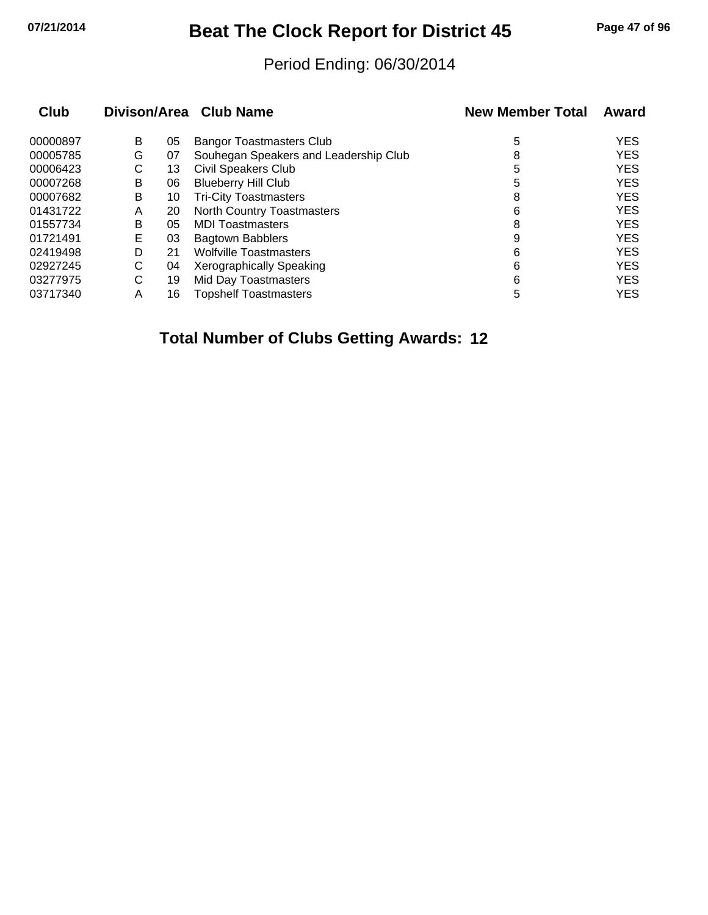## **07/21/2014 Beat The Clock Report for District 45 Page 47 of 96**

#### Period Ending: 06/30/2014

| Club     |   |    | Divison/Area Club Name                | <b>New Member Total</b> | Award      |
|----------|---|----|---------------------------------------|-------------------------|------------|
| 00000897 | B | 05 | <b>Bangor Toastmasters Club</b>       | 5                       | <b>YES</b> |
| 00005785 | G | 07 | Souhegan Speakers and Leadership Club | 8                       | <b>YES</b> |
| 00006423 | С | 13 | <b>Civil Speakers Club</b>            | 5                       | <b>YES</b> |
| 00007268 | B | 06 | <b>Blueberry Hill Club</b>            | 5                       | <b>YES</b> |
| 00007682 | B | 10 | <b>Tri-City Toastmasters</b>          | 8                       | <b>YES</b> |
| 01431722 | Α | 20 | North Country Toastmasters            | 6                       | <b>YES</b> |
| 01557734 | B | 05 | <b>MDI Toastmasters</b>               | 8                       | <b>YES</b> |
| 01721491 | E | 03 | <b>Bagtown Babblers</b>               | 9                       | <b>YES</b> |
| 02419498 | D | 21 | <b>Wolfville Toastmasters</b>         | 6                       | <b>YES</b> |
| 02927245 | С | 04 | Xerographically Speaking              | 6                       | <b>YES</b> |
| 03277975 | С | 19 | Mid Day Toastmasters                  | 6                       | <b>YES</b> |
| 03717340 | Α | 16 | <b>Topshelf Toastmasters</b>          | 5                       | <b>YES</b> |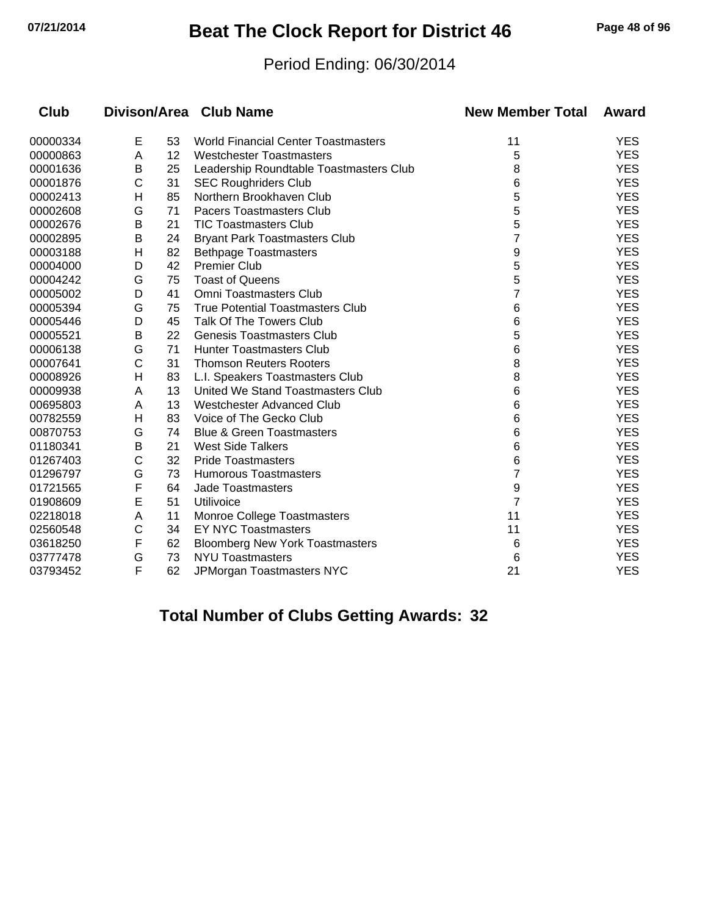## **07/21/2014 Beat The Clock Report for District 46 Page 48 of 96**

#### Period Ending: 06/30/2014

| <b>Club</b> |   |    | Divison/Area Club Name                     | <b>New Member Total</b> | Award      |
|-------------|---|----|--------------------------------------------|-------------------------|------------|
| 00000334    | E | 53 | <b>World Financial Center Toastmasters</b> | 11                      | <b>YES</b> |
| 00000863    | A | 12 | <b>Westchester Toastmasters</b>            | 5                       | <b>YES</b> |
| 00001636    | B | 25 | Leadership Roundtable Toastmasters Club    | 8                       | <b>YES</b> |
| 00001876    | C | 31 | <b>SEC Roughriders Club</b>                | 6                       | <b>YES</b> |
| 00002413    | Η | 85 | Northern Brookhaven Club                   | 5                       | <b>YES</b> |
| 00002608    | G | 71 | <b>Pacers Toastmasters Club</b>            | 5                       | <b>YES</b> |
| 00002676    | В | 21 | <b>TIC Toastmasters Club</b>               | 5                       | <b>YES</b> |
| 00002895    | В | 24 | <b>Bryant Park Toastmasters Club</b>       | 7                       | <b>YES</b> |
| 00003188    | Η | 82 | <b>Bethpage Toastmasters</b>               | 9                       | <b>YES</b> |
| 00004000    | D | 42 | <b>Premier Club</b>                        | 5                       | <b>YES</b> |
| 00004242    | G | 75 | <b>Toast of Queens</b>                     | 5                       | <b>YES</b> |
| 00005002    | D | 41 | <b>Omni Toastmasters Club</b>              | 7                       | <b>YES</b> |
| 00005394    | G | 75 | <b>True Potential Toastmasters Club</b>    | 6                       | <b>YES</b> |
| 00005446    | D | 45 | <b>Talk Of The Towers Club</b>             | 6                       | <b>YES</b> |
| 00005521    | B | 22 | <b>Genesis Toastmasters Club</b>           | 5                       | <b>YES</b> |
| 00006138    | G | 71 | <b>Hunter Toastmasters Club</b>            | 6                       | <b>YES</b> |
| 00007641    | C | 31 | <b>Thomson Reuters Rooters</b>             | 8                       | <b>YES</b> |
| 00008926    | н | 83 | L.I. Speakers Toastmasters Club            | 8                       | <b>YES</b> |
| 00009938    | A | 13 | United We Stand Toastmasters Club          | 6                       | <b>YES</b> |
| 00695803    | A | 13 | <b>Westchester Advanced Club</b>           | 6                       | <b>YES</b> |
| 00782559    | н | 83 | Voice of The Gecko Club                    | 6                       | <b>YES</b> |
| 00870753    | G | 74 | <b>Blue &amp; Green Toastmasters</b>       | 6                       | <b>YES</b> |
| 01180341    | B | 21 | <b>West Side Talkers</b>                   | 6                       | <b>YES</b> |
| 01267403    | C | 32 | <b>Pride Toastmasters</b>                  | 6                       | <b>YES</b> |
| 01296797    | G | 73 | <b>Humorous Toastmasters</b>               | 7                       | <b>YES</b> |
| 01721565    | F | 64 | <b>Jade Toastmasters</b>                   | 9                       | <b>YES</b> |
| 01908609    | E | 51 | Utilivoice                                 | $\overline{7}$          | <b>YES</b> |
| 02218018    | A | 11 | Monroe College Toastmasters                | 11                      | <b>YES</b> |
| 02560548    | C | 34 | <b>EY NYC Toastmasters</b>                 | 11                      | <b>YES</b> |
| 03618250    | F | 62 | <b>Bloomberg New York Toastmasters</b>     | 6                       | <b>YES</b> |
| 03777478    | G | 73 | <b>NYU Toastmasters</b>                    | 6                       | <b>YES</b> |
| 03793452    | F | 62 | JPMorgan Toastmasters NYC                  | 21                      | <b>YES</b> |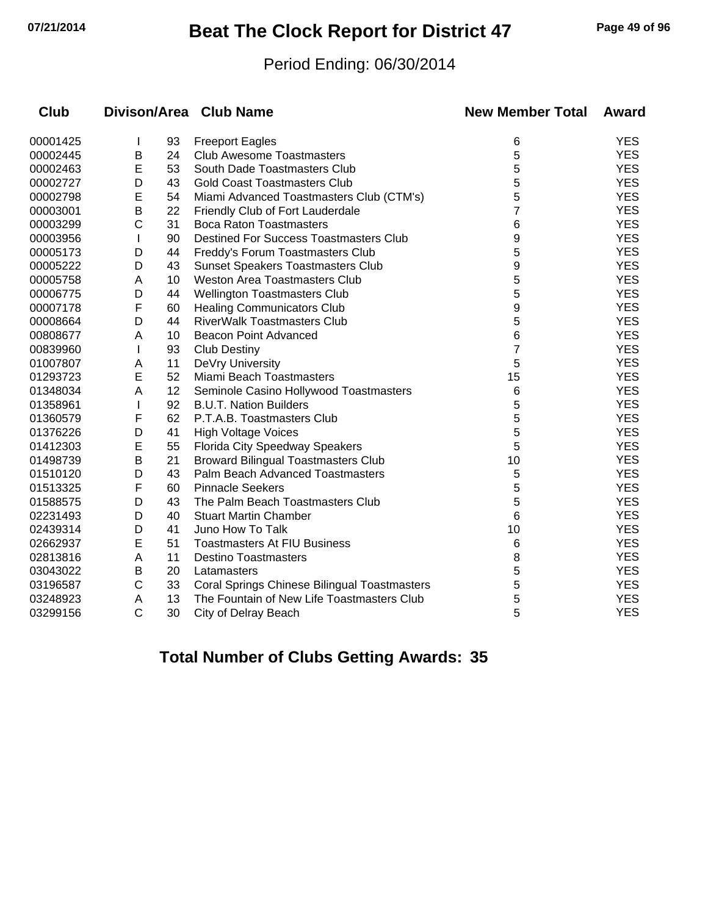## **07/21/2014 Beat The Clock Report for District 47 Page 49 of 96**

#### Period Ending: 06/30/2014

| <b>Club</b> |              |    | Divison/Area Club Name                       | <b>New Member Total</b> | Award      |
|-------------|--------------|----|----------------------------------------------|-------------------------|------------|
| 00001425    |              | 93 | <b>Freeport Eagles</b>                       | 6                       | <b>YES</b> |
| 00002445    | В            | 24 | <b>Club Awesome Toastmasters</b>             | 5                       | <b>YES</b> |
| 00002463    | E            | 53 | South Dade Toastmasters Club                 | 5                       | <b>YES</b> |
| 00002727    | D            | 43 | <b>Gold Coast Toastmasters Club</b>          | 5                       | <b>YES</b> |
| 00002798    | E            | 54 | Miami Advanced Toastmasters Club (CTM's)     | 5                       | <b>YES</b> |
| 00003001    | В            | 22 | Friendly Club of Fort Lauderdale             | 7                       | <b>YES</b> |
| 00003299    | С            | 31 | <b>Boca Raton Toastmasters</b>               | 6                       | <b>YES</b> |
| 00003956    | $\mathbf{I}$ | 90 | Destined For Success Toastmasters Club       | 9                       | <b>YES</b> |
| 00005173    | D            | 44 | Freddy's Forum Toastmasters Club             | 5                       | <b>YES</b> |
| 00005222    | D            | 43 | <b>Sunset Speakers Toastmasters Club</b>     | 9                       | <b>YES</b> |
| 00005758    | A            | 10 | <b>Weston Area Toastmasters Club</b>         | 5                       | <b>YES</b> |
| 00006775    | D            | 44 | Wellington Toastmasters Club                 | 5                       | <b>YES</b> |
| 00007178    | F            | 60 | <b>Healing Communicators Club</b>            | 9                       | <b>YES</b> |
| 00008664    | D            | 44 | <b>RiverWalk Toastmasters Club</b>           | 5                       | <b>YES</b> |
| 00808677    | Α            | 10 | <b>Beacon Point Advanced</b>                 | 6                       | <b>YES</b> |
| 00839960    | $\mathbf{I}$ | 93 | <b>Club Destiny</b>                          | 7                       | <b>YES</b> |
| 01007807    | A            | 11 | DeVry University                             | 5                       | <b>YES</b> |
| 01293723    | Е            | 52 | Miami Beach Toastmasters                     | 15                      | <b>YES</b> |
| 01348034    | Α            | 12 | Seminole Casino Hollywood Toastmasters       | 6                       | <b>YES</b> |
| 01358961    |              | 92 | <b>B.U.T. Nation Builders</b>                | 5                       | <b>YES</b> |
| 01360579    | F            | 62 | P.T.A.B. Toastmasters Club                   | 5                       | <b>YES</b> |
| 01376226    | D            | 41 | <b>High Voltage Voices</b>                   | 5                       | <b>YES</b> |
| 01412303    | E            | 55 | Florida City Speedway Speakers               | 5                       | <b>YES</b> |
| 01498739    | В            | 21 | <b>Broward Bilingual Toastmasters Club</b>   | 10                      | <b>YES</b> |
| 01510120    | D            | 43 | Palm Beach Advanced Toastmasters             | 5                       | <b>YES</b> |
| 01513325    | F            | 60 | <b>Pinnacle Seekers</b>                      | 5                       | <b>YES</b> |
| 01588575    | D            | 43 | The Palm Beach Toastmasters Club             | 5                       | <b>YES</b> |
| 02231493    | D            | 40 | <b>Stuart Martin Chamber</b>                 | 6                       | <b>YES</b> |
| 02439314    | D            | 41 | Juno How To Talk                             | 10                      | <b>YES</b> |
| 02662937    | Е            | 51 | <b>Toastmasters At FIU Business</b>          | 6                       | <b>YES</b> |
| 02813816    | A            | 11 | <b>Destino Toastmasters</b>                  | 8                       | <b>YES</b> |
| 03043022    | В            | 20 | Latamasters                                  | 5                       | <b>YES</b> |
| 03196587    | C            | 33 | Coral Springs Chinese Bilingual Toastmasters | 5                       | <b>YES</b> |
| 03248923    | Α            | 13 | The Fountain of New Life Toastmasters Club   | 5                       | <b>YES</b> |
| 03299156    | C            | 30 | City of Delray Beach                         | 5                       | <b>YES</b> |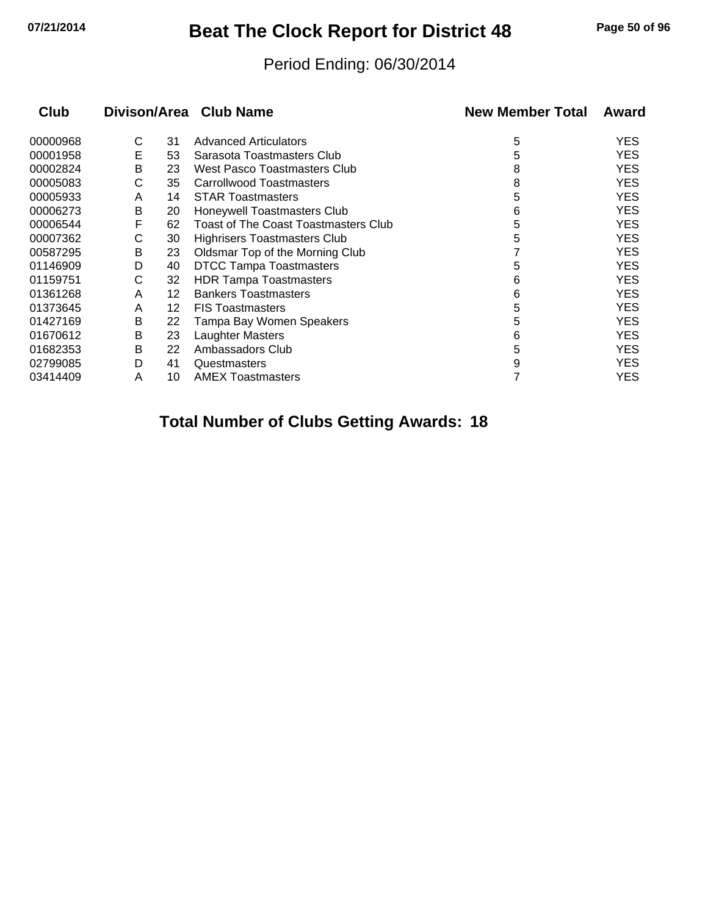# **07/21/2014 Beat The Clock Report for District 48 Page 50 of 96**

#### Period Ending: 06/30/2014

| <b>Club</b> |   |    | Divison/Area Club Name                      | <b>New Member Total</b> | Award      |
|-------------|---|----|---------------------------------------------|-------------------------|------------|
| 00000968    | С | 31 | <b>Advanced Articulators</b>                | 5                       | <b>YES</b> |
| 00001958    | E | 53 | Sarasota Toastmasters Club                  | 5                       | <b>YES</b> |
| 00002824    | B | 23 | West Pasco Toastmasters Club                | 8                       | <b>YES</b> |
| 00005083    | С | 35 | Carrollwood Toastmasters                    | 8                       | <b>YES</b> |
| 00005933    | A | 14 | <b>STAR Toastmasters</b>                    | 5                       | <b>YES</b> |
| 00006273    | В | 20 | Honeywell Toastmasters Club                 | 6                       | <b>YES</b> |
| 00006544    | F | 62 | <b>Toast of The Coast Toastmasters Club</b> | 5                       | <b>YES</b> |
| 00007362    | С | 30 | Highrisers Toastmasters Club                | 5                       | <b>YES</b> |
| 00587295    | В | 23 | Oldsmar Top of the Morning Club             |                         | <b>YES</b> |
| 01146909    | D | 40 | <b>DTCC Tampa Toastmasters</b>              | 5                       | <b>YES</b> |
| 01159751    | С | 32 | <b>HDR Tampa Toastmasters</b>               | 6                       | <b>YES</b> |
| 01361268    | A | 12 | <b>Bankers Toastmasters</b>                 | 6                       | <b>YES</b> |
| 01373645    | A | 12 | <b>FIS Toastmasters</b>                     | 5                       | <b>YES</b> |
| 01427169    | B | 22 | Tampa Bay Women Speakers                    | 5                       | <b>YES</b> |
| 01670612    | В | 23 | Laughter Masters                            | 6                       | <b>YES</b> |
| 01682353    | В | 22 | Ambassadors Club                            | 5                       | <b>YES</b> |
| 02799085    | D | 41 | Questmasters                                | 9                       | <b>YES</b> |
| 03414409    | Α | 10 | <b>AMEX Toastmasters</b>                    |                         | <b>YES</b> |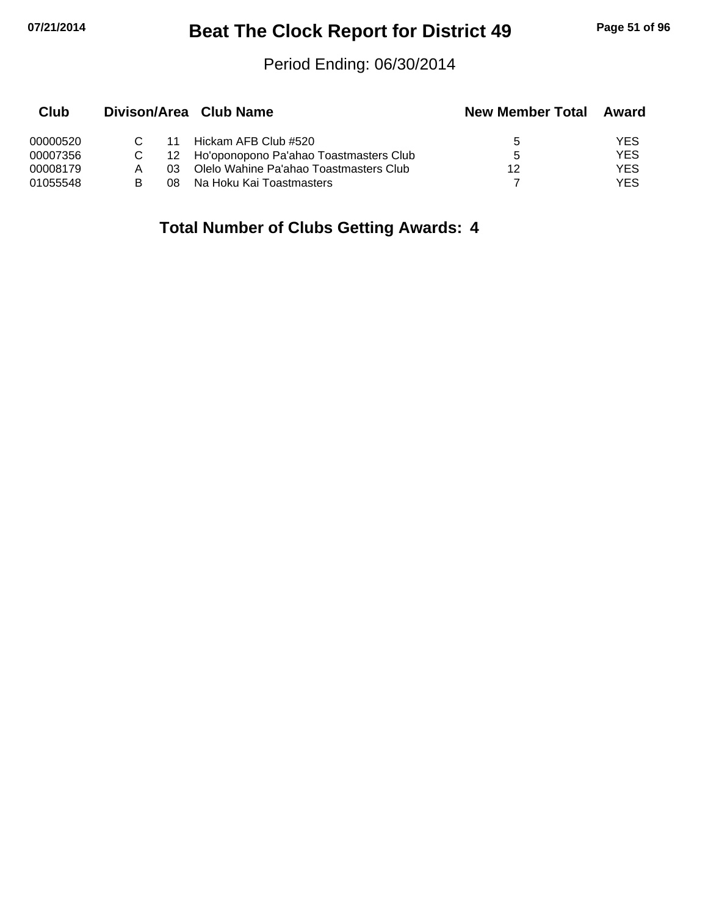# **07/21/2014 Beat The Clock Report for District 49 Page 51 of 96**

#### Period Ending: 06/30/2014

| Club     |     | Divison/Area Club Name                    | <b>New Member Total</b> | Award |
|----------|-----|-------------------------------------------|-------------------------|-------|
| 00000520 | 11  | Hickam AFB Club #520                      | 5.                      | YES   |
| 00007356 |     | 12 Ho'oponopono Pa'ahao Toastmasters Club | 5                       | YES   |
| 00008179 | 03. | Olelo Wahine Pa'ahao Toastmasters Club    | 12                      | YES   |
| 01055548 | 08  | Na Hoku Kai Toastmasters                  |                         | YES   |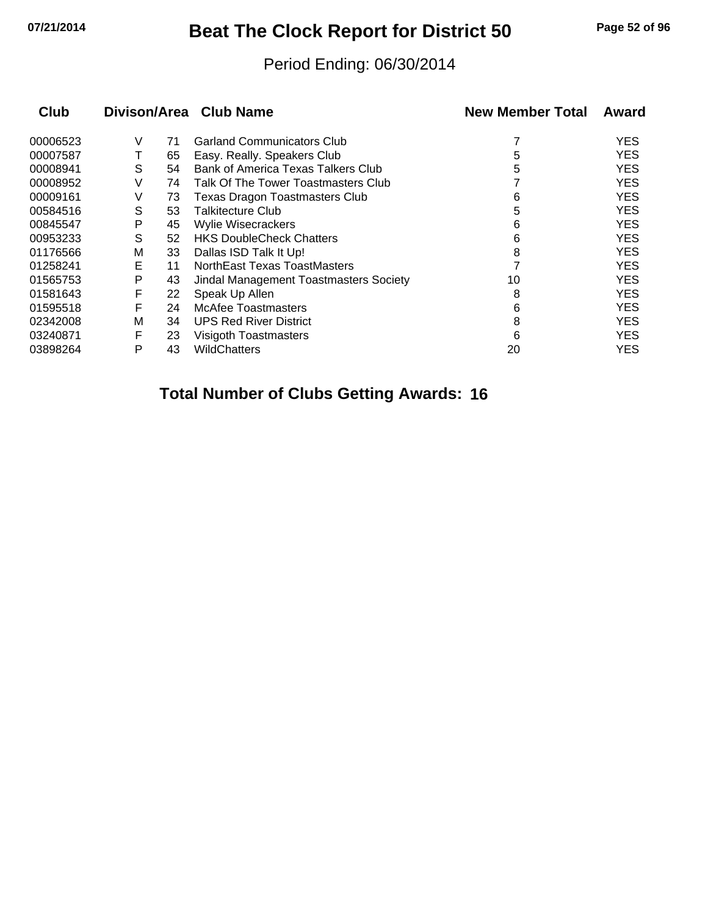# **07/21/2014 Beat The Clock Report for District 50 Page 52 of 96**

#### Period Ending: 06/30/2014

| <b>Club</b> |   |    | Divison/Area Club Name                 | <b>New Member Total</b> | Award      |
|-------------|---|----|----------------------------------------|-------------------------|------------|
| 00006523    | V | 71 | <b>Garland Communicators Club</b>      |                         | <b>YES</b> |
| 00007587    |   | 65 | Easy. Really. Speakers Club            | 5                       | <b>YES</b> |
| 00008941    | S | 54 | Bank of America Texas Talkers Club     | 5                       | <b>YES</b> |
| 00008952    | V | 74 | Talk Of The Tower Toastmasters Club    |                         | <b>YES</b> |
| 00009161    | V | 73 | <b>Texas Dragon Toastmasters Club</b>  | 6                       | <b>YES</b> |
| 00584516    | S | 53 | Talkitecture Club                      | 5                       | <b>YES</b> |
| 00845547    | P | 45 | <b>Wylie Wisecrackers</b>              | 6                       | <b>YES</b> |
| 00953233    | S | 52 | <b>HKS DoubleCheck Chatters</b>        | 6                       | <b>YES</b> |
| 01176566    | M | 33 | Dallas ISD Talk It Up!                 | 8                       | <b>YES</b> |
| 01258241    | Е | 11 | NorthEast Texas ToastMasters           |                         | <b>YES</b> |
| 01565753    | P | 43 | Jindal Management Toastmasters Society | 10                      | <b>YES</b> |
| 01581643    | F | 22 | Speak Up Allen                         | 8                       | <b>YES</b> |
| 01595518    | F | 24 | McAfee Toastmasters                    | 6                       | <b>YES</b> |
| 02342008    | M | 34 | <b>UPS Red River District</b>          | 8                       | <b>YES</b> |
| 03240871    | F | 23 | Visigoth Toastmasters                  | 6                       | <b>YES</b> |
| 03898264    | P | 43 | WildChatters                           | 20                      | YES        |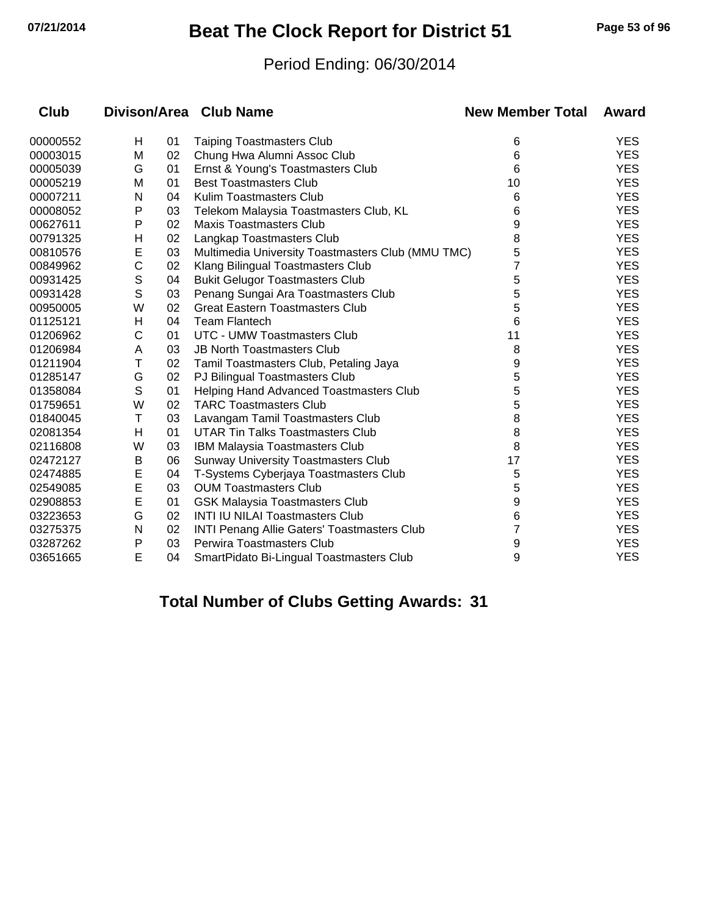## **07/21/2014 Beat The Clock Report for District 51 Page 53 of 96**

#### Period Ending: 06/30/2014

| Club     |   |    | Divison/Area Club Name                             | <b>New Member Total</b> | Award      |
|----------|---|----|----------------------------------------------------|-------------------------|------------|
| 00000552 | Н | 01 | <b>Taiping Toastmasters Club</b>                   | 6                       | <b>YES</b> |
| 00003015 | M | 02 | Chung Hwa Alumni Assoc Club                        | 6                       | <b>YES</b> |
| 00005039 | G | 01 | Ernst & Young's Toastmasters Club                  | 6                       | <b>YES</b> |
| 00005219 | M | 01 | <b>Best Toastmasters Club</b>                      | 10                      | <b>YES</b> |
| 00007211 | N | 04 | Kulim Toastmasters Club                            | 6                       | <b>YES</b> |
| 00008052 | P | 03 | Telekom Malaysia Toastmasters Club, KL             | 6                       | <b>YES</b> |
| 00627611 | P | 02 | <b>Maxis Toastmasters Club</b>                     | 9                       | <b>YES</b> |
| 00791325 | Н | 02 | Langkap Toastmasters Club                          | 8                       | <b>YES</b> |
| 00810576 | Е | 03 | Multimedia University Toastmasters Club (MMU TMC)  | 5                       | <b>YES</b> |
| 00849962 | C | 02 | Klang Bilingual Toastmasters Club                  | 7                       | <b>YES</b> |
| 00931425 | S | 04 | <b>Bukit Gelugor Toastmasters Club</b>             | 5                       | <b>YES</b> |
| 00931428 | S | 03 | Penang Sungai Ara Toastmasters Club                | 5                       | <b>YES</b> |
| 00950005 | W | 02 | <b>Great Eastern Toastmasters Club</b>             | 5                       | <b>YES</b> |
| 01125121 | Н | 04 | <b>Team Flantech</b>                               | 6                       | <b>YES</b> |
| 01206962 | С | 01 | <b>UTC - UMW Toastmasters Club</b>                 | 11                      | <b>YES</b> |
| 01206984 | A | 03 | <b>JB North Toastmasters Club</b>                  | 8                       | <b>YES</b> |
| 01211904 | Т | 02 | Tamil Toastmasters Club, Petaling Jaya             | 9                       | <b>YES</b> |
| 01285147 | G | 02 | PJ Bilingual Toastmasters Club                     | 5                       | <b>YES</b> |
| 01358084 | S | 01 | Helping Hand Advanced Toastmasters Club            | 5                       | <b>YES</b> |
| 01759651 | W | 02 | <b>TARC Toastmasters Club</b>                      | 5                       | <b>YES</b> |
| 01840045 | Т | 03 | Lavangam Tamil Toastmasters Club                   | 8                       | <b>YES</b> |
| 02081354 | н | 01 | UTAR Tin Talks Toastmasters Club                   | 8                       | <b>YES</b> |
| 02116808 | W | 03 | IBM Malaysia Toastmasters Club                     | 8                       | <b>YES</b> |
| 02472127 | Β | 06 | <b>Sunway University Toastmasters Club</b>         | 17                      | <b>YES</b> |
| 02474885 | E | 04 | T-Systems Cyberjaya Toastmasters Club              | 5                       | <b>YES</b> |
| 02549085 | E | 03 | <b>OUM Toastmasters Club</b>                       | 5                       | <b>YES</b> |
| 02908853 | E | 01 | <b>GSK Malaysia Toastmasters Club</b>              | 9                       | <b>YES</b> |
| 03223653 | G | 02 | <b>INTI IU NILAI Toastmasters Club</b>             | 6                       | <b>YES</b> |
| 03275375 | N | 02 | <b>INTI Penang Allie Gaters' Toastmasters Club</b> | 7                       | <b>YES</b> |
| 03287262 | P | 03 | Perwira Toastmasters Club                          | 9                       | <b>YES</b> |
| 03651665 | E | 04 | SmartPidato Bi-Lingual Toastmasters Club           | 9                       | <b>YES</b> |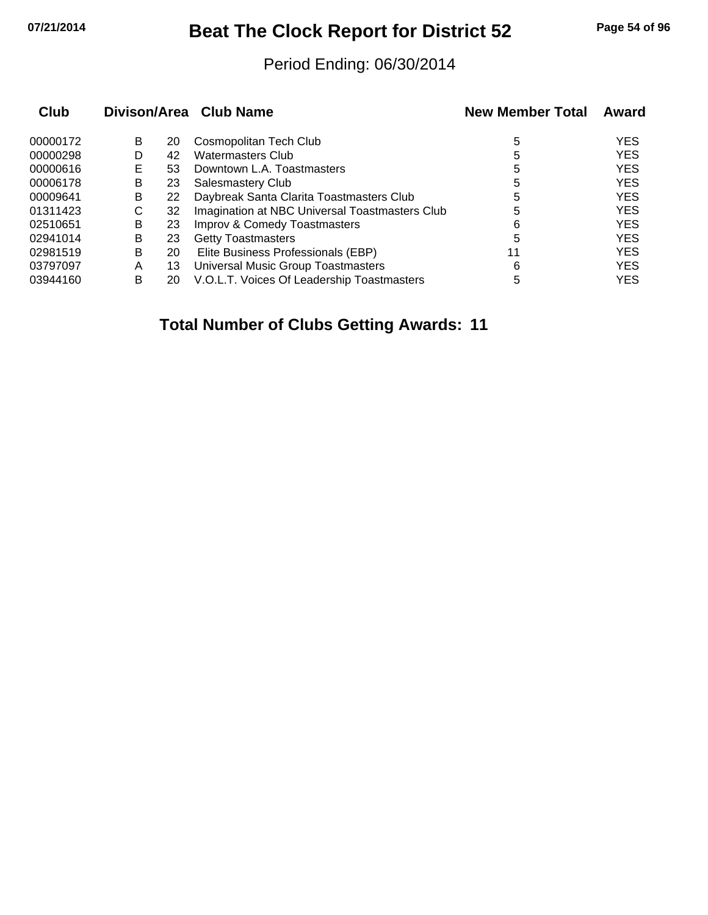## **07/21/2014 Beat The Clock Report for District 52 Page 54 of 96**

#### Period Ending: 06/30/2014

| Club     |   |    | Divison/Area Club Name                         | <b>New Member Total</b> | Award      |
|----------|---|----|------------------------------------------------|-------------------------|------------|
| 00000172 | B | 20 | Cosmopolitan Tech Club                         | 5                       | <b>YES</b> |
| 00000298 | D | 42 | <b>Watermasters Club</b>                       | 5                       | <b>YES</b> |
| 00000616 | Е | 53 | Downtown L.A. Toastmasters                     | 5                       | <b>YES</b> |
| 00006178 | B | 23 | Salesmastery Club                              | 5                       | <b>YES</b> |
| 00009641 | B | 22 | Daybreak Santa Clarita Toastmasters Club       | 5                       | <b>YES</b> |
| 01311423 | С | 32 | Imagination at NBC Universal Toastmasters Club | 5                       | <b>YES</b> |
| 02510651 | B | 23 | Improv & Comedy Toastmasters                   | 6                       | <b>YES</b> |
| 02941014 | В | 23 | <b>Getty Toastmasters</b>                      | 5                       | <b>YES</b> |
| 02981519 | B | 20 | Elite Business Professionals (EBP)             | 11                      | <b>YES</b> |
| 03797097 | A | 13 | Universal Music Group Toastmasters             | 6                       | <b>YES</b> |
| 03944160 | в | 20 | V.O.L.T. Voices Of Leadership Toastmasters     | 5                       | <b>YES</b> |
|          |   |    |                                                |                         |            |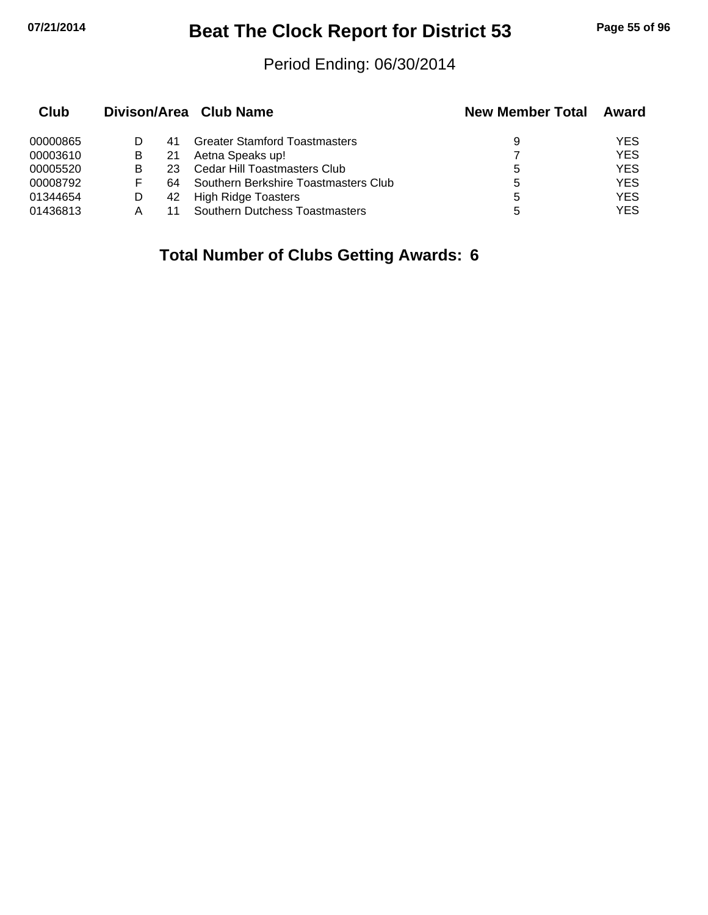## **07/21/2014 Beat The Clock Report for District 53 Page 55 of 96**

#### Period Ending: 06/30/2014

| Club     |   |     | Divison/Area Club Name                | <b>New Member Total</b> | Award      |
|----------|---|-----|---------------------------------------|-------------------------|------------|
| 00000865 |   |     | <b>Greater Stamford Toastmasters</b>  | 9                       | <b>YES</b> |
| 00003610 | В | 21  | Aetna Speaks up!                      |                         | <b>YES</b> |
| 00005520 | В | 23. | Cedar Hill Toastmasters Club          | 5                       | <b>YES</b> |
| 00008792 | F | 64  | Southern Berkshire Toastmasters Club  | 5                       | <b>YES</b> |
| 01344654 |   | 42  | <b>High Ridge Toasters</b>            | 5                       | <b>YES</b> |
| 01436813 | А |     | <b>Southern Dutchess Toastmasters</b> | 5                       | <b>YES</b> |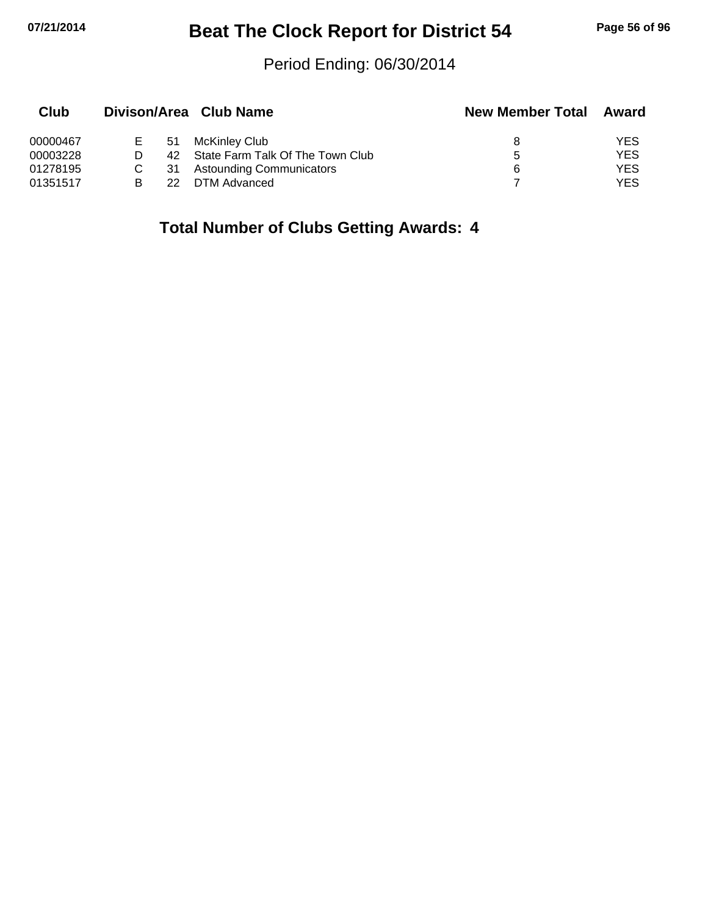# **07/21/2014 Beat The Clock Report for District 54 Page 56 of 96**

#### Period Ending: 06/30/2014

| Club     |         |     | Divison/Area Club Name           | <b>New Member Total</b> | Award      |
|----------|---------|-----|----------------------------------|-------------------------|------------|
| 00000467 | $E = 1$ | -51 | McKinley Club                    |                         | <b>YES</b> |
| 00003228 |         | 42. | State Farm Talk Of The Town Club | h.                      | <b>YES</b> |
| 01278195 |         | 31  | <b>Astounding Communicators</b>  | 6                       | <b>YES</b> |
| 01351517 |         | 22  | DTM Advanced                     |                         | YES        |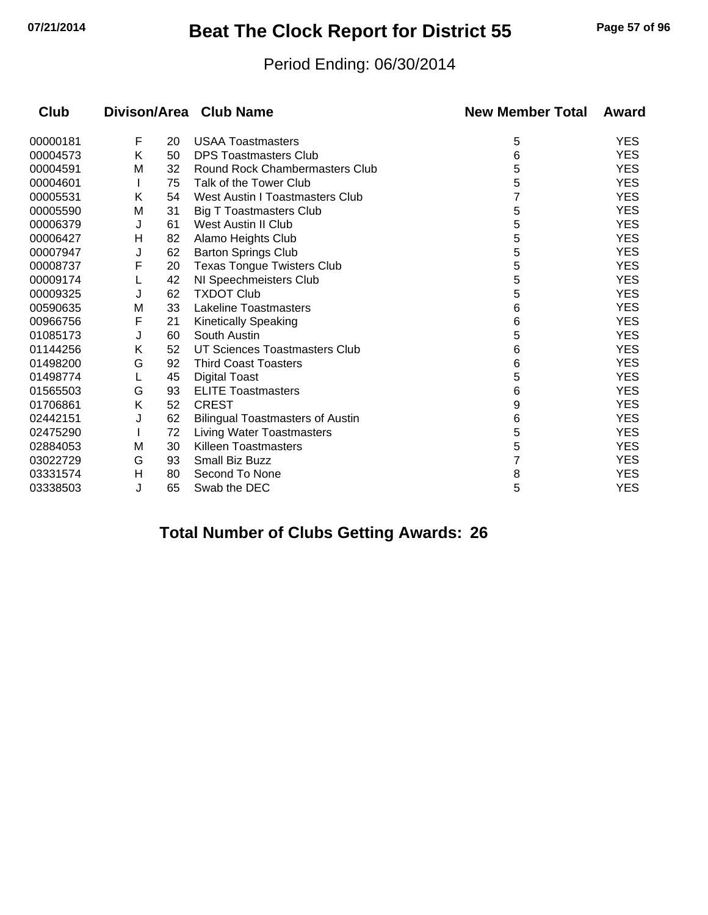# **07/21/2014 Beat The Clock Report for District 55 Page 57 of 96**

#### Period Ending: 06/30/2014

| Club     |   |    | Divison/Area Club Name                  | <b>New Member Total</b> | Award      |
|----------|---|----|-----------------------------------------|-------------------------|------------|
| 00000181 | F | 20 | <b>USAA Toastmasters</b>                | 5                       | <b>YES</b> |
| 00004573 | Κ | 50 | <b>DPS Toastmasters Club</b>            | 6                       | <b>YES</b> |
| 00004591 | М | 32 | <b>Round Rock Chambermasters Club</b>   | 5                       | <b>YES</b> |
| 00004601 |   | 75 | Talk of the Tower Club                  | 5                       | <b>YES</b> |
| 00005531 | Κ | 54 | <b>West Austin I Toastmasters Club</b>  |                         | <b>YES</b> |
| 00005590 | М | 31 | <b>Big T Toastmasters Club</b>          | 5                       | <b>YES</b> |
| 00006379 | J | 61 | <b>West Austin II Club</b>              | 5                       | <b>YES</b> |
| 00006427 | н | 82 | Alamo Heights Club                      | 5                       | <b>YES</b> |
| 00007947 | J | 62 | <b>Barton Springs Club</b>              | 5                       | <b>YES</b> |
| 00008737 | F | 20 | <b>Texas Tongue Twisters Club</b>       | 5                       | <b>YES</b> |
| 00009174 |   | 42 | NI Speechmeisters Club                  | 5                       | <b>YES</b> |
| 00009325 | J | 62 | <b>TXDOT Club</b>                       | 5                       | <b>YES</b> |
| 00590635 | M | 33 | Lakeline Toastmasters                   | 6                       | <b>YES</b> |
| 00966756 | F | 21 | <b>Kinetically Speaking</b>             | 6                       | <b>YES</b> |
| 01085173 | J | 60 | South Austin                            | 5                       | <b>YES</b> |
| 01144256 | Κ | 52 | UT Sciences Toastmasters Club           | 6                       | <b>YES</b> |
| 01498200 | G | 92 | <b>Third Coast Toasters</b>             | 6                       | <b>YES</b> |
| 01498774 |   | 45 | <b>Digital Toast</b>                    | 5                       | <b>YES</b> |
| 01565503 | G | 93 | <b>ELITE Toastmasters</b>               | 6                       | <b>YES</b> |
| 01706861 | Κ | 52 | <b>CREST</b>                            | 9                       | <b>YES</b> |
| 02442151 | J | 62 | <b>Bilingual Toastmasters of Austin</b> | 6                       | <b>YES</b> |
| 02475290 |   | 72 | <b>Living Water Toastmasters</b>        | 5                       | <b>YES</b> |
| 02884053 | M | 30 | <b>Killeen Toastmasters</b>             | 5                       | <b>YES</b> |
| 03022729 | G | 93 | <b>Small Biz Buzz</b>                   | 7                       | <b>YES</b> |
| 03331574 | H | 80 | Second To None                          | 8                       | <b>YES</b> |
| 03338503 | J | 65 | Swab the DEC                            | 5                       | <b>YES</b> |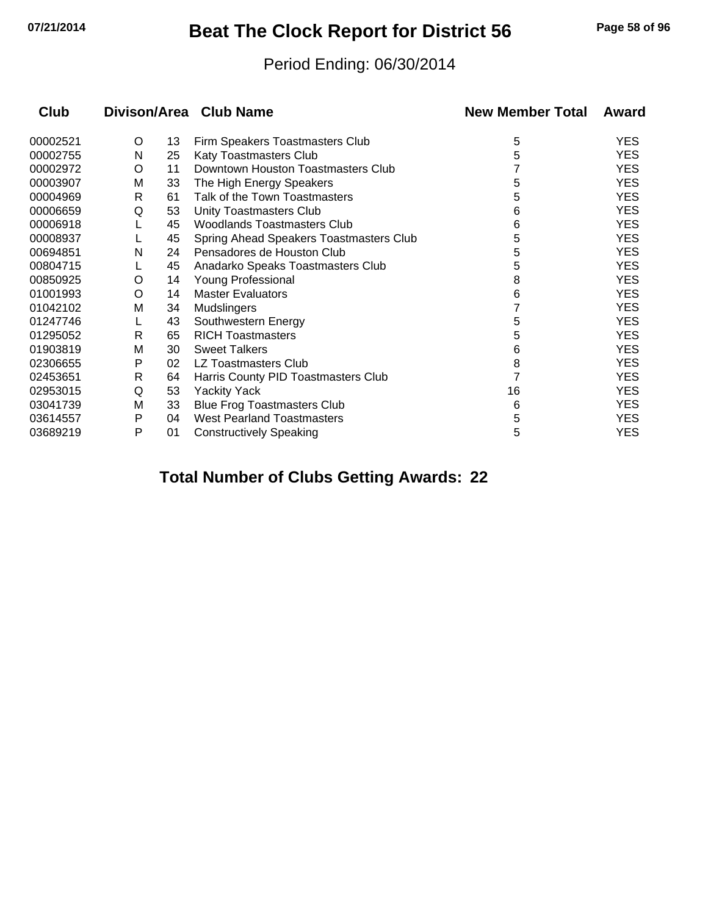# **07/21/2014 Beat The Clock Report for District 56 Page 58 of 96**

#### Period Ending: 06/30/2014

| Club     |   |    | Divison/Area Club Name                  | <b>New Member Total</b> | Award      |
|----------|---|----|-----------------------------------------|-------------------------|------------|
| 00002521 | O | 13 | Firm Speakers Toastmasters Club         | 5                       | <b>YES</b> |
| 00002755 | N | 25 | Katy Toastmasters Club                  | 5                       | <b>YES</b> |
| 00002972 | O | 11 | Downtown Houston Toastmasters Club      |                         | <b>YES</b> |
| 00003907 | M | 33 | The High Energy Speakers                | 5                       | <b>YES</b> |
| 00004969 | R | 61 | Talk of the Town Toastmasters           | 5                       | <b>YES</b> |
| 00006659 | Q | 53 | Unity Toastmasters Club                 | 6                       | <b>YES</b> |
| 00006918 |   | 45 | Woodlands Toastmasters Club             | 6                       | <b>YES</b> |
| 00008937 |   | 45 | Spring Ahead Speakers Toastmasters Club | 5                       | <b>YES</b> |
| 00694851 | N | 24 | Pensadores de Houston Club              | 5                       | <b>YES</b> |
| 00804715 |   | 45 | Anadarko Speaks Toastmasters Club       | 5                       | <b>YES</b> |
| 00850925 | O | 14 | Young Professional                      | 8                       | <b>YES</b> |
| 01001993 | O | 14 | <b>Master Evaluators</b>                | 6                       | <b>YES</b> |
| 01042102 | м | 34 | <b>Mudslingers</b>                      |                         | <b>YES</b> |
| 01247746 |   | 43 | Southwestern Energy                     | 5                       | <b>YES</b> |
| 01295052 | R | 65 | <b>RICH Toastmasters</b>                | 5                       | <b>YES</b> |
| 01903819 | M | 30 | <b>Sweet Talkers</b>                    | 6                       | <b>YES</b> |
| 02306655 | P | 02 | LZ Toastmasters Club                    | 8                       | <b>YES</b> |
| 02453651 | R | 64 | Harris County PID Toastmasters Club     |                         | <b>YES</b> |
| 02953015 | Q | 53 | <b>Yackity Yack</b>                     | 16                      | <b>YES</b> |
| 03041739 | м | 33 | <b>Blue Frog Toastmasters Club</b>      | 6                       | <b>YES</b> |
| 03614557 | Р | 04 | <b>West Pearland Toastmasters</b>       | 5                       | <b>YES</b> |
| 03689219 | P | 01 | <b>Constructively Speaking</b>          | 5                       | <b>YES</b> |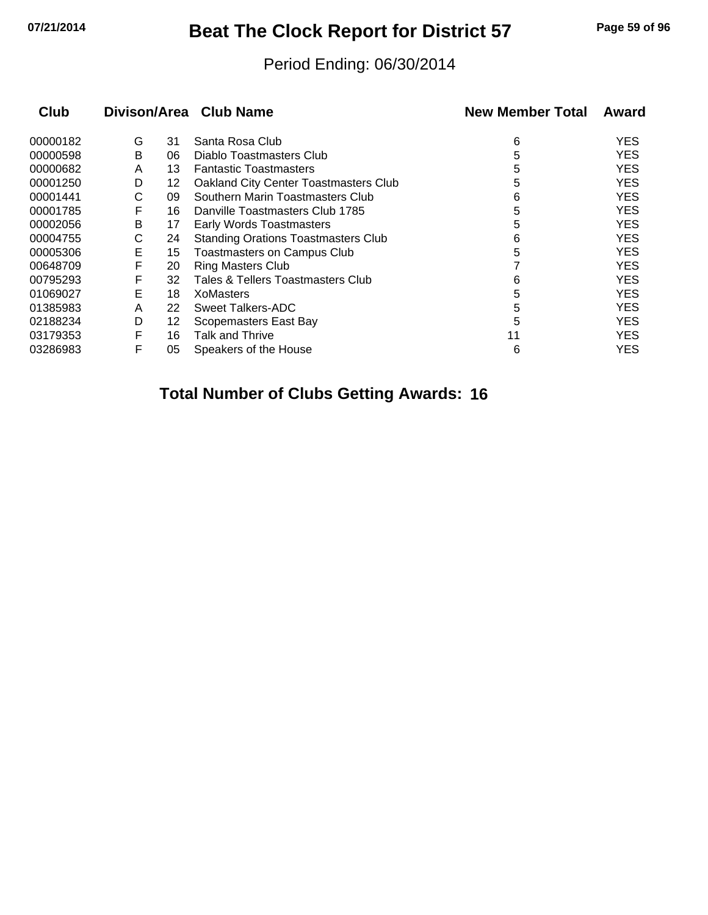# **07/21/2014 Beat The Clock Report for District 57 Page 59 of 96**

#### Period Ending: 06/30/2014

| Club     |   |    | Divison/Area Club Name                       | <b>New Member Total</b> | Award      |
|----------|---|----|----------------------------------------------|-------------------------|------------|
| 00000182 | G | 31 | Santa Rosa Club                              | 6                       | <b>YES</b> |
| 00000598 | B | 06 | Diablo Toastmasters Club                     | 5                       | <b>YES</b> |
| 00000682 | A | 13 | <b>Fantastic Toastmasters</b>                | 5                       | <b>YES</b> |
| 00001250 | D | 12 | <b>Oakland City Center Toastmasters Club</b> | 5                       | <b>YES</b> |
| 00001441 | С | 09 | Southern Marin Toastmasters Club             | 6                       | YES        |
| 00001785 | F | 16 | Danville Toastmasters Club 1785              | 5                       | <b>YES</b> |
| 00002056 | B | 17 | <b>Early Words Toastmasters</b>              | 5                       | YES        |
| 00004755 | С | 24 | <b>Standing Orations Toastmasters Club</b>   | 6                       | YES.       |
| 00005306 | Е | 15 | Toastmasters on Campus Club                  | 5                       | YES        |
| 00648709 | F | 20 | <b>Ring Masters Club</b>                     |                         | <b>YES</b> |
| 00795293 | F | 32 | Tales & Tellers Toastmasters Club            | 6                       | YES        |
| 01069027 | Е | 18 | <b>XoMasters</b>                             | 5                       | YES.       |
| 01385983 | A | 22 | Sweet Talkers-ADC                            | 5                       | <b>YES</b> |
| 02188234 | D | 12 | Scopemasters East Bay                        | 5                       | YES        |
| 03179353 | F | 16 | Talk and Thrive                              | 11                      | YES.       |
| 03286983 | F | 05 | Speakers of the House                        | 6                       | YES        |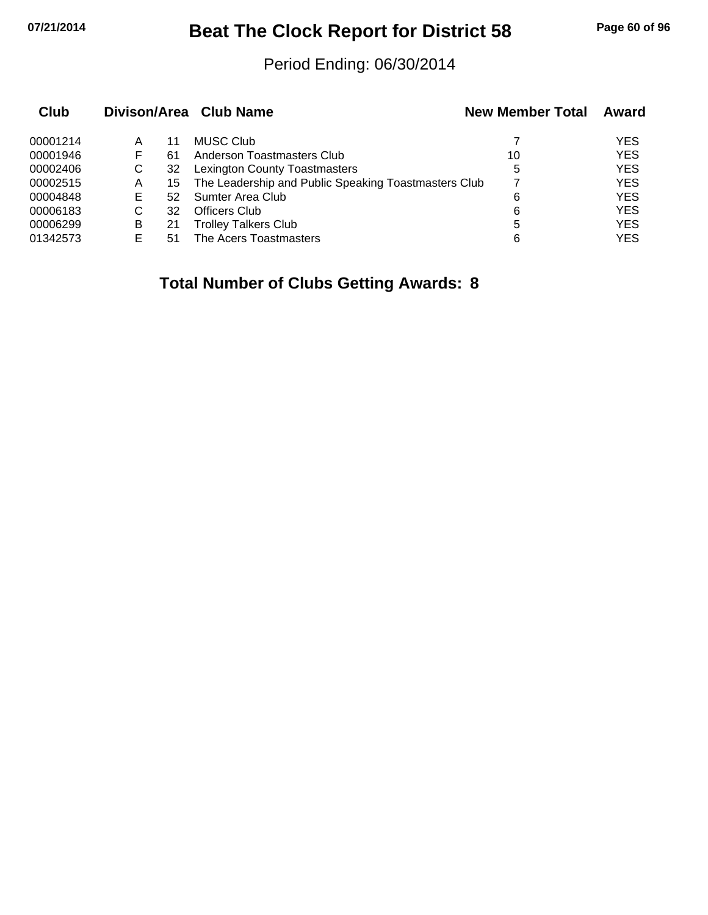# **07/21/2014 Beat The Clock Report for District 58 Page 60 of 96**

#### Period Ending: 06/30/2014

| Club     |   |    | Divison/Area Club Name                               | <b>New Member Total</b> | Award      |
|----------|---|----|------------------------------------------------------|-------------------------|------------|
| 00001214 | Α | 11 | <b>MUSC Club</b>                                     |                         | YES        |
| 00001946 | F | 61 | Anderson Toastmasters Club                           | 10                      | <b>YES</b> |
| 00002406 | С | 32 | <b>Lexington County Toastmasters</b>                 | 5                       | <b>YES</b> |
| 00002515 | Α | 15 | The Leadership and Public Speaking Toastmasters Club |                         | <b>YES</b> |
| 00004848 | Е | 52 | <b>Sumter Area Club</b>                              | 6                       | <b>YES</b> |
| 00006183 | C | 32 | <b>Officers Club</b>                                 | 6                       | <b>YES</b> |
| 00006299 | B | 21 | <b>Trolley Talkers Club</b>                          | 5                       | <b>YES</b> |
| 01342573 | F | 51 | The Acers Toastmasters                               | 6                       | <b>YES</b> |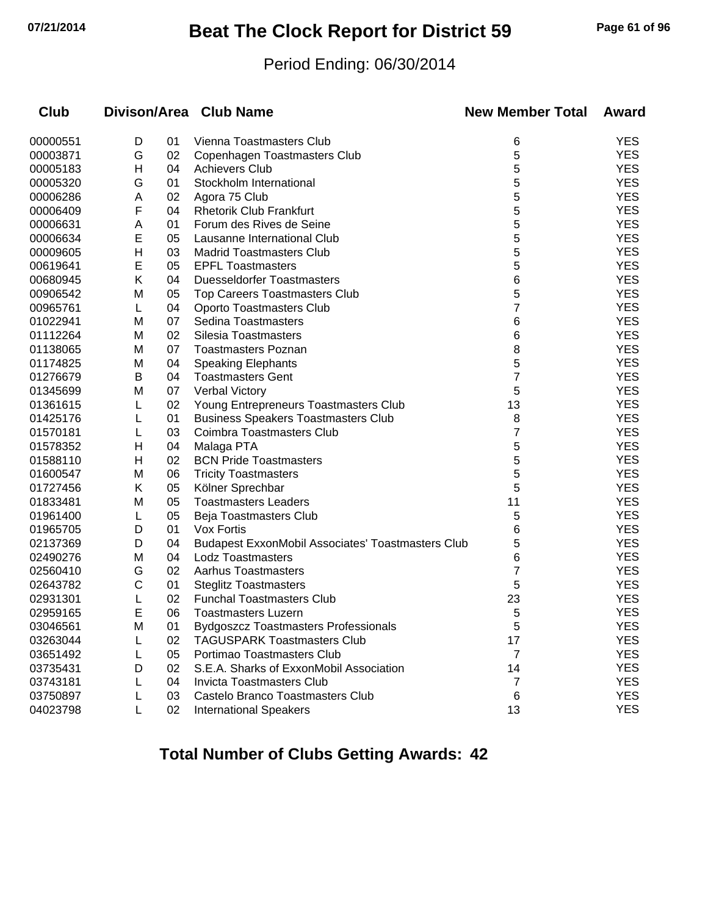# **07/21/2014 Beat The Clock Report for District 59 Page 61 of 96**

#### Period Ending: 06/30/2014

| 00000551<br>D<br>01<br>Vienna Toastmasters Club<br>6<br>5<br>00003871<br>G<br>02<br>Copenhagen Toastmasters Club<br>5<br>Η<br>04<br>00005183<br><b>Achievers Club</b><br>5<br>01<br>Stockholm International<br>00005320<br>G<br>5<br>02<br>00006286<br>A<br>Agora 75 Club<br>5<br>F<br>04<br><b>Rhetorik Club Frankfurt</b><br>00006409<br>5<br>01<br>Forum des Rives de Seine<br>00006631<br>A<br>5<br>E<br>05<br>00006634<br>Lausanne International Club<br>Н<br>5<br>03<br><b>Madrid Toastmasters Club</b><br>00009605<br>E<br>5<br>05<br><b>EPFL Toastmasters</b><br>00619641<br>Κ<br>04<br><b>Duesseldorfer Toastmasters</b><br>6<br>00680945<br>5<br>05<br>00906542<br>M<br><b>Top Careers Toastmasters Club</b><br>7<br>00965761<br>04<br>Oporto Toastmasters Club<br>L<br>01022941<br>07<br>Sedina Toastmasters<br>6<br>M<br>01112264<br>02<br>6<br>M<br>Silesia Toastmasters<br>8<br>01138065<br>07<br>M<br><b>Toastmasters Poznan</b><br>5<br>04<br>01174825<br>M<br><b>Speaking Elephants</b><br>7<br>04<br>01276679<br>в<br><b>Toastmasters Gent</b><br>5<br>07<br>Verbal Victory<br>01345699<br>M<br>13<br>02<br>01361615<br>Young Entrepreneurs Toastmasters Club<br>8<br>01425176<br>01<br><b>Business Speakers Toastmasters Club</b><br>L<br>7<br>03<br>01570181<br>Coimbra Toastmasters Club<br>L<br>5<br>Н<br>04<br>Malaga PTA<br>01578352<br>02<br>5<br>Н<br><b>BCN Pride Toastmasters</b><br>01588110<br>5<br>06<br>01600547<br>M<br><b>Tricity Toastmasters</b><br>5<br>01727456<br>Κ<br>05<br>Kölner Sprechbar<br>05<br>01833481<br>11<br>M<br><b>Toastmasters Leaders</b><br>05<br>5<br>01961400<br>Beja Toastmasters Club<br>L<br>01<br>6<br>01965705<br>D<br>Vox Fortis<br>04<br>02137369<br>5<br>D<br><b>Budapest ExxonMobil Associates' Toastmasters Club</b><br>04<br>6<br>02490276<br>M<br><b>Lodz Toastmasters</b><br>7<br>02<br><b>Aarhus Toastmasters</b><br>02560410<br>G<br>С<br>5<br>01<br>02643782<br><b>Steglitz Toastmasters</b><br>02931301<br>02<br><b>Funchal Toastmasters Club</b><br>23<br>L<br>E<br>5<br>06<br>02959165<br><b>Toastmasters Luzern</b><br>Bydgoszcz Toastmasters Professionals<br>03046561<br>M<br>01<br>5<br><b>TAGUSPARK Toastmasters Club</b><br>03263044<br>02<br>17<br>Portimao Toastmasters Club<br>03651492<br>05<br>7<br>03735431<br>S.E.A. Sharks of ExxonMobil Association<br>02<br>14<br>D<br><b>Invicta Toastmasters Club</b><br>03743181<br>04<br>7<br>Castelo Branco Toastmasters Club<br>03750897<br>03<br>6 | Club |  | Divison/Area Club Name | <b>New Member Total</b> | Award      |
|----------------------------------------------------------------------------------------------------------------------------------------------------------------------------------------------------------------------------------------------------------------------------------------------------------------------------------------------------------------------------------------------------------------------------------------------------------------------------------------------------------------------------------------------------------------------------------------------------------------------------------------------------------------------------------------------------------------------------------------------------------------------------------------------------------------------------------------------------------------------------------------------------------------------------------------------------------------------------------------------------------------------------------------------------------------------------------------------------------------------------------------------------------------------------------------------------------------------------------------------------------------------------------------------------------------------------------------------------------------------------------------------------------------------------------------------------------------------------------------------------------------------------------------------------------------------------------------------------------------------------------------------------------------------------------------------------------------------------------------------------------------------------------------------------------------------------------------------------------------------------------------------------------------------------------------------------------------------------------------------------------------------------------------------------------------------------------------------------------------------------------------------------------------------------------------------------------------------------------------------------------------------------------------------------------------------------------------------------------------------------------------------------------------------------------------------------------------------------------------|------|--|------------------------|-------------------------|------------|
|                                                                                                                                                                                                                                                                                                                                                                                                                                                                                                                                                                                                                                                                                                                                                                                                                                                                                                                                                                                                                                                                                                                                                                                                                                                                                                                                                                                                                                                                                                                                                                                                                                                                                                                                                                                                                                                                                                                                                                                                                                                                                                                                                                                                                                                                                                                                                                                                                                                                                        |      |  |                        |                         | <b>YES</b> |
|                                                                                                                                                                                                                                                                                                                                                                                                                                                                                                                                                                                                                                                                                                                                                                                                                                                                                                                                                                                                                                                                                                                                                                                                                                                                                                                                                                                                                                                                                                                                                                                                                                                                                                                                                                                                                                                                                                                                                                                                                                                                                                                                                                                                                                                                                                                                                                                                                                                                                        |      |  |                        |                         | <b>YES</b> |
|                                                                                                                                                                                                                                                                                                                                                                                                                                                                                                                                                                                                                                                                                                                                                                                                                                                                                                                                                                                                                                                                                                                                                                                                                                                                                                                                                                                                                                                                                                                                                                                                                                                                                                                                                                                                                                                                                                                                                                                                                                                                                                                                                                                                                                                                                                                                                                                                                                                                                        |      |  |                        |                         | <b>YES</b> |
|                                                                                                                                                                                                                                                                                                                                                                                                                                                                                                                                                                                                                                                                                                                                                                                                                                                                                                                                                                                                                                                                                                                                                                                                                                                                                                                                                                                                                                                                                                                                                                                                                                                                                                                                                                                                                                                                                                                                                                                                                                                                                                                                                                                                                                                                                                                                                                                                                                                                                        |      |  |                        |                         | <b>YES</b> |
|                                                                                                                                                                                                                                                                                                                                                                                                                                                                                                                                                                                                                                                                                                                                                                                                                                                                                                                                                                                                                                                                                                                                                                                                                                                                                                                                                                                                                                                                                                                                                                                                                                                                                                                                                                                                                                                                                                                                                                                                                                                                                                                                                                                                                                                                                                                                                                                                                                                                                        |      |  |                        |                         | <b>YES</b> |
|                                                                                                                                                                                                                                                                                                                                                                                                                                                                                                                                                                                                                                                                                                                                                                                                                                                                                                                                                                                                                                                                                                                                                                                                                                                                                                                                                                                                                                                                                                                                                                                                                                                                                                                                                                                                                                                                                                                                                                                                                                                                                                                                                                                                                                                                                                                                                                                                                                                                                        |      |  |                        |                         | <b>YES</b> |
|                                                                                                                                                                                                                                                                                                                                                                                                                                                                                                                                                                                                                                                                                                                                                                                                                                                                                                                                                                                                                                                                                                                                                                                                                                                                                                                                                                                                                                                                                                                                                                                                                                                                                                                                                                                                                                                                                                                                                                                                                                                                                                                                                                                                                                                                                                                                                                                                                                                                                        |      |  |                        |                         | <b>YES</b> |
|                                                                                                                                                                                                                                                                                                                                                                                                                                                                                                                                                                                                                                                                                                                                                                                                                                                                                                                                                                                                                                                                                                                                                                                                                                                                                                                                                                                                                                                                                                                                                                                                                                                                                                                                                                                                                                                                                                                                                                                                                                                                                                                                                                                                                                                                                                                                                                                                                                                                                        |      |  |                        |                         | <b>YES</b> |
|                                                                                                                                                                                                                                                                                                                                                                                                                                                                                                                                                                                                                                                                                                                                                                                                                                                                                                                                                                                                                                                                                                                                                                                                                                                                                                                                                                                                                                                                                                                                                                                                                                                                                                                                                                                                                                                                                                                                                                                                                                                                                                                                                                                                                                                                                                                                                                                                                                                                                        |      |  |                        |                         | <b>YES</b> |
|                                                                                                                                                                                                                                                                                                                                                                                                                                                                                                                                                                                                                                                                                                                                                                                                                                                                                                                                                                                                                                                                                                                                                                                                                                                                                                                                                                                                                                                                                                                                                                                                                                                                                                                                                                                                                                                                                                                                                                                                                                                                                                                                                                                                                                                                                                                                                                                                                                                                                        |      |  |                        |                         | <b>YES</b> |
|                                                                                                                                                                                                                                                                                                                                                                                                                                                                                                                                                                                                                                                                                                                                                                                                                                                                                                                                                                                                                                                                                                                                                                                                                                                                                                                                                                                                                                                                                                                                                                                                                                                                                                                                                                                                                                                                                                                                                                                                                                                                                                                                                                                                                                                                                                                                                                                                                                                                                        |      |  |                        |                         | <b>YES</b> |
|                                                                                                                                                                                                                                                                                                                                                                                                                                                                                                                                                                                                                                                                                                                                                                                                                                                                                                                                                                                                                                                                                                                                                                                                                                                                                                                                                                                                                                                                                                                                                                                                                                                                                                                                                                                                                                                                                                                                                                                                                                                                                                                                                                                                                                                                                                                                                                                                                                                                                        |      |  |                        |                         | <b>YES</b> |
|                                                                                                                                                                                                                                                                                                                                                                                                                                                                                                                                                                                                                                                                                                                                                                                                                                                                                                                                                                                                                                                                                                                                                                                                                                                                                                                                                                                                                                                                                                                                                                                                                                                                                                                                                                                                                                                                                                                                                                                                                                                                                                                                                                                                                                                                                                                                                                                                                                                                                        |      |  |                        |                         | <b>YES</b> |
|                                                                                                                                                                                                                                                                                                                                                                                                                                                                                                                                                                                                                                                                                                                                                                                                                                                                                                                                                                                                                                                                                                                                                                                                                                                                                                                                                                                                                                                                                                                                                                                                                                                                                                                                                                                                                                                                                                                                                                                                                                                                                                                                                                                                                                                                                                                                                                                                                                                                                        |      |  |                        |                         | <b>YES</b> |
|                                                                                                                                                                                                                                                                                                                                                                                                                                                                                                                                                                                                                                                                                                                                                                                                                                                                                                                                                                                                                                                                                                                                                                                                                                                                                                                                                                                                                                                                                                                                                                                                                                                                                                                                                                                                                                                                                                                                                                                                                                                                                                                                                                                                                                                                                                                                                                                                                                                                                        |      |  |                        |                         | <b>YES</b> |
|                                                                                                                                                                                                                                                                                                                                                                                                                                                                                                                                                                                                                                                                                                                                                                                                                                                                                                                                                                                                                                                                                                                                                                                                                                                                                                                                                                                                                                                                                                                                                                                                                                                                                                                                                                                                                                                                                                                                                                                                                                                                                                                                                                                                                                                                                                                                                                                                                                                                                        |      |  |                        |                         | <b>YES</b> |
|                                                                                                                                                                                                                                                                                                                                                                                                                                                                                                                                                                                                                                                                                                                                                                                                                                                                                                                                                                                                                                                                                                                                                                                                                                                                                                                                                                                                                                                                                                                                                                                                                                                                                                                                                                                                                                                                                                                                                                                                                                                                                                                                                                                                                                                                                                                                                                                                                                                                                        |      |  |                        |                         | <b>YES</b> |
|                                                                                                                                                                                                                                                                                                                                                                                                                                                                                                                                                                                                                                                                                                                                                                                                                                                                                                                                                                                                                                                                                                                                                                                                                                                                                                                                                                                                                                                                                                                                                                                                                                                                                                                                                                                                                                                                                                                                                                                                                                                                                                                                                                                                                                                                                                                                                                                                                                                                                        |      |  |                        |                         | <b>YES</b> |
|                                                                                                                                                                                                                                                                                                                                                                                                                                                                                                                                                                                                                                                                                                                                                                                                                                                                                                                                                                                                                                                                                                                                                                                                                                                                                                                                                                                                                                                                                                                                                                                                                                                                                                                                                                                                                                                                                                                                                                                                                                                                                                                                                                                                                                                                                                                                                                                                                                                                                        |      |  |                        |                         | <b>YES</b> |
|                                                                                                                                                                                                                                                                                                                                                                                                                                                                                                                                                                                                                                                                                                                                                                                                                                                                                                                                                                                                                                                                                                                                                                                                                                                                                                                                                                                                                                                                                                                                                                                                                                                                                                                                                                                                                                                                                                                                                                                                                                                                                                                                                                                                                                                                                                                                                                                                                                                                                        |      |  |                        |                         | <b>YES</b> |
|                                                                                                                                                                                                                                                                                                                                                                                                                                                                                                                                                                                                                                                                                                                                                                                                                                                                                                                                                                                                                                                                                                                                                                                                                                                                                                                                                                                                                                                                                                                                                                                                                                                                                                                                                                                                                                                                                                                                                                                                                                                                                                                                                                                                                                                                                                                                                                                                                                                                                        |      |  |                        |                         | <b>YES</b> |
|                                                                                                                                                                                                                                                                                                                                                                                                                                                                                                                                                                                                                                                                                                                                                                                                                                                                                                                                                                                                                                                                                                                                                                                                                                                                                                                                                                                                                                                                                                                                                                                                                                                                                                                                                                                                                                                                                                                                                                                                                                                                                                                                                                                                                                                                                                                                                                                                                                                                                        |      |  |                        |                         | <b>YES</b> |
|                                                                                                                                                                                                                                                                                                                                                                                                                                                                                                                                                                                                                                                                                                                                                                                                                                                                                                                                                                                                                                                                                                                                                                                                                                                                                                                                                                                                                                                                                                                                                                                                                                                                                                                                                                                                                                                                                                                                                                                                                                                                                                                                                                                                                                                                                                                                                                                                                                                                                        |      |  |                        |                         | <b>YES</b> |
|                                                                                                                                                                                                                                                                                                                                                                                                                                                                                                                                                                                                                                                                                                                                                                                                                                                                                                                                                                                                                                                                                                                                                                                                                                                                                                                                                                                                                                                                                                                                                                                                                                                                                                                                                                                                                                                                                                                                                                                                                                                                                                                                                                                                                                                                                                                                                                                                                                                                                        |      |  |                        |                         | <b>YES</b> |
|                                                                                                                                                                                                                                                                                                                                                                                                                                                                                                                                                                                                                                                                                                                                                                                                                                                                                                                                                                                                                                                                                                                                                                                                                                                                                                                                                                                                                                                                                                                                                                                                                                                                                                                                                                                                                                                                                                                                                                                                                                                                                                                                                                                                                                                                                                                                                                                                                                                                                        |      |  |                        |                         | <b>YES</b> |
|                                                                                                                                                                                                                                                                                                                                                                                                                                                                                                                                                                                                                                                                                                                                                                                                                                                                                                                                                                                                                                                                                                                                                                                                                                                                                                                                                                                                                                                                                                                                                                                                                                                                                                                                                                                                                                                                                                                                                                                                                                                                                                                                                                                                                                                                                                                                                                                                                                                                                        |      |  |                        |                         | <b>YES</b> |
|                                                                                                                                                                                                                                                                                                                                                                                                                                                                                                                                                                                                                                                                                                                                                                                                                                                                                                                                                                                                                                                                                                                                                                                                                                                                                                                                                                                                                                                                                                                                                                                                                                                                                                                                                                                                                                                                                                                                                                                                                                                                                                                                                                                                                                                                                                                                                                                                                                                                                        |      |  |                        |                         | <b>YES</b> |
|                                                                                                                                                                                                                                                                                                                                                                                                                                                                                                                                                                                                                                                                                                                                                                                                                                                                                                                                                                                                                                                                                                                                                                                                                                                                                                                                                                                                                                                                                                                                                                                                                                                                                                                                                                                                                                                                                                                                                                                                                                                                                                                                                                                                                                                                                                                                                                                                                                                                                        |      |  |                        |                         | <b>YES</b> |
|                                                                                                                                                                                                                                                                                                                                                                                                                                                                                                                                                                                                                                                                                                                                                                                                                                                                                                                                                                                                                                                                                                                                                                                                                                                                                                                                                                                                                                                                                                                                                                                                                                                                                                                                                                                                                                                                                                                                                                                                                                                                                                                                                                                                                                                                                                                                                                                                                                                                                        |      |  |                        |                         | <b>YES</b> |
|                                                                                                                                                                                                                                                                                                                                                                                                                                                                                                                                                                                                                                                                                                                                                                                                                                                                                                                                                                                                                                                                                                                                                                                                                                                                                                                                                                                                                                                                                                                                                                                                                                                                                                                                                                                                                                                                                                                                                                                                                                                                                                                                                                                                                                                                                                                                                                                                                                                                                        |      |  |                        |                         | <b>YES</b> |
|                                                                                                                                                                                                                                                                                                                                                                                                                                                                                                                                                                                                                                                                                                                                                                                                                                                                                                                                                                                                                                                                                                                                                                                                                                                                                                                                                                                                                                                                                                                                                                                                                                                                                                                                                                                                                                                                                                                                                                                                                                                                                                                                                                                                                                                                                                                                                                                                                                                                                        |      |  |                        |                         | <b>YES</b> |
|                                                                                                                                                                                                                                                                                                                                                                                                                                                                                                                                                                                                                                                                                                                                                                                                                                                                                                                                                                                                                                                                                                                                                                                                                                                                                                                                                                                                                                                                                                                                                                                                                                                                                                                                                                                                                                                                                                                                                                                                                                                                                                                                                                                                                                                                                                                                                                                                                                                                                        |      |  |                        |                         | <b>YES</b> |
|                                                                                                                                                                                                                                                                                                                                                                                                                                                                                                                                                                                                                                                                                                                                                                                                                                                                                                                                                                                                                                                                                                                                                                                                                                                                                                                                                                                                                                                                                                                                                                                                                                                                                                                                                                                                                                                                                                                                                                                                                                                                                                                                                                                                                                                                                                                                                                                                                                                                                        |      |  |                        |                         | <b>YES</b> |
|                                                                                                                                                                                                                                                                                                                                                                                                                                                                                                                                                                                                                                                                                                                                                                                                                                                                                                                                                                                                                                                                                                                                                                                                                                                                                                                                                                                                                                                                                                                                                                                                                                                                                                                                                                                                                                                                                                                                                                                                                                                                                                                                                                                                                                                                                                                                                                                                                                                                                        |      |  |                        |                         | <b>YES</b> |
|                                                                                                                                                                                                                                                                                                                                                                                                                                                                                                                                                                                                                                                                                                                                                                                                                                                                                                                                                                                                                                                                                                                                                                                                                                                                                                                                                                                                                                                                                                                                                                                                                                                                                                                                                                                                                                                                                                                                                                                                                                                                                                                                                                                                                                                                                                                                                                                                                                                                                        |      |  |                        |                         | <b>YES</b> |
|                                                                                                                                                                                                                                                                                                                                                                                                                                                                                                                                                                                                                                                                                                                                                                                                                                                                                                                                                                                                                                                                                                                                                                                                                                                                                                                                                                                                                                                                                                                                                                                                                                                                                                                                                                                                                                                                                                                                                                                                                                                                                                                                                                                                                                                                                                                                                                                                                                                                                        |      |  |                        |                         | <b>YES</b> |
|                                                                                                                                                                                                                                                                                                                                                                                                                                                                                                                                                                                                                                                                                                                                                                                                                                                                                                                                                                                                                                                                                                                                                                                                                                                                                                                                                                                                                                                                                                                                                                                                                                                                                                                                                                                                                                                                                                                                                                                                                                                                                                                                                                                                                                                                                                                                                                                                                                                                                        |      |  |                        |                         | <b>YES</b> |
|                                                                                                                                                                                                                                                                                                                                                                                                                                                                                                                                                                                                                                                                                                                                                                                                                                                                                                                                                                                                                                                                                                                                                                                                                                                                                                                                                                                                                                                                                                                                                                                                                                                                                                                                                                                                                                                                                                                                                                                                                                                                                                                                                                                                                                                                                                                                                                                                                                                                                        |      |  |                        |                         | <b>YES</b> |
|                                                                                                                                                                                                                                                                                                                                                                                                                                                                                                                                                                                                                                                                                                                                                                                                                                                                                                                                                                                                                                                                                                                                                                                                                                                                                                                                                                                                                                                                                                                                                                                                                                                                                                                                                                                                                                                                                                                                                                                                                                                                                                                                                                                                                                                                                                                                                                                                                                                                                        |      |  |                        |                         | <b>YES</b> |
|                                                                                                                                                                                                                                                                                                                                                                                                                                                                                                                                                                                                                                                                                                                                                                                                                                                                                                                                                                                                                                                                                                                                                                                                                                                                                                                                                                                                                                                                                                                                                                                                                                                                                                                                                                                                                                                                                                                                                                                                                                                                                                                                                                                                                                                                                                                                                                                                                                                                                        |      |  |                        |                         | <b>YES</b> |
|                                                                                                                                                                                                                                                                                                                                                                                                                                                                                                                                                                                                                                                                                                                                                                                                                                                                                                                                                                                                                                                                                                                                                                                                                                                                                                                                                                                                                                                                                                                                                                                                                                                                                                                                                                                                                                                                                                                                                                                                                                                                                                                                                                                                                                                                                                                                                                                                                                                                                        |      |  |                        |                         | <b>YES</b> |
| 04023798<br><b>International Speakers</b><br>02<br>13                                                                                                                                                                                                                                                                                                                                                                                                                                                                                                                                                                                                                                                                                                                                                                                                                                                                                                                                                                                                                                                                                                                                                                                                                                                                                                                                                                                                                                                                                                                                                                                                                                                                                                                                                                                                                                                                                                                                                                                                                                                                                                                                                                                                                                                                                                                                                                                                                                  |      |  |                        |                         | <b>YES</b> |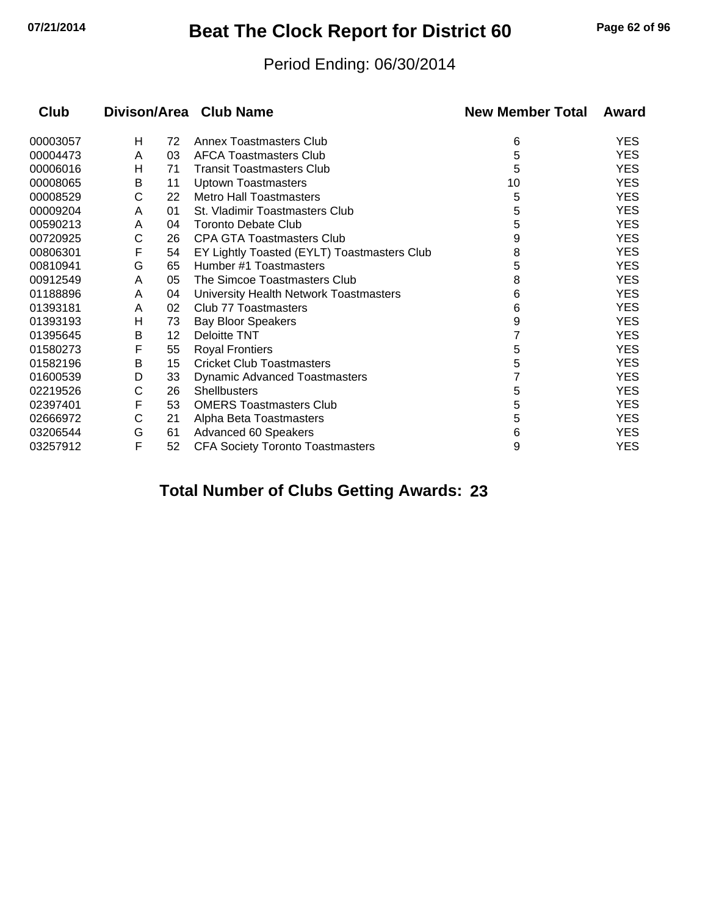## **07/21/2014 Beat The Clock Report for District 60 Page 62 of 96**

#### Period Ending: 06/30/2014

| Club     |   |    | Divison/Area Club Name                      | <b>New Member Total</b> | Award      |  |
|----------|---|----|---------------------------------------------|-------------------------|------------|--|
| 00003057 | н | 72 | <b>Annex Toastmasters Club</b>              | 6                       | <b>YES</b> |  |
| 00004473 | A | 03 | <b>AFCA Toastmasters Club</b>               | 5                       | <b>YES</b> |  |
| 00006016 | н | 71 | <b>Transit Toastmasters Club</b>            | 5                       | <b>YES</b> |  |
| 00008065 | B | 11 | <b>Uptown Toastmasters</b>                  | 10                      | <b>YES</b> |  |
| 00008529 | С | 22 | <b>Metro Hall Toastmasters</b>              | 5                       | <b>YES</b> |  |
| 00009204 | A | 01 | St. Vladimir Toastmasters Club              | 5                       | <b>YES</b> |  |
| 00590213 | A | 04 | <b>Toronto Debate Club</b>                  | 5                       | <b>YES</b> |  |
| 00720925 | С | 26 | <b>CPA GTA Toastmasters Club</b>            | 9                       | <b>YES</b> |  |
| 00806301 | F | 54 | EY Lightly Toasted (EYLT) Toastmasters Club | 8                       | <b>YES</b> |  |
| 00810941 | G | 65 | Humber #1 Toastmasters                      | 5                       | <b>YES</b> |  |
| 00912549 | A | 05 | The Simcoe Toastmasters Club                | 8                       | <b>YES</b> |  |
| 01188896 | A | 04 | University Health Network Toastmasters      | 6                       | <b>YES</b> |  |
| 01393181 | A | 02 | Club 77 Toastmasters                        | 6                       | <b>YES</b> |  |
| 01393193 | Η | 73 | <b>Bay Bloor Speakers</b>                   | 9                       | <b>YES</b> |  |
| 01395645 | B | 12 | <b>Deloitte TNT</b>                         |                         | <b>YES</b> |  |
| 01580273 | F | 55 | <b>Royal Frontiers</b>                      | 5                       | <b>YES</b> |  |
| 01582196 | B | 15 | <b>Cricket Club Toastmasters</b>            | 5                       | <b>YES</b> |  |
| 01600539 | D | 33 | <b>Dynamic Advanced Toastmasters</b>        |                         | <b>YES</b> |  |
| 02219526 | C | 26 | Shellbusters                                | 5                       | <b>YES</b> |  |
| 02397401 | F | 53 | <b>OMERS Toastmasters Club</b>              | 5                       | <b>YES</b> |  |
| 02666972 | С | 21 | Alpha Beta Toastmasters                     | 5                       | <b>YES</b> |  |
| 03206544 | G | 61 | Advanced 60 Speakers                        | 6                       | <b>YES</b> |  |
| 03257912 | F | 52 | <b>CFA Society Toronto Toastmasters</b>     | 9                       | <b>YES</b> |  |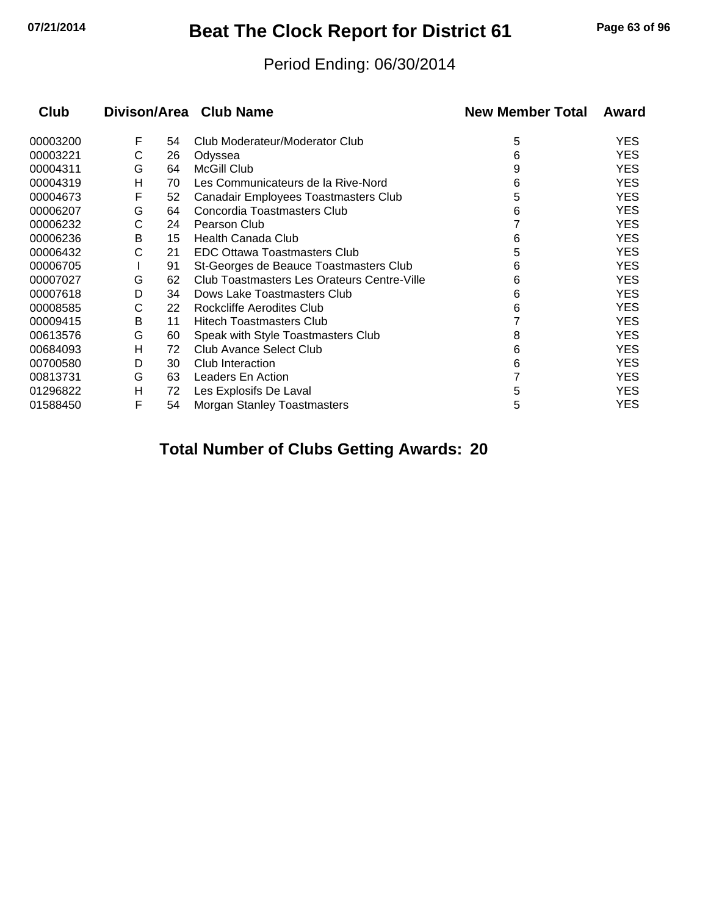## **07/21/2014 Beat The Clock Report for District 61 Page 63 of 96**

#### Period Ending: 06/30/2014

| Divison/Area Club Name<br>Club |   |    |                                             | <b>New Member Total</b> | Award      |  |
|--------------------------------|---|----|---------------------------------------------|-------------------------|------------|--|
| 00003200                       | F | 54 | Club Moderateur/Moderator Club              | 5                       | <b>YES</b> |  |
| 00003221                       | С | 26 | Odyssea                                     | 6                       | <b>YES</b> |  |
| 00004311                       | G | 64 | McGill Club                                 | 9                       | <b>YES</b> |  |
| 00004319                       | н | 70 | Les Communicateurs de la Rive-Nord          | 6                       | <b>YES</b> |  |
| 00004673                       | F | 52 | Canadair Employees Toastmasters Club        | 5                       | <b>YES</b> |  |
| 00006207                       | G | 64 | Concordia Toastmasters Club                 | 6                       | <b>YES</b> |  |
| 00006232                       | С | 24 | Pearson Club                                |                         | <b>YES</b> |  |
| 00006236                       | В | 15 | Health Canada Club                          | 6                       | <b>YES</b> |  |
| 00006432                       | С | 21 | <b>EDC Ottawa Toastmasters Club</b>         | 5                       | <b>YES</b> |  |
| 00006705                       |   | 91 | St-Georges de Beauce Toastmasters Club      | 6                       | <b>YES</b> |  |
| 00007027                       | G | 62 | Club Toastmasters Les Orateurs Centre-Ville | 6                       | <b>YES</b> |  |
| 00007618                       | D | 34 | Dows Lake Toastmasters Club                 | 6                       | <b>YES</b> |  |
| 00008585                       | С | 22 | Rockcliffe Aerodites Club                   | 6                       | <b>YES</b> |  |
| 00009415                       | В | 11 | <b>Hitech Toastmasters Club</b>             |                         | <b>YES</b> |  |
| 00613576                       | G | 60 | Speak with Style Toastmasters Club          | 8                       | <b>YES</b> |  |
| 00684093                       | н | 72 | Club Avance Select Club                     | 6                       | <b>YES</b> |  |
| 00700580                       | D | 30 | Club Interaction                            | 6                       | <b>YES</b> |  |
| 00813731                       | G | 63 | Leaders En Action                           |                         | <b>YES</b> |  |
| 01296822                       | н | 72 | Les Explosifs De Laval                      | 5                       | <b>YES</b> |  |
| 01588450                       | F | 54 | <b>Morgan Stanley Toastmasters</b>          | 5                       | <b>YES</b> |  |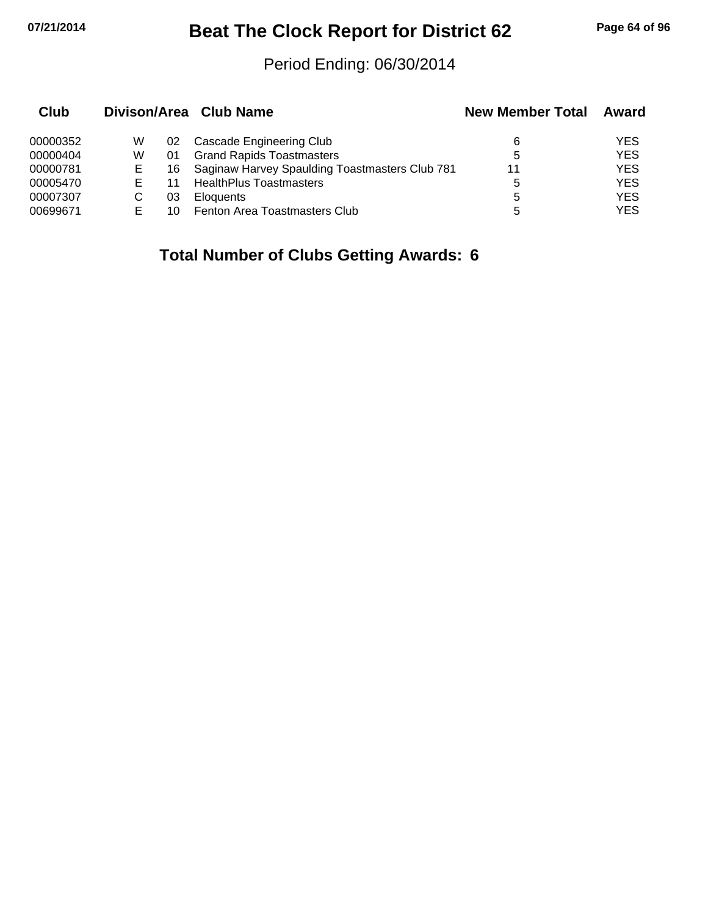## **07/21/2014 Beat The Clock Report for District 62 Page 64 of 96**

#### Period Ending: 06/30/2014

| Club     |   |    | Divison/Area Club Name                            | <b>New Member Total</b> | Award      |
|----------|---|----|---------------------------------------------------|-------------------------|------------|
| 00000352 | W | 02 | Cascade Engineering Club                          | 6                       | YES        |
| 00000404 | W | 01 | <b>Grand Rapids Toastmasters</b>                  | 5                       | <b>YES</b> |
| 00000781 | Е |    | 16 Saginaw Harvey Spaulding Toastmasters Club 781 | 11                      | <b>YES</b> |
| 00005470 |   | 11 | <b>HealthPlus Toastmasters</b>                    | 5                       | <b>YES</b> |
| 00007307 |   | 03 | <b>Eloquents</b>                                  | 5                       | <b>YES</b> |
| 00699671 |   | 10 | Fenton Area Toastmasters Club                     | 5                       | <b>YES</b> |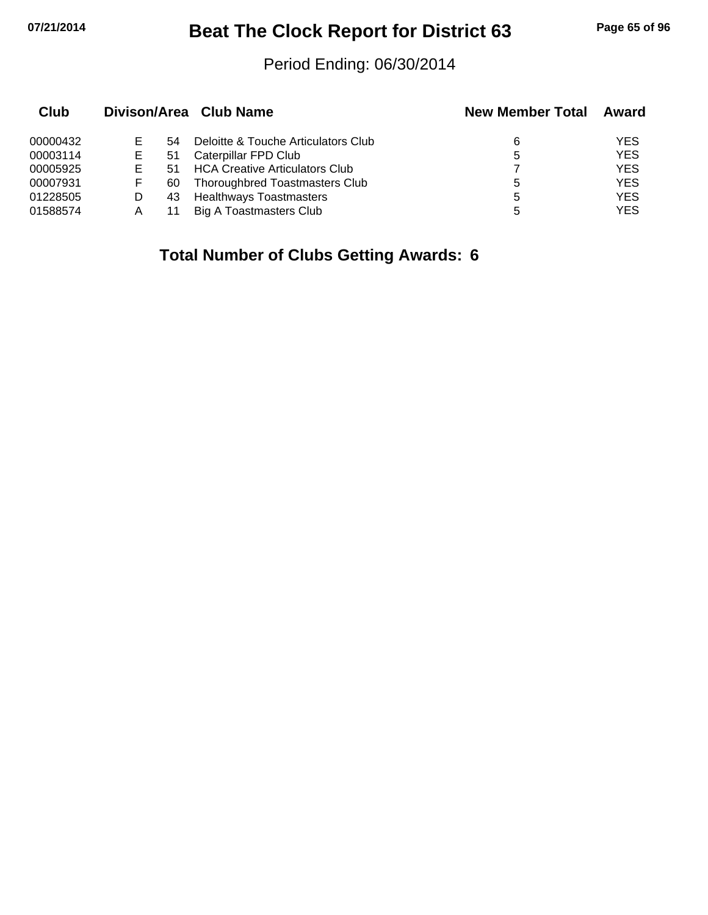## **07/21/2014 Beat The Clock Report for District 63 Page 65 of 96**

#### Period Ending: 06/30/2014

| Club     |   |     | Divison/Area Club Name                | <b>New Member Total</b> | Award      |
|----------|---|-----|---------------------------------------|-------------------------|------------|
| 00000432 | Е | 54  | Deloitte & Touche Articulators Club   | 6                       | <b>YES</b> |
| 00003114 | Е | 51  | Caterpillar FPD Club                  | 5                       | <b>YES</b> |
| 00005925 | Е | 51  | <b>HCA Creative Articulators Club</b> |                         | <b>YES</b> |
| 00007931 | F | 60  | Thoroughbred Toastmasters Club        | 5                       | <b>YES</b> |
| 01228505 |   | 43. | <b>Healthways Toastmasters</b>        | 5                       | <b>YES</b> |
| 01588574 | Α |     | <b>Big A Toastmasters Club</b>        | 5                       | <b>YES</b> |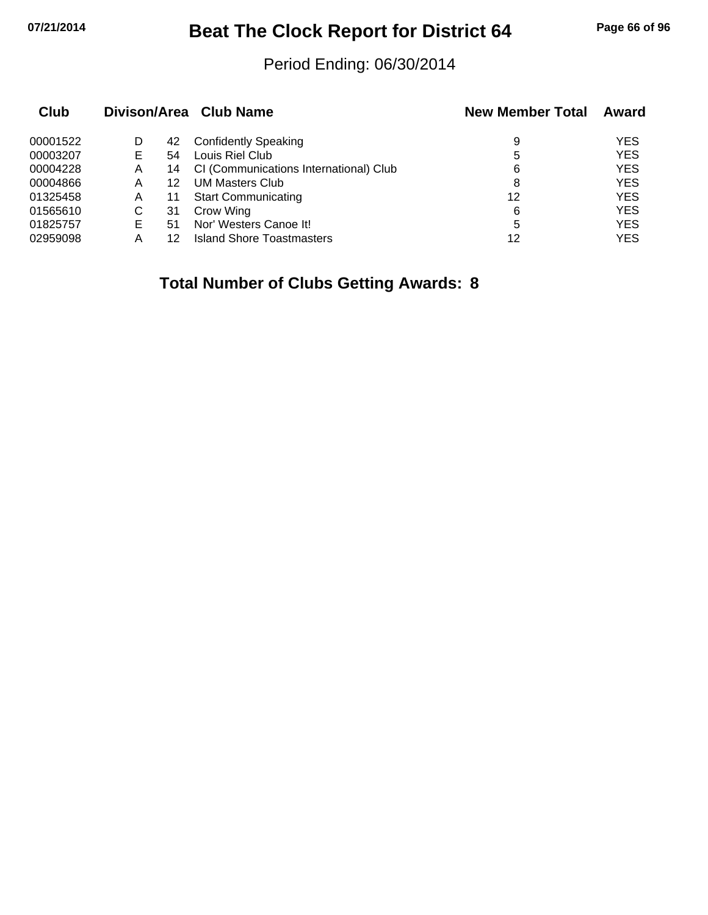# **07/21/2014 Beat The Clock Report for District 64 Page 66 of 96**

#### Period Ending: 06/30/2014

| Club     |    |    | Divison/Area Club Name                 | <b>New Member Total</b> | Award      |
|----------|----|----|----------------------------------------|-------------------------|------------|
| 00001522 | D  | 42 | <b>Confidently Speaking</b>            | 9                       | <b>YES</b> |
| 00003207 | Е  | 54 | Louis Riel Club                        | 5                       | <b>YES</b> |
| 00004228 | Α  | 14 | CI (Communications International) Club | 6                       | <b>YES</b> |
| 00004866 | A  | 12 | <b>UM Masters Club</b>                 | 8                       | <b>YES</b> |
| 01325458 | A  | 11 | <b>Start Communicating</b>             | 12                      | <b>YES</b> |
| 01565610 | С  | 31 | Crow Wing                              | 6                       | <b>YES</b> |
| 01825757 | E. | 51 | Nor' Westers Canoe It!                 | 5                       | <b>YES</b> |
| 02959098 | А  |    | Island Shore Toastmasters              | 12                      | <b>YES</b> |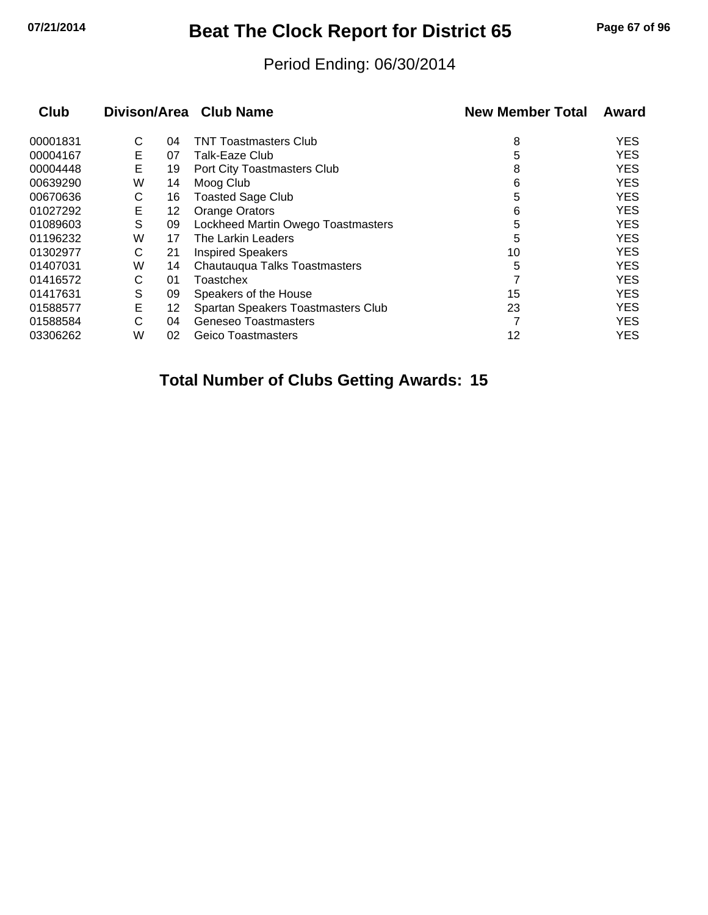# **07/21/2014 Beat The Clock Report for District 65 Page 67 of 96**

#### Period Ending: 06/30/2014

|   |    |                                    | <b>New Member Total</b>                                      | Award      |
|---|----|------------------------------------|--------------------------------------------------------------|------------|
| С | 04 | <b>TNT Toastmasters Club</b>       | 8                                                            | <b>YES</b> |
| Е | 07 | Talk-Eaze Club                     | 5                                                            | <b>YES</b> |
| E | 19 | Port City Toastmasters Club        | 8                                                            | <b>YES</b> |
| W | 14 | Moog Club                          | 6                                                            | <b>YES</b> |
| С | 16 | <b>Toasted Sage Club</b>           | 5                                                            | <b>YES</b> |
| E | 12 | Orange Orators                     | 6                                                            | <b>YES</b> |
| S | 09 |                                    | 5                                                            | <b>YES</b> |
| W | 17 | The Larkin Leaders                 | 5                                                            | <b>YES</b> |
| С | 21 | <b>Inspired Speakers</b>           | 10                                                           | <b>YES</b> |
| W | 14 | Chautauqua Talks Toastmasters      | 5                                                            | <b>YES</b> |
| С | 01 | Toastchex                          |                                                              | <b>YES</b> |
| S | 09 | Speakers of the House              | 15                                                           | <b>YES</b> |
| E | 12 | Spartan Speakers Toastmasters Club | 23                                                           | <b>YES</b> |
| С | 04 | Geneseo Toastmasters               |                                                              | <b>YES</b> |
| W | 02 | Geico Toastmasters                 | 12                                                           | <b>YES</b> |
|   |    |                                    | Divison/Area Club Name<br>Lockheed Martin Owego Toastmasters |            |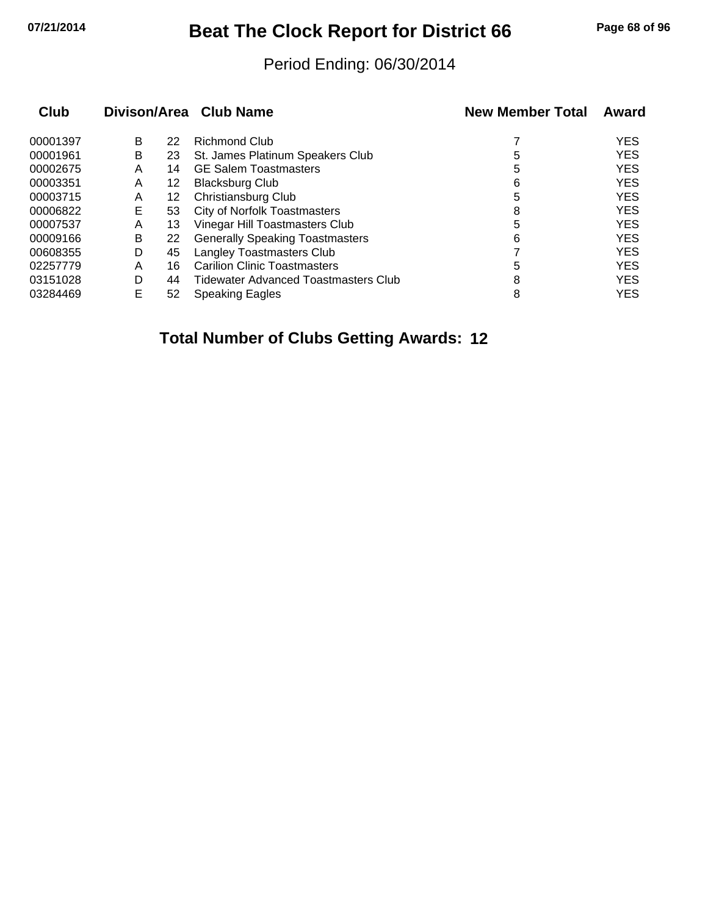# **07/21/2014 Beat The Clock Report for District 66 Page 68 of 96**

#### Period Ending: 06/30/2014

| Club     |   |    | Divison/Area Club Name                 | <b>New Member Total</b> | Award      |
|----------|---|----|----------------------------------------|-------------------------|------------|
| 00001397 | B | 22 | Richmond Club                          |                         | <b>YES</b> |
| 00001961 | B | 23 | St. James Platinum Speakers Club       | 5                       | <b>YES</b> |
| 00002675 | A | 14 | <b>GE Salem Toastmasters</b>           | 5                       | <b>YES</b> |
| 00003351 | A | 12 | <b>Blacksburg Club</b>                 | 6                       | <b>YES</b> |
| 00003715 | A | 12 | Christiansburg Club                    | 5                       | <b>YES</b> |
| 00006822 | Е | 53 | <b>City of Norfolk Toastmasters</b>    | 8                       | <b>YES</b> |
| 00007537 | A | 13 | Vinegar Hill Toastmasters Club         | 5                       | <b>YES</b> |
| 00009166 | B | 22 | <b>Generally Speaking Toastmasters</b> | 6                       | <b>YES</b> |
| 00608355 | D | 45 | Langley Toastmasters Club              |                         | <b>YES</b> |
| 02257779 | Α | 16 | <b>Carilion Clinic Toastmasters</b>    | 5                       | <b>YES</b> |
| 03151028 | D | 44 | Tidewater Advanced Toastmasters Club   | 8                       | <b>YES</b> |
| 03284469 | E | 52 | <b>Speaking Eagles</b>                 | 8                       | <b>YES</b> |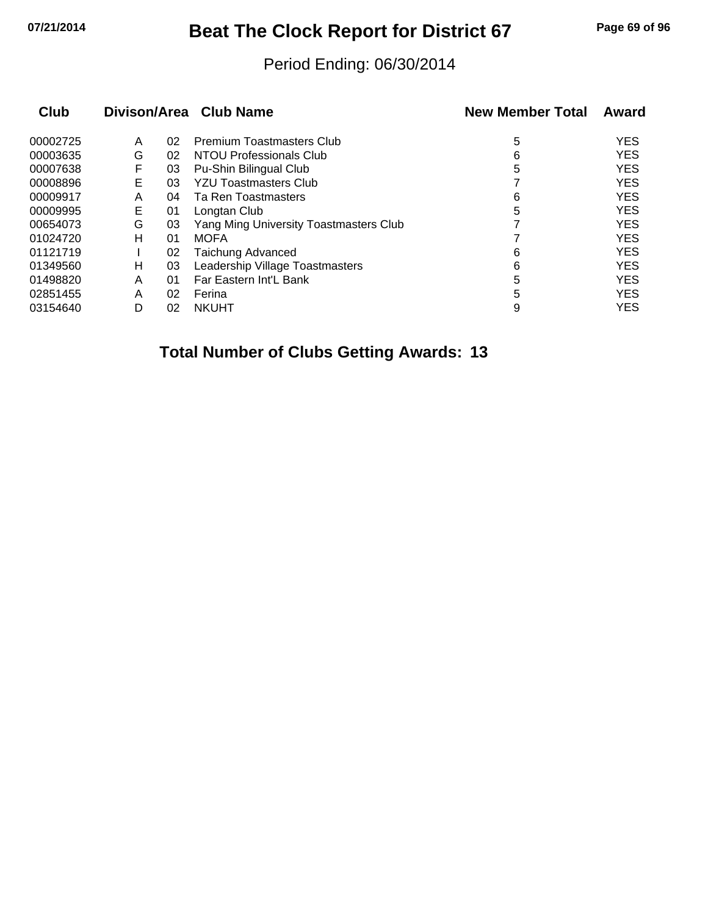## **07/21/2014 Beat The Clock Report for District 67 Page 69 of 96**

#### Period Ending: 06/30/2014

| Club     |   |    | Divison/Area Club Name                 | <b>New Member Total</b> | Award      |
|----------|---|----|----------------------------------------|-------------------------|------------|
| 00002725 | A | 02 | <b>Premium Toastmasters Club</b>       | 5                       | <b>YES</b> |
| 00003635 | G | 02 | <b>NTOU Professionals Club</b>         | 6                       | <b>YES</b> |
| 00007638 | F | 03 | Pu-Shin Bilingual Club                 | 5                       | <b>YES</b> |
| 00008896 | Е | 03 | <b>YZU Toastmasters Club</b>           |                         | <b>YES</b> |
| 00009917 | A | 04 | Ta Ren Toastmasters                    | 6                       | <b>YES</b> |
| 00009995 | Е | 01 | Longtan Club                           | 5                       | <b>YES</b> |
| 00654073 | G | 03 | Yang Ming University Toastmasters Club |                         | <b>YES</b> |
| 01024720 | н | 01 | <b>MOFA</b>                            |                         | <b>YES</b> |
| 01121719 |   | 02 | Taichung Advanced                      | 6                       | <b>YES</b> |
| 01349560 | н | 03 | Leadership Village Toastmasters        | 6                       | <b>YES</b> |
| 01498820 | A | 01 | Far Eastern Int'L Bank                 | 5                       | <b>YES</b> |
| 02851455 | A | 02 | Ferina                                 | 5                       | <b>YES</b> |
| 03154640 | D | 02 | <b>NKUHT</b>                           | 9                       | <b>YES</b> |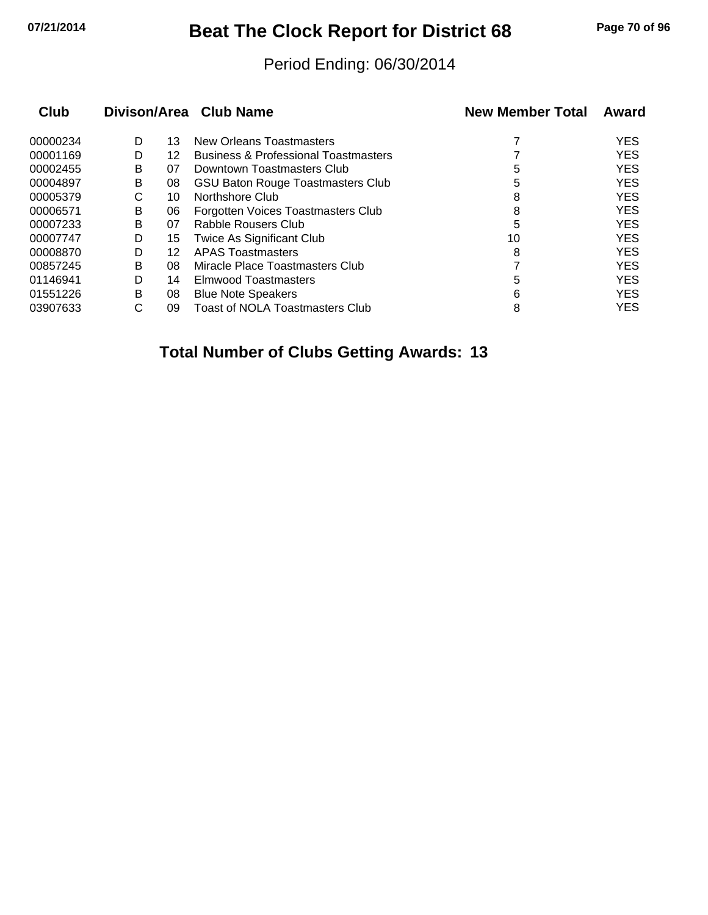## **07/21/2014 Beat The Clock Report for District 68 Page 70 of 96**

#### Period Ending: 06/30/2014

| Club     |   |    | Divison/Area Club Name                          | <b>New Member Total</b> | Award      |
|----------|---|----|-------------------------------------------------|-------------------------|------------|
| 00000234 | D | 13 | New Orleans Toastmasters                        |                         | <b>YES</b> |
| 00001169 | D | 12 | <b>Business &amp; Professional Toastmasters</b> |                         | <b>YES</b> |
| 00002455 | B | 07 | Downtown Toastmasters Club                      | 5                       | <b>YES</b> |
| 00004897 | B | 08 | <b>GSU Baton Rouge Toastmasters Club</b>        | 5                       | <b>YES</b> |
| 00005379 | С | 10 | Northshore Club                                 | 8                       | <b>YES</b> |
| 00006571 | B | 06 | Forgotten Voices Toastmasters Club              | 8                       | <b>YES</b> |
| 00007233 | B | 07 | Rabble Rousers Club                             | 5                       | <b>YES</b> |
| 00007747 | D | 15 | <b>Twice As Significant Club</b>                | 10                      | <b>YES</b> |
| 00008870 | D | 12 | <b>APAS Toastmasters</b>                        | 8                       | <b>YES</b> |
| 00857245 | в | 08 | Miracle Place Toastmasters Club                 |                         | <b>YES</b> |
| 01146941 | D | 14 | Elmwood Toastmasters                            | 5                       | <b>YES</b> |
| 01551226 | B | 08 | <b>Blue Note Speakers</b>                       | 6                       | <b>YES</b> |
| 03907633 | С | 09 | <b>Toast of NOLA Toastmasters Club</b>          | 8                       | <b>YES</b> |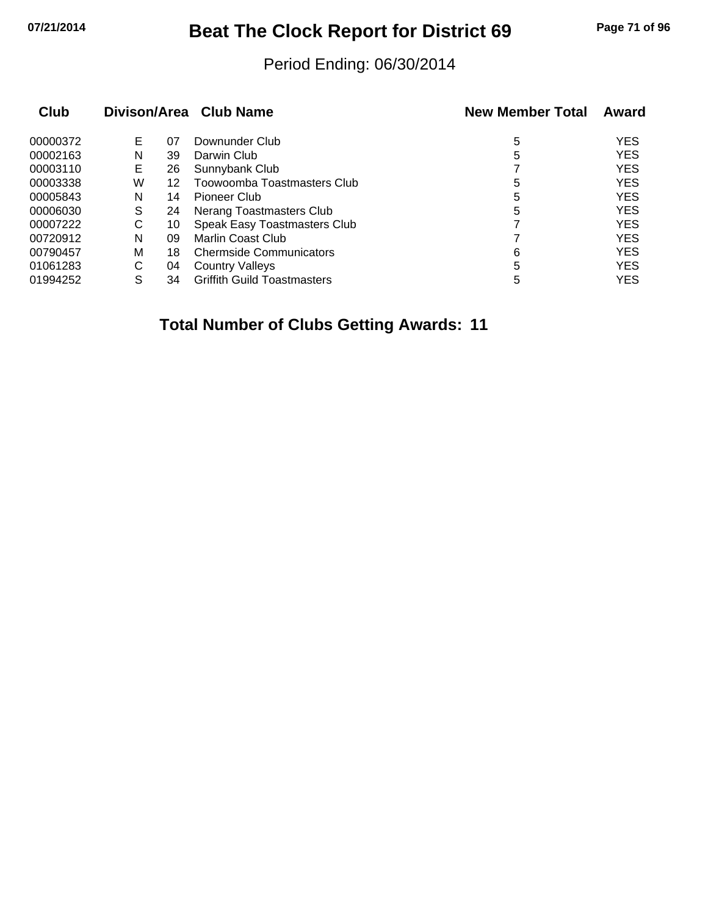# **07/21/2014 Beat The Clock Report for District 69 Page 71 of 96**

#### Period Ending: 06/30/2014

| Club     | Divison/Area Club Name |    |                                    | <b>New Member Total</b> | Award      |
|----------|------------------------|----|------------------------------------|-------------------------|------------|
| 00000372 | Е                      | 07 | Downunder Club                     | 5                       | <b>YES</b> |
| 00002163 | N                      | 39 | Darwin Club                        | 5                       | <b>YES</b> |
| 00003110 | Е                      | 26 | Sunnybank Club                     |                         | <b>YES</b> |
| 00003338 | W                      | 12 | Toowoomba Toastmasters Club        | 5                       | <b>YES</b> |
| 00005843 | N                      | 14 | Pioneer Club                       | 5                       | <b>YES</b> |
| 00006030 | S                      | 24 | Nerang Toastmasters Club           | 5                       | <b>YES</b> |
| 00007222 | С                      | 10 | Speak Easy Toastmasters Club       |                         | <b>YES</b> |
| 00720912 | N                      | 09 | Marlin Coast Club                  |                         | <b>YES</b> |
| 00790457 | м                      | 18 | <b>Chermside Communicators</b>     | 6                       | <b>YES</b> |
| 01061283 | С                      | 04 | <b>Country Valleys</b>             | 5                       | <b>YES</b> |
| 01994252 | S                      | 34 | <b>Griffith Guild Toastmasters</b> | 5                       | <b>YES</b> |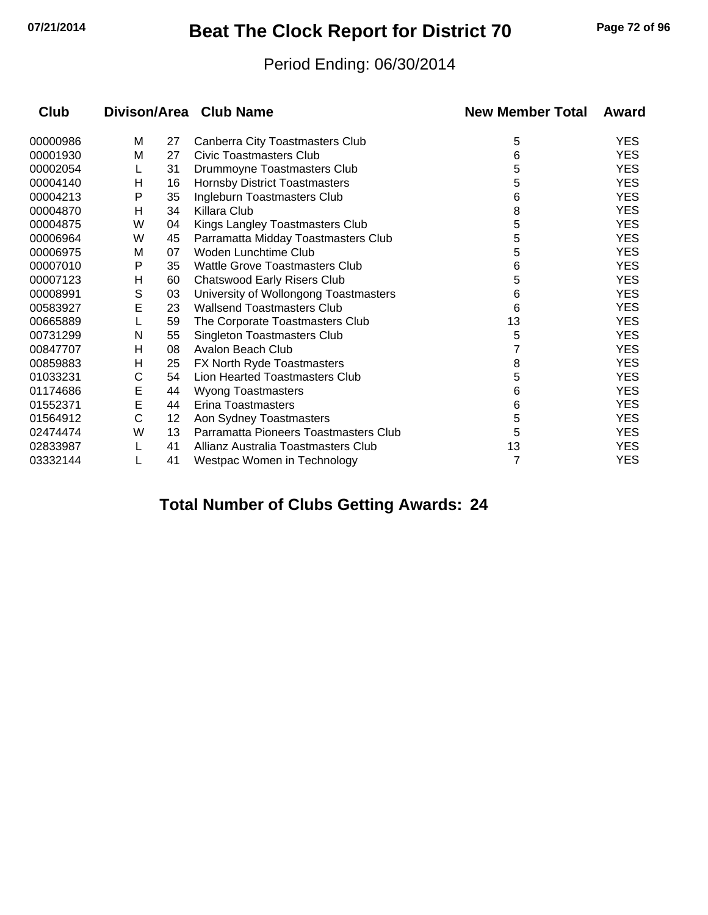## **07/21/2014 Beat The Clock Report for District 70 Page 72 of 96**

#### Period Ending: 06/30/2014

| Club     |   |    | Divison/Area Club Name                 | <b>New Member Total</b> | Award      |
|----------|---|----|----------------------------------------|-------------------------|------------|
| 00000986 | м | 27 | <b>Canberra City Toastmasters Club</b> | 5                       | <b>YES</b> |
| 00001930 | м | 27 | Civic Toastmasters Club                | 6                       | <b>YES</b> |
| 00002054 | L | 31 | Drummoyne Toastmasters Club            | 5                       | <b>YES</b> |
| 00004140 | н | 16 | <b>Hornsby District Toastmasters</b>   | 5                       | <b>YES</b> |
| 00004213 | Р | 35 | Ingleburn Toastmasters Club            | 6                       | <b>YES</b> |
| 00004870 | н | 34 | Killara Club                           | 8                       | <b>YES</b> |
| 00004875 | W | 04 | Kings Langley Toastmasters Club        | 5                       | <b>YES</b> |
| 00006964 | W | 45 | Parramatta Midday Toastmasters Club    | 5                       | <b>YES</b> |
| 00006975 | М | 07 | Woden Lunchtime Club                   | 5                       | <b>YES</b> |
| 00007010 | P | 35 | Wattle Grove Toastmasters Club         | 6                       | <b>YES</b> |
| 00007123 | Н | 60 | <b>Chatswood Early Risers Club</b>     | 5                       | <b>YES</b> |
| 00008991 | S | 03 | University of Wollongong Toastmasters  | 6                       | <b>YES</b> |
| 00583927 | E | 23 | Wallsend Toastmasters Club             | 6                       | <b>YES</b> |
| 00665889 |   | 59 | The Corporate Toastmasters Club        | 13                      | <b>YES</b> |
| 00731299 | N | 55 | <b>Singleton Toastmasters Club</b>     | 5                       | <b>YES</b> |
| 00847707 | н | 08 | Avalon Beach Club                      | 7                       | <b>YES</b> |
| 00859883 | H | 25 | FX North Ryde Toastmasters             | 8                       | <b>YES</b> |
| 01033231 | С | 54 | Lion Hearted Toastmasters Club         | 5                       | <b>YES</b> |
| 01174686 | Е | 44 | <b>Wyong Toastmasters</b>              | 6                       | <b>YES</b> |
| 01552371 | E | 44 | Erina Toastmasters                     | 6                       | <b>YES</b> |
| 01564912 | C | 12 | Aon Sydney Toastmasters                | 5                       | <b>YES</b> |
| 02474474 | W | 13 | Parramatta Pioneers Toastmasters Club  | 5                       | <b>YES</b> |
| 02833987 |   | 41 | Allianz Australia Toastmasters Club    | 13                      | <b>YES</b> |
| 03332144 |   | 41 | Westpac Women in Technology            | 7                       | <b>YES</b> |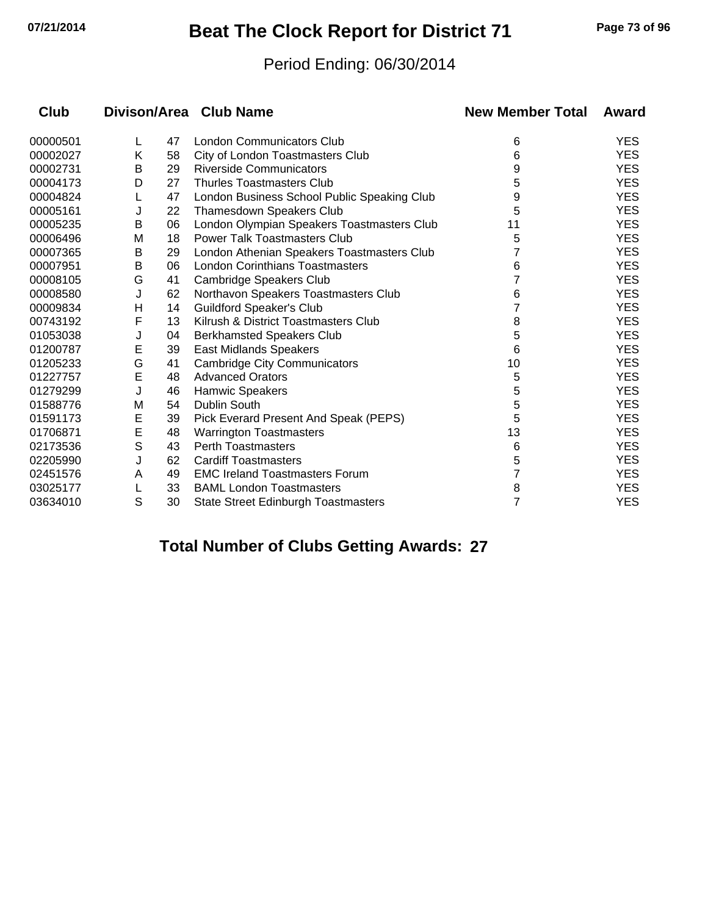# **07/21/2014 Beat The Clock Report for District 71 Page 73 of 96**

#### Period Ending: 06/30/2014

| Club     |   |    | Divison/Area Club Name                      | <b>New Member Total</b> | Award      |
|----------|---|----|---------------------------------------------|-------------------------|------------|
| 00000501 | L | 47 | London Communicators Club                   | 6                       | <b>YES</b> |
| 00002027 | Κ | 58 | City of London Toastmasters Club            | 6                       | <b>YES</b> |
| 00002731 | В | 29 | <b>Riverside Communicators</b>              | 9                       | <b>YES</b> |
| 00004173 | D | 27 | <b>Thurles Toastmasters Club</b>            | 5                       | <b>YES</b> |
| 00004824 |   | 47 | London Business School Public Speaking Club | 9                       | <b>YES</b> |
| 00005161 | J | 22 | <b>Thamesdown Speakers Club</b>             | 5                       | <b>YES</b> |
| 00005235 | B | 06 | London Olympian Speakers Toastmasters Club  | 11                      | <b>YES</b> |
| 00006496 | M | 18 | <b>Power Talk Toastmasters Club</b>         | 5                       | <b>YES</b> |
| 00007365 | B | 29 | London Athenian Speakers Toastmasters Club  | 7                       | <b>YES</b> |
| 00007951 | В | 06 | <b>London Corinthians Toastmasters</b>      | 6                       | <b>YES</b> |
| 00008105 | G | 41 | Cambridge Speakers Club                     |                         | <b>YES</b> |
| 00008580 | J | 62 | Northavon Speakers Toastmasters Club        | 6                       | <b>YES</b> |
| 00009834 | Η | 14 | <b>Guildford Speaker's Club</b>             |                         | <b>YES</b> |
| 00743192 | F | 13 | Kilrush & District Toastmasters Club        | 8                       | <b>YES</b> |
| 01053038 | J | 04 | <b>Berkhamsted Speakers Club</b>            | 5                       | <b>YES</b> |
| 01200787 | Е | 39 | East Midlands Speakers                      | 6                       | <b>YES</b> |
| 01205233 | G | 41 | <b>Cambridge City Communicators</b>         | 10                      | <b>YES</b> |
| 01227757 | E | 48 | <b>Advanced Orators</b>                     | 5                       | <b>YES</b> |
| 01279299 | J | 46 | Hamwic Speakers                             | 5                       | <b>YES</b> |
| 01588776 | M | 54 | Dublin South                                | 5                       | <b>YES</b> |
| 01591173 | Е | 39 | Pick Everard Present And Speak (PEPS)       | 5                       | <b>YES</b> |
| 01706871 | E | 48 | <b>Warrington Toastmasters</b>              | 13                      | <b>YES</b> |
| 02173536 | S | 43 | <b>Perth Toastmasters</b>                   | 6                       | <b>YES</b> |
| 02205990 | J | 62 | <b>Cardiff Toastmasters</b>                 | 5                       | <b>YES</b> |
| 02451576 | A | 49 | <b>EMC Ireland Toastmasters Forum</b>       | 7                       | <b>YES</b> |
| 03025177 | L | 33 | <b>BAML London Toastmasters</b>             | 8                       | <b>YES</b> |
| 03634010 | S | 30 | <b>State Street Edinburgh Toastmasters</b>  | $\overline{7}$          | <b>YES</b> |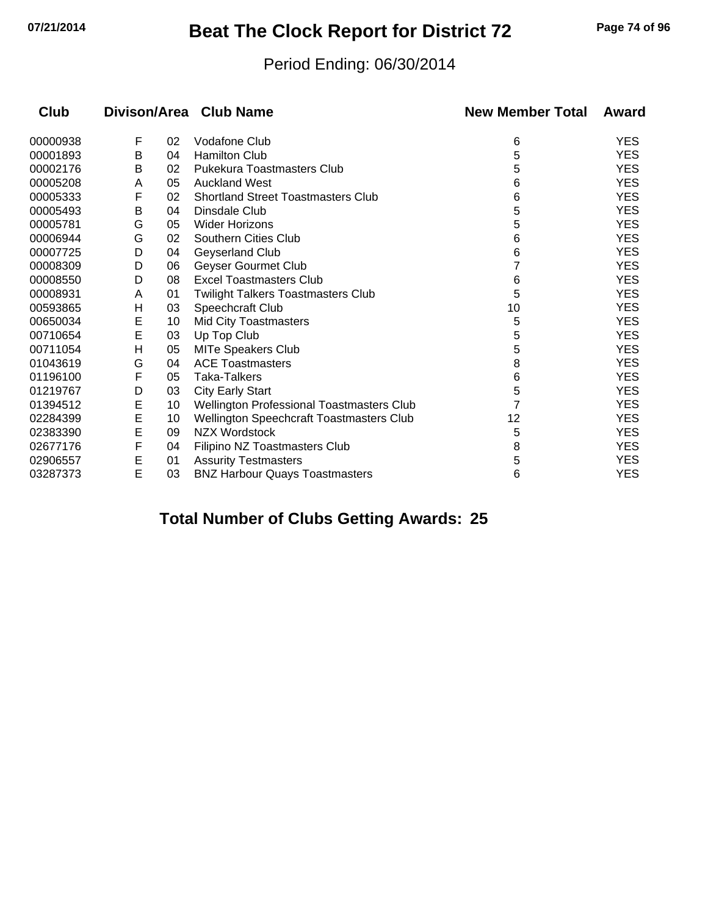## **07/21/2014 Beat The Clock Report for District 72 Page 74 of 96**

#### Period Ending: 06/30/2014

| Club     |   |    | Divison/Area Club Name                    | <b>New Member Total</b> | Award      |
|----------|---|----|-------------------------------------------|-------------------------|------------|
| 00000938 | F | 02 | <b>Vodafone Club</b>                      | 6                       | <b>YES</b> |
| 00001893 | В | 04 | <b>Hamilton Club</b>                      | 5                       | <b>YES</b> |
| 00002176 | в | 02 | Pukekura Toastmasters Club                | 5                       | <b>YES</b> |
| 00005208 | A | 05 | <b>Auckland West</b>                      | 6                       | <b>YES</b> |
| 00005333 | F | 02 | <b>Shortland Street Toastmasters Club</b> | 6                       | <b>YES</b> |
| 00005493 | Β | 04 | Dinsdale Club                             | 5                       | <b>YES</b> |
| 00005781 | G | 05 | <b>Wider Horizons</b>                     | 5                       | <b>YES</b> |
| 00006944 | G | 02 | <b>Southern Cities Club</b>               | 6                       | <b>YES</b> |
| 00007725 | D | 04 | Geyserland Club                           | 6                       | <b>YES</b> |
| 00008309 | D | 06 | Geyser Gourmet Club                       |                         | <b>YES</b> |
| 00008550 | D | 08 | <b>Excel Toastmasters Club</b>            | 6                       | <b>YES</b> |
| 00008931 | A | 01 | Twilight Talkers Toastmasters Club        | 5                       | <b>YES</b> |
| 00593865 | н | 03 | Speechcraft Club                          | 10                      | <b>YES</b> |
| 00650034 | E | 10 | <b>Mid City Toastmasters</b>              | 5                       | <b>YES</b> |
| 00710654 | E | 03 | Up Top Club                               | 5                       | <b>YES</b> |
| 00711054 | Η | 05 | <b>MITe Speakers Club</b>                 | 5                       | <b>YES</b> |
| 01043619 | G | 04 | <b>ACE Toastmasters</b>                   | 8                       | <b>YES</b> |
| 01196100 | F | 05 | Taka-Talkers                              | 6                       | <b>YES</b> |
| 01219767 | D | 03 | <b>City Early Start</b>                   | 5                       | <b>YES</b> |
| 01394512 | E | 10 | Wellington Professional Toastmasters Club | 7                       | <b>YES</b> |
| 02284399 | E | 10 | Wellington Speechcraft Toastmasters Club  | 12                      | <b>YES</b> |
| 02383390 | E | 09 | <b>NZX Wordstock</b>                      | 5                       | <b>YES</b> |
| 02677176 | F | 04 | Filipino NZ Toastmasters Club             | 8                       | <b>YES</b> |
| 02906557 | Е | 01 | <b>Assurity Testmasters</b>               | 5                       | <b>YES</b> |
| 03287373 | E | 03 | <b>BNZ Harbour Quays Toastmasters</b>     | 6                       | <b>YES</b> |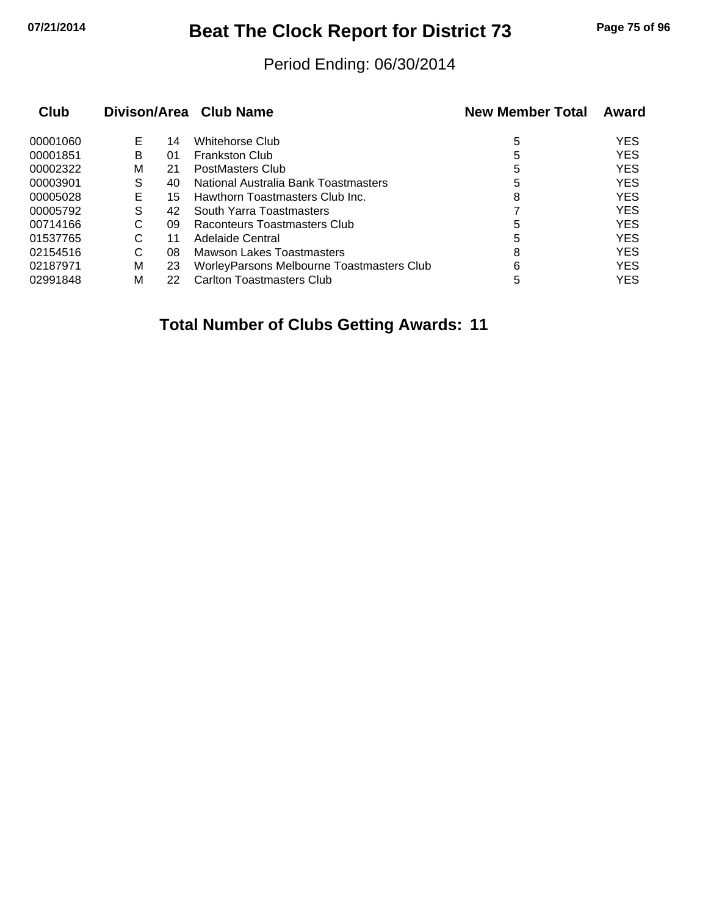## **07/21/2014 Beat The Clock Report for District 73 Page 75 of 96**

#### Period Ending: 06/30/2014

| Club     |    |    | Divison/Area Club Name                    | <b>New Member Total</b> | Award      |
|----------|----|----|-------------------------------------------|-------------------------|------------|
| 00001060 | E. | 14 | Whitehorse Club                           | 5                       | <b>YES</b> |
| 00001851 | в  | 01 | <b>Frankston Club</b>                     | 5                       | <b>YES</b> |
| 00002322 | М  | 21 | PostMasters Club                          | 5                       | <b>YES</b> |
| 00003901 | S  | 40 | National Australia Bank Toastmasters      | 5                       | <b>YES</b> |
| 00005028 | Е  | 15 | Hawthorn Toastmasters Club Inc.           | 8                       | <b>YES</b> |
| 00005792 | S  | 42 | South Yarra Toastmasters                  |                         | <b>YES</b> |
| 00714166 | C  | 09 | Raconteurs Toastmasters Club              | 5                       | <b>YES</b> |
| 01537765 | C  | 11 | Adelaide Central                          | 5                       | <b>YES</b> |
| 02154516 | C  | 08 | <b>Mawson Lakes Toastmasters</b>          | 8                       | <b>YES</b> |
| 02187971 | М  | 23 | WorleyParsons Melbourne Toastmasters Club | 6                       | <b>YES</b> |
| 02991848 | м  | 22 | Carlton Toastmasters Club                 | 5                       | YES        |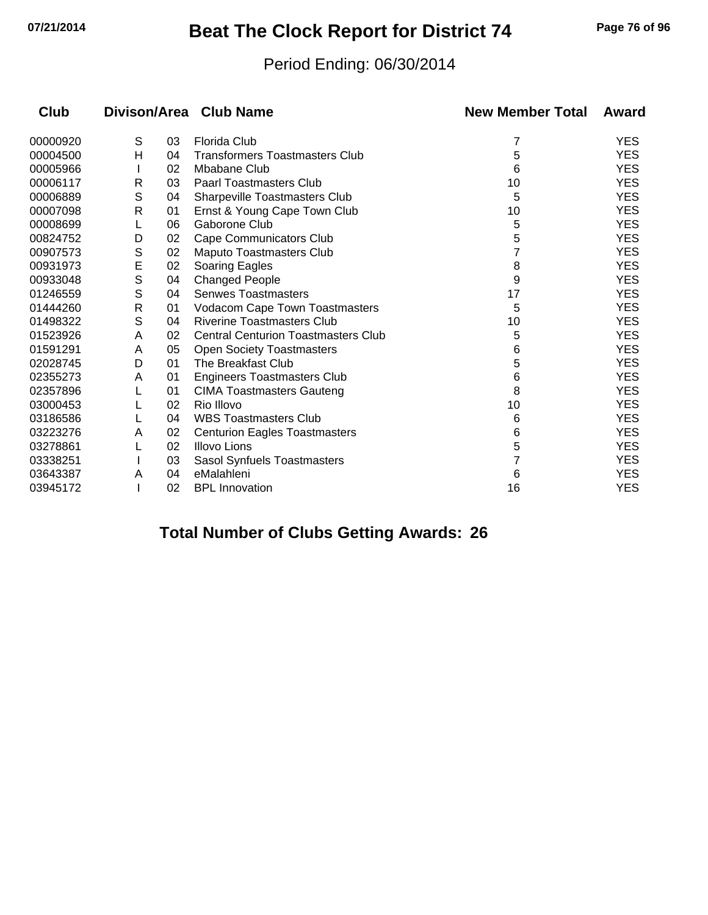# **07/21/2014 Beat The Clock Report for District 74 Page 76 of 96**

#### Period Ending: 06/30/2014

| <b>Club</b> |              |    | Divison/Area Club Name                     | <b>New Member Total</b> | Award      |
|-------------|--------------|----|--------------------------------------------|-------------------------|------------|
| 00000920    | S            | 03 | <b>Florida Club</b>                        | 7                       | <b>YES</b> |
| 00004500    | н            | 04 | <b>Transformers Toastmasters Club</b>      | 5                       | <b>YES</b> |
| 00005966    |              | 02 | Mbabane Club                               | 6                       | <b>YES</b> |
| 00006117    | R            | 03 | <b>Paarl Toastmasters Club</b>             | 10                      | <b>YES</b> |
| 00006889    | S            | 04 | <b>Sharpeville Toastmasters Club</b>       | 5                       | <b>YES</b> |
| 00007098    | R            | 01 | Ernst & Young Cape Town Club               | 10                      | <b>YES</b> |
| 00008699    |              | 06 | Gaborone Club                              | 5                       | <b>YES</b> |
| 00824752    | D            | 02 | Cape Communicators Club                    | 5                       | <b>YES</b> |
| 00907573    | S            | 02 | Maputo Toastmasters Club                   |                         | <b>YES</b> |
| 00931973    | E            | 02 | Soaring Eagles                             | 8                       | <b>YES</b> |
| 00933048    | S            | 04 | <b>Changed People</b>                      | 9                       | <b>YES</b> |
| 01246559    | S            | 04 | <b>Senwes Toastmasters</b>                 | 17                      | <b>YES</b> |
| 01444260    | $\mathsf{R}$ | 01 | <b>Vodacom Cape Town Toastmasters</b>      | 5                       | <b>YES</b> |
| 01498322    | S            | 04 | <b>Riverine Toastmasters Club</b>          | 10                      | <b>YES</b> |
| 01523926    | A            | 02 | <b>Central Centurion Toastmasters Club</b> | 5                       | <b>YES</b> |
| 01591291    | A            | 05 | <b>Open Society Toastmasters</b>           | 6                       | <b>YES</b> |
| 02028745    | D            | 01 | The Breakfast Club                         | 5                       | <b>YES</b> |
| 02355273    | A            | 01 | <b>Engineers Toastmasters Club</b>         | 6                       | <b>YES</b> |
| 02357896    |              | 01 | <b>CIMA Toastmasters Gauteng</b>           | 8                       | <b>YES</b> |
| 03000453    |              | 02 | Rio Illovo                                 | 10                      | <b>YES</b> |
| 03186586    |              | 04 | <b>WBS Toastmasters Club</b>               | 6                       | <b>YES</b> |
| 03223276    | A            | 02 | <b>Centurion Eagles Toastmasters</b>       | 6                       | <b>YES</b> |
| 03278861    |              | 02 | <b>Illovo Lions</b>                        | 5                       | <b>YES</b> |
| 03338251    |              | 03 | Sasol Synfuels Toastmasters                |                         | <b>YES</b> |
| 03643387    | A            | 04 | eMalahleni                                 | 6                       | <b>YES</b> |
| 03945172    |              | 02 | <b>BPL Innovation</b>                      | 16                      | <b>YES</b> |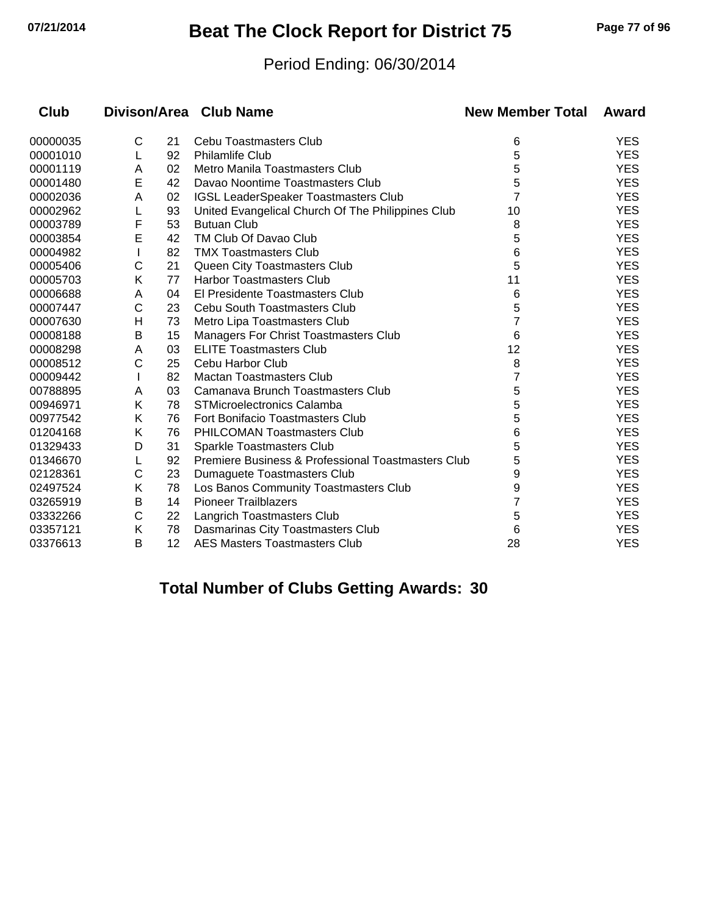# **07/21/2014 Beat The Clock Report for District 75 Page 77 of 96**

#### Period Ending: 06/30/2014

| <b>Club</b> |   |    | Divison/Area Club Name                             | <b>New Member Total</b> | Award      |
|-------------|---|----|----------------------------------------------------|-------------------------|------------|
| 00000035    | С | 21 | Cebu Toastmasters Club                             | 6                       | <b>YES</b> |
| 00001010    | L | 92 | <b>Philamlife Club</b>                             | 5                       | <b>YES</b> |
| 00001119    | A | 02 | Metro Manila Toastmasters Club                     | 5                       | <b>YES</b> |
| 00001480    | Ε | 42 | Davao Noontime Toastmasters Club                   | 5                       | <b>YES</b> |
| 00002036    | A | 02 | <b>IGSL LeaderSpeaker Toastmasters Club</b>        | 7                       | <b>YES</b> |
| 00002962    |   | 93 | United Evangelical Church Of The Philippines Club  | 10                      | <b>YES</b> |
| 00003789    | F | 53 | <b>Butuan Club</b>                                 | 8                       | <b>YES</b> |
| 00003854    | E | 42 | TM Club Of Davao Club                              | 5                       | <b>YES</b> |
| 00004982    |   | 82 | <b>TMX Toastmasters Club</b>                       | 6                       | <b>YES</b> |
| 00005406    | С | 21 | Queen City Toastmasters Club                       | 5                       | <b>YES</b> |
| 00005703    | Κ | 77 | Harbor Toastmasters Club                           | 11                      | <b>YES</b> |
| 00006688    | A | 04 | El Presidente Toastmasters Club                    | 6                       | <b>YES</b> |
| 00007447    | С | 23 | <b>Cebu South Toastmasters Club</b>                | 5                       | <b>YES</b> |
| 00007630    | Н | 73 | Metro Lipa Toastmasters Club                       | 7                       | <b>YES</b> |
| 00008188    | B | 15 | <b>Managers For Christ Toastmasters Club</b>       | 6                       | <b>YES</b> |
| 00008298    | A | 03 | <b>ELITE Toastmasters Club</b>                     | 12                      | YES.       |
| 00008512    | C | 25 | Cebu Harbor Club                                   | 8                       | <b>YES</b> |
| 00009442    |   | 82 | <b>Mactan Toastmasters Club</b>                    | 7                       | <b>YES</b> |
| 00788895    | A | 03 | Camanava Brunch Toastmasters Club                  | 5                       | <b>YES</b> |
| 00946971    | Κ | 78 | STMicroelectronics Calamba                         | 5                       | <b>YES</b> |
| 00977542    | Κ | 76 | Fort Bonifacio Toastmasters Club                   | 5                       | <b>YES</b> |
| 01204168    | Κ | 76 | <b>PHILCOMAN Toastmasters Club</b>                 | 6                       | <b>YES</b> |
| 01329433    | D | 31 | Sparkle Toastmasters Club                          | 5                       | <b>YES</b> |
| 01346670    | L | 92 | Premiere Business & Professional Toastmasters Club | 5                       | <b>YES</b> |
| 02128361    | C | 23 | Dumaguete Toastmasters Club                        | 9                       | <b>YES</b> |
| 02497524    | Κ | 78 | Los Banos Community Toastmasters Club              | 9                       | <b>YES</b> |
| 03265919    | В | 14 | <b>Pioneer Trailblazers</b>                        | 7                       | YES.       |
| 03332266    | C | 22 | Langrich Toastmasters Club                         | 5                       | <b>YES</b> |
| 03357121    | Κ | 78 | Dasmarinas City Toastmasters Club                  | 6                       | <b>YES</b> |
| 03376613    | В | 12 | <b>AES Masters Toastmasters Club</b>               | 28                      | <b>YES</b> |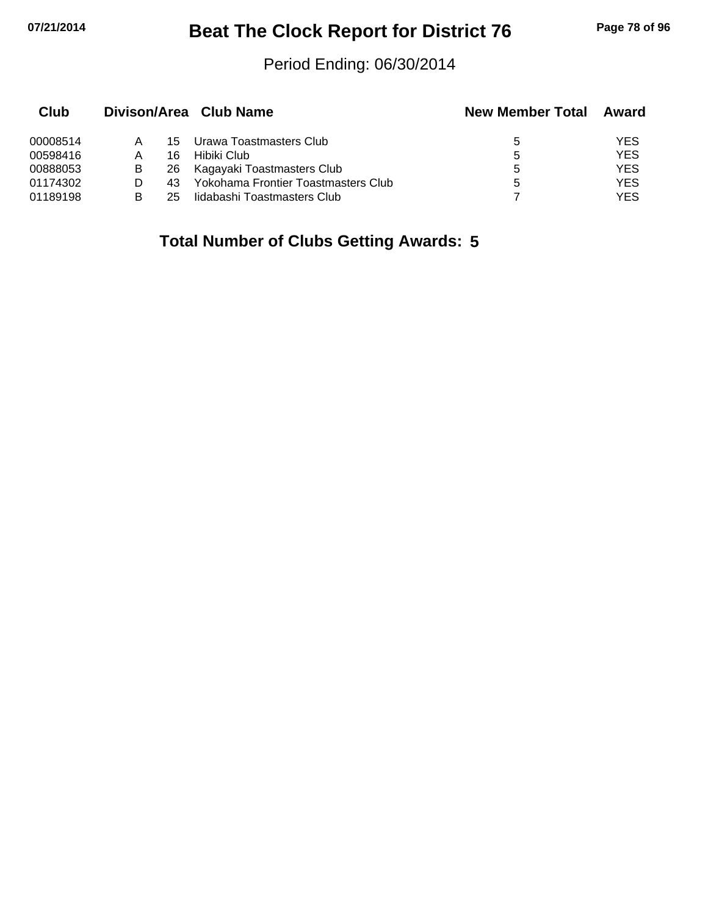# **07/21/2014 Beat The Clock Report for District 76 Page 78 of 96**

#### Period Ending: 06/30/2014

| Club     |   |     | Divison/Area Club Name              | <b>New Member Total</b> | Award      |
|----------|---|-----|-------------------------------------|-------------------------|------------|
| 00008514 |   | 15  | Urawa Toastmasters Club             | 5                       | YES.       |
| 00598416 |   | 16  | Hibiki Club                         | 5                       | YES        |
| 00888053 | в |     | 26 Kagayaki Toastmasters Club       | 5                       | YES.       |
| 01174302 |   | 43. | Yokohama Frontier Toastmasters Club | 5                       | YES.       |
| 01189198 |   | 25  | lidabashi Toastmasters Club         |                         | <b>YES</b> |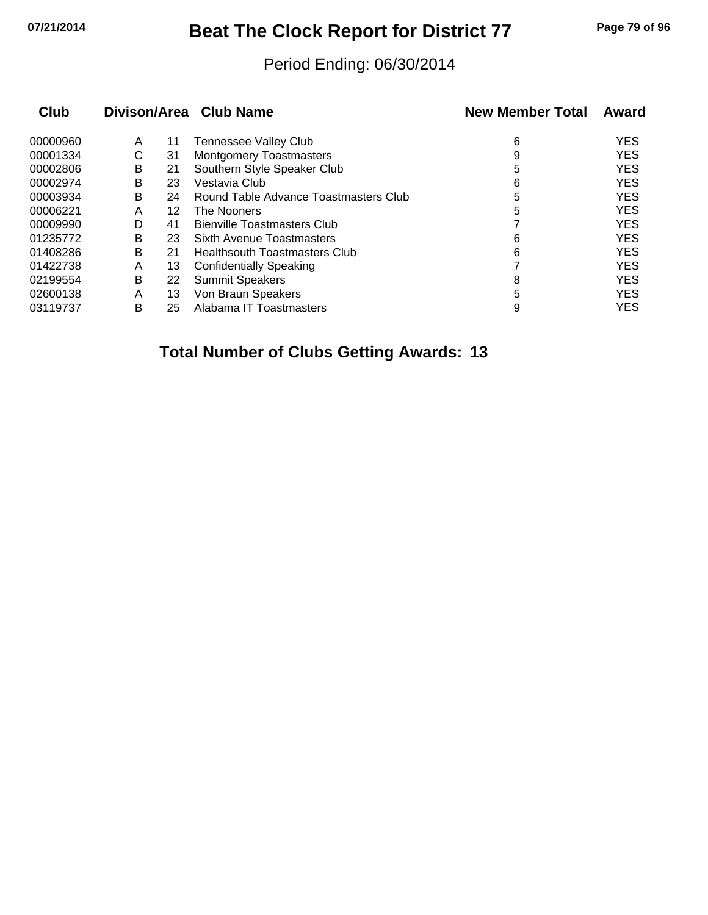# **07/21/2014 Beat The Clock Report for District 77 Page 79 of 96**

#### Period Ending: 06/30/2014

| <b>Club</b> |   |    | Divison/Area Club Name                | <b>New Member Total</b> | Award      |
|-------------|---|----|---------------------------------------|-------------------------|------------|
| 00000960    | A | 11 | <b>Tennessee Valley Club</b>          | 6                       | <b>YES</b> |
| 00001334    | С | 31 | <b>Montgomery Toastmasters</b>        | 9                       | <b>YES</b> |
| 00002806    | В | 21 | Southern Style Speaker Club           | 5                       | <b>YES</b> |
| 00002974    | B | 23 | Vestavia Club                         | 6                       | <b>YES</b> |
| 00003934    | В | 24 | Round Table Advance Toastmasters Club | 5                       | <b>YES</b> |
| 00006221    | A | 12 | The Nooners                           | 5                       | <b>YES</b> |
| 00009990    | D | 41 | <b>Bienville Toastmasters Club</b>    |                         | <b>YES</b> |
| 01235772    | B | 23 | Sixth Avenue Toastmasters             | 6                       | <b>YES</b> |
| 01408286    | B | 21 | Healthsouth Toastmasters Club         | 6                       | <b>YES</b> |
| 01422738    | A | 13 | <b>Confidentially Speaking</b>        |                         | <b>YES</b> |
| 02199554    | B | 22 | <b>Summit Speakers</b>                | 8                       | <b>YES</b> |
| 02600138    | A | 13 | Von Braun Speakers                    | 5                       | <b>YES</b> |
| 03119737    | B | 25 | Alabama IT Toastmasters               | 9                       | <b>YES</b> |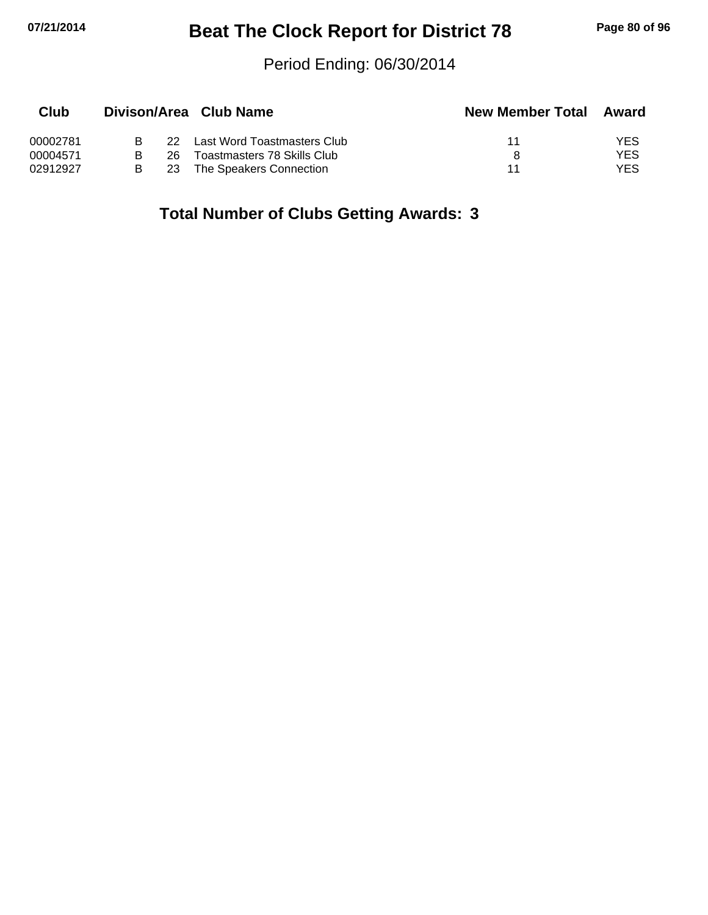## **07/21/2014 Beat The Clock Report for District 78 Page 80 of 96**

#### Period Ending: 06/30/2014

| Club     |     | Divison/Area Club Name      | <b>New Member Total</b> | Award |
|----------|-----|-----------------------------|-------------------------|-------|
| 00002781 | 22. | Last Word Toastmasters Club | 11                      | YES   |
| 00004571 | 26. | Toastmasters 78 Skills Club |                         | YES   |
| 02912927 | 23  | The Speakers Connection     | 11                      | YES.  |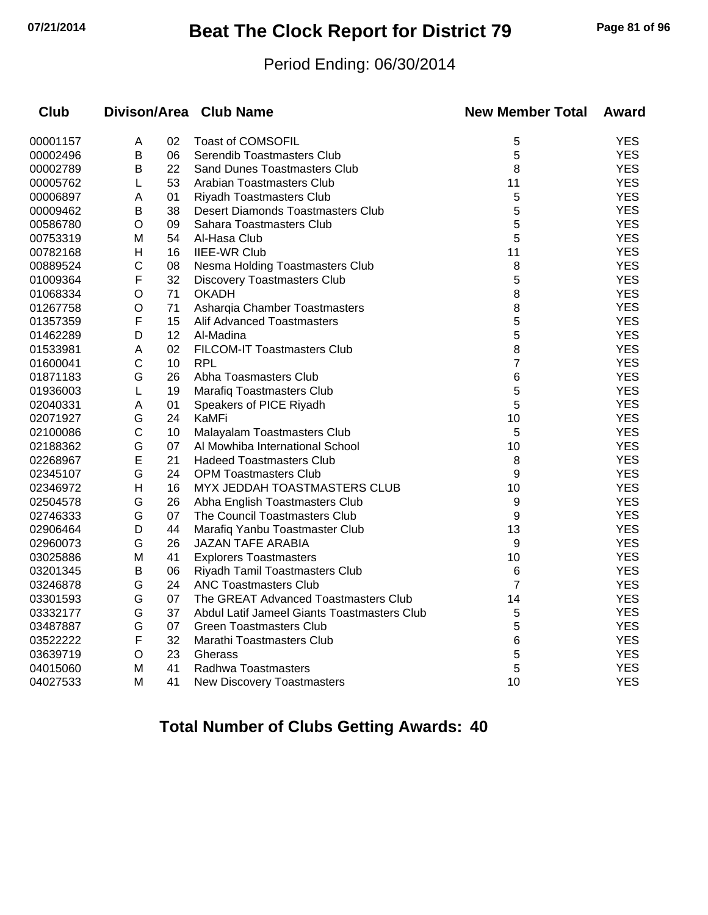## **07/21/2014 Beat The Clock Report for District 79 Page 81 of 96**

#### Period Ending: 06/30/2014

| Club     |              |    | Divison/Area Club Name                      | <b>New Member Total</b> | <b>Award</b> |
|----------|--------------|----|---------------------------------------------|-------------------------|--------------|
| 00001157 | A            | 02 | <b>Toast of COMSOFIL</b>                    | 5                       | <b>YES</b>   |
| 00002496 | B            | 06 | Serendib Toastmasters Club                  | 5                       | <b>YES</b>   |
| 00002789 | Β            | 22 | <b>Sand Dunes Toastmasters Club</b>         | 8                       | <b>YES</b>   |
| 00005762 | L            | 53 | Arabian Toastmasters Club                   | 11                      | <b>YES</b>   |
| 00006897 | A            | 01 | <b>Riyadh Toastmasters Club</b>             | 5                       | <b>YES</b>   |
| 00009462 | Β            | 38 | <b>Desert Diamonds Toastmasters Club</b>    | 5                       | <b>YES</b>   |
| 00586780 | O            | 09 | Sahara Toastmasters Club                    | 5                       | <b>YES</b>   |
| 00753319 | M            | 54 | Al-Hasa Club                                | 5                       | <b>YES</b>   |
| 00782168 | Н            | 16 | <b>IIEE-WR Club</b>                         | 11                      | <b>YES</b>   |
| 00889524 | C            | 08 | Nesma Holding Toastmasters Club             | 8                       | <b>YES</b>   |
| 01009364 | F            | 32 | <b>Discovery Toastmasters Club</b>          | 5                       | <b>YES</b>   |
| 01068334 | O            | 71 | <b>OKADH</b>                                | 8                       | <b>YES</b>   |
| 01267758 | O            | 71 | Asharqia Chamber Toastmasters               | 8                       | <b>YES</b>   |
| 01357359 | F            | 15 | Alif Advanced Toastmasters                  | 5                       | <b>YES</b>   |
| 01462289 | D            | 12 | Al-Madina                                   | 5                       | <b>YES</b>   |
| 01533981 | Α            | 02 | FILCOM-IT Toastmasters Club                 | 8                       | <b>YES</b>   |
| 01600041 | C            | 10 | <b>RPL</b>                                  | $\overline{7}$          | <b>YES</b>   |
| 01871183 | G            | 26 | Abha Toasmasters Club                       | 6                       | <b>YES</b>   |
| 01936003 | L            | 19 | <b>Marafiq Toastmasters Club</b>            | 5                       | <b>YES</b>   |
| 02040331 | Α            | 01 | Speakers of PICE Riyadh                     | 5                       | <b>YES</b>   |
| 02071927 | G            | 24 | KaMFi                                       | 10                      | <b>YES</b>   |
| 02100086 | $\mathsf{C}$ | 10 | Malayalam Toastmasters Club                 | 5                       | <b>YES</b>   |
| 02188362 | G            | 07 | Al Mowhiba International School             | 10                      | <b>YES</b>   |
| 02268967 | E            | 21 | <b>Hadeed Toastmasters Club</b>             | 8                       | <b>YES</b>   |
| 02345107 | G            | 24 | <b>OPM Toastmasters Club</b>                | 9                       | <b>YES</b>   |
| 02346972 | H            | 16 | MYX JEDDAH TOASTMASTERS CLUB                | 10                      | <b>YES</b>   |
| 02504578 | G            | 26 | Abha English Toastmasters Club              | 9                       | <b>YES</b>   |
| 02746333 | G            | 07 | The Council Toastmasters Club               | 9                       | <b>YES</b>   |
| 02906464 | D            | 44 | Marafiq Yanbu Toastmaster Club              | 13                      | <b>YES</b>   |
| 02960073 | G            | 26 | <b>JAZAN TAFE ARABIA</b>                    | 9                       | <b>YES</b>   |
| 03025886 | M            | 41 | <b>Explorers Toastmasters</b>               | 10                      | <b>YES</b>   |
| 03201345 | В            | 06 | Riyadh Tamil Toastmasters Club              | 6                       | <b>YES</b>   |
| 03246878 | G            | 24 | <b>ANC Toastmasters Club</b>                | 7                       | <b>YES</b>   |
| 03301593 | G            | 07 | The GREAT Advanced Toastmasters Club        | 14                      | <b>YES</b>   |
| 03332177 | G            | 37 | Abdul Latif Jameel Giants Toastmasters Club | 5                       | <b>YES</b>   |
| 03487887 | G            | 07 | <b>Green Toastmasters Club</b>              | 5                       | <b>YES</b>   |
| 03522222 | F            | 32 | Marathi Toastmasters Club                   | 6                       | <b>YES</b>   |
| 03639719 | $\circ$      | 23 | Gherass                                     | 5                       | <b>YES</b>   |
| 04015060 | M            | 41 | Radhwa Toastmasters                         | 5                       | <b>YES</b>   |
| 04027533 | M            | 41 | New Discovery Toastmasters                  | 10                      | <b>YES</b>   |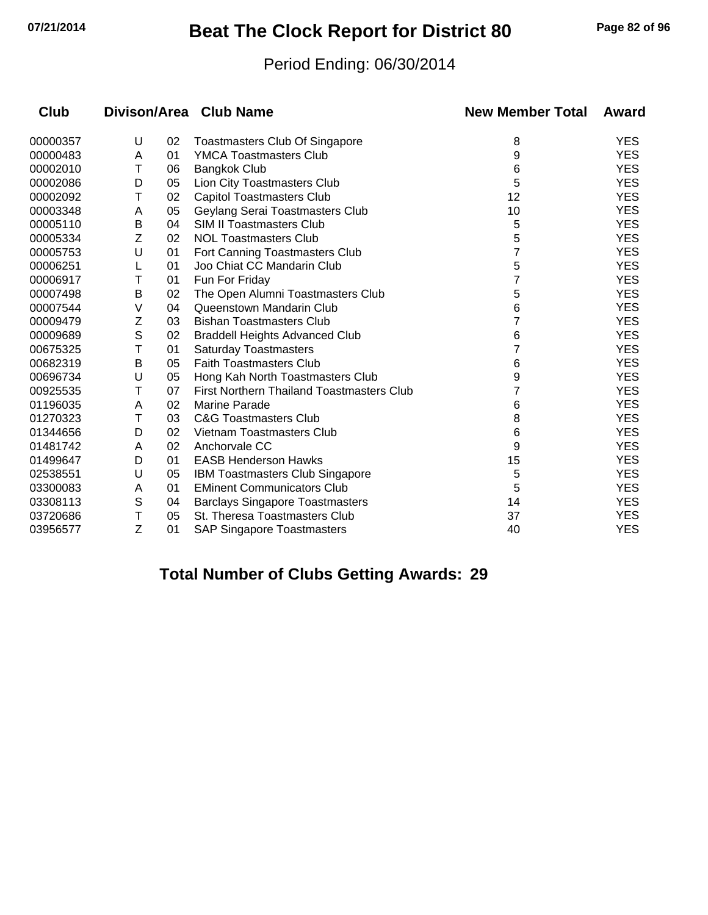## **07/21/2014 Beat The Clock Report for District 80 Page 82 of 96**

#### Period Ending: 06/30/2014

| <b>Club</b> |   |    | Divison/Area Club Name                    | <b>New Member Total</b> | Award      |
|-------------|---|----|-------------------------------------------|-------------------------|------------|
| 00000357    | U | 02 | <b>Toastmasters Club Of Singapore</b>     | 8                       | <b>YES</b> |
| 00000483    | Α | 01 | <b>YMCA Toastmasters Club</b>             | 9                       | <b>YES</b> |
| 00002010    | Т | 06 | <b>Bangkok Club</b>                       | 6                       | <b>YES</b> |
| 00002086    | D | 05 | Lion City Toastmasters Club               | 5                       | <b>YES</b> |
| 00002092    | Τ | 02 | <b>Capitol Toastmasters Club</b>          | 12                      | <b>YES</b> |
| 00003348    | A | 05 | Geylang Serai Toastmasters Club           | 10                      | <b>YES</b> |
| 00005110    | B | 04 | <b>SIM II Toastmasters Club</b>           | 5                       | <b>YES</b> |
| 00005334    | Z | 02 | <b>NOL Toastmasters Club</b>              | 5                       | <b>YES</b> |
| 00005753    | U | 01 | Fort Canning Toastmasters Club            | 7                       | <b>YES</b> |
| 00006251    |   | 01 | Joo Chiat CC Mandarin Club                | 5                       | <b>YES</b> |
| 00006917    | Т | 01 | Fun For Friday                            |                         | <b>YES</b> |
| 00007498    | B | 02 | The Open Alumni Toastmasters Club         | 5                       | <b>YES</b> |
| 00007544    | V | 04 | Queenstown Mandarin Club                  | 6                       | <b>YES</b> |
| 00009479    | Z | 03 | <b>Bishan Toastmasters Club</b>           |                         | <b>YES</b> |
| 00009689    | S | 02 | <b>Braddell Heights Advanced Club</b>     | 6                       | <b>YES</b> |
| 00675325    | Т | 01 | <b>Saturday Toastmasters</b>              | 7                       | <b>YES</b> |
| 00682319    | B | 05 | <b>Faith Toastmasters Club</b>            | 6                       | <b>YES</b> |
| 00696734    | U | 05 | Hong Kah North Toastmasters Club          | 9                       | <b>YES</b> |
| 00925535    | Т | 07 | First Northern Thailand Toastmasters Club |                         | <b>YES</b> |
| 01196035    | A | 02 | <b>Marine Parade</b>                      | 6                       | <b>YES</b> |
| 01270323    | T | 03 | <b>C&amp;G Toastmasters Club</b>          | 8                       | <b>YES</b> |
| 01344656    | D | 02 | Vietnam Toastmasters Club                 | 6                       | <b>YES</b> |
| 01481742    | A | 02 | Anchorvale CC                             | 9                       | <b>YES</b> |
| 01499647    | D | 01 | <b>EASB Henderson Hawks</b>               | 15                      | <b>YES</b> |
| 02538551    | U | 05 | <b>IBM Toastmasters Club Singapore</b>    | 5                       | <b>YES</b> |
| 03300083    | Α | 01 | <b>EMinent Communicators Club</b>         | 5                       | <b>YES</b> |
| 03308113    | S | 04 | <b>Barclays Singapore Toastmasters</b>    | 14                      | <b>YES</b> |
| 03720686    | Т | 05 | St. Theresa Toastmasters Club             | 37                      | <b>YES</b> |
| 03956577    | Z | 01 | <b>SAP Singapore Toastmasters</b>         | 40                      | <b>YES</b> |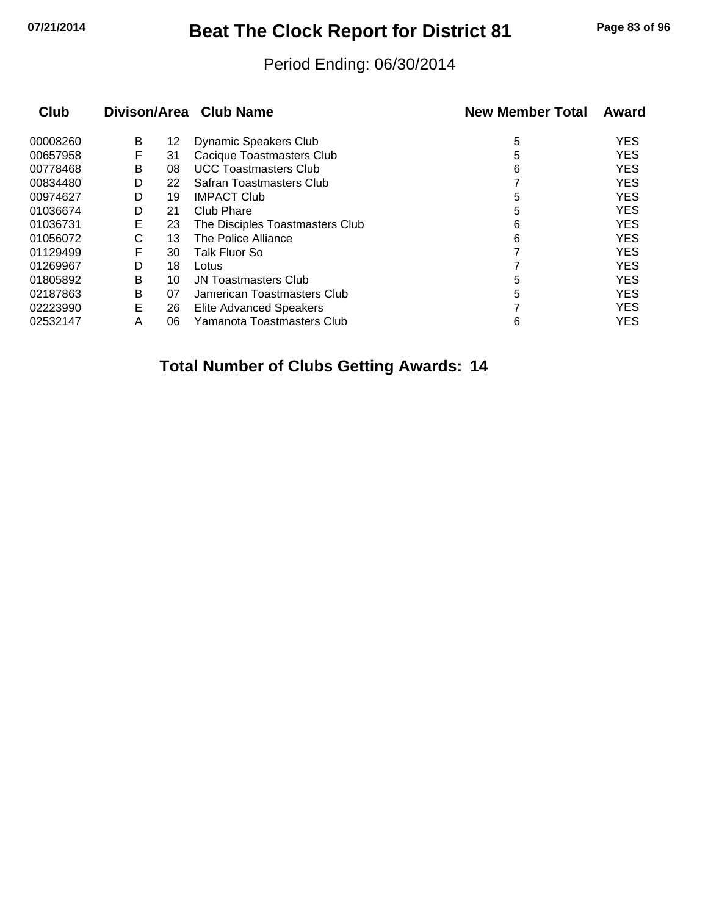# **07/21/2014 Beat The Clock Report for District 81 Page 83 of 96**

#### Period Ending: 06/30/2014

| Club     |   |    | Divison/Area Club Name          | <b>New Member Total</b> | Award      |
|----------|---|----|---------------------------------|-------------------------|------------|
| 00008260 | B | 12 | Dynamic Speakers Club           | 5                       | <b>YES</b> |
| 00657958 | F | 31 | Cacique Toastmasters Club       | 5                       | <b>YES</b> |
| 00778468 | B | 08 | <b>UCC Toastmasters Club</b>    | 6                       | <b>YES</b> |
| 00834480 | D | 22 | Safran Toastmasters Club        |                         | <b>YES</b> |
| 00974627 | D | 19 | <b>IMPACT Club</b>              | 5                       | <b>YES</b> |
| 01036674 | D | 21 | Club Phare                      | 5                       | <b>YES</b> |
| 01036731 | Е | 23 | The Disciples Toastmasters Club | 6                       | <b>YES</b> |
| 01056072 | С | 13 | The Police Alliance             | 6                       | <b>YES</b> |
| 01129499 | F | 30 | Talk Fluor So                   |                         | <b>YES</b> |
| 01269967 | D | 18 | Lotus                           |                         | <b>YES</b> |
| 01805892 | B | 10 | <b>JN Toastmasters Club</b>     | 5                       | <b>YES</b> |
| 02187863 | В | 07 | Jamerican Toastmasters Club     | 5                       | <b>YES</b> |
| 02223990 | Е | 26 | <b>Elite Advanced Speakers</b>  |                         | <b>YES</b> |
| 02532147 | Α | 06 | Yamanota Toastmasters Club      | 6                       | <b>YES</b> |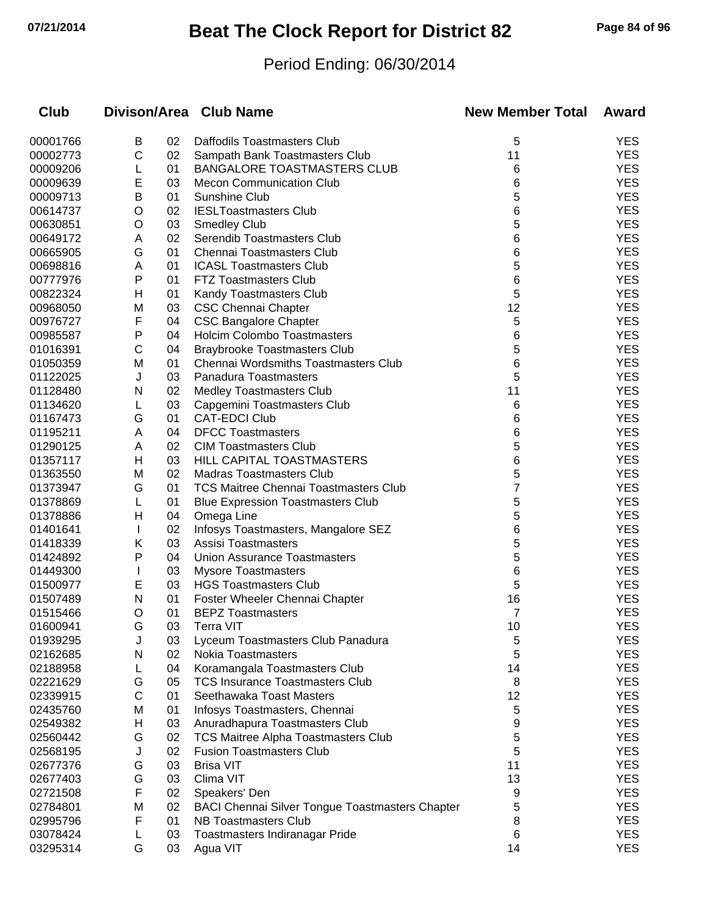# **07/21/2014 Beat The Clock Report for District 82 Page 84 of 96**

### Period Ending: 06/30/2014

| Club     |              |    | Divison/Area Club Name                                 | <b>New Member Total</b> | Award      |
|----------|--------------|----|--------------------------------------------------------|-------------------------|------------|
| 00001766 | Β            | 02 | Daffodils Toastmasters Club                            | 5                       | <b>YES</b> |
| 00002773 | С            | 02 | Sampath Bank Toastmasters Club                         | 11                      | <b>YES</b> |
| 00009206 | L            | 01 | BANGALORE TOASTMASTERS CLUB                            | 6                       | <b>YES</b> |
| 00009639 | E            | 03 | <b>Mecon Communication Club</b>                        | 6                       | <b>YES</b> |
| 00009713 | В            | 01 | Sunshine Club                                          | 5                       | <b>YES</b> |
| 00614737 | O            | 02 | <b>IESLToastmasters Club</b>                           | 6                       | <b>YES</b> |
| 00630851 | O            | 03 | Smedley Club                                           | 5                       | <b>YES</b> |
| 00649172 | A            | 02 | Serendib Toastmasters Club                             | 6                       | <b>YES</b> |
| 00665905 | G            | 01 | <b>Chennai Toastmasters Club</b>                       | 6                       | <b>YES</b> |
| 00698816 | Α            | 01 | <b>ICASL Toastmasters Club</b>                         | 5                       | <b>YES</b> |
| 00777976 | Ρ            | 01 | <b>FTZ Toastmasters Club</b>                           | 6                       | <b>YES</b> |
| 00822324 | Н            | 01 | Kandy Toastmasters Club                                | 5                       | <b>YES</b> |
| 00968050 | M            | 03 | <b>CSC Chennai Chapter</b>                             | 12                      | <b>YES</b> |
| 00976727 | F            | 04 | <b>CSC Bangalore Chapter</b>                           | 5                       | <b>YES</b> |
| 00985587 | P            | 04 | <b>Holcim Colombo Toastmasters</b>                     | 6                       | <b>YES</b> |
| 01016391 | C            | 04 | <b>Braybrooke Toastmasters Club</b>                    | 5                       | <b>YES</b> |
| 01050359 | M            | 01 | Chennai Wordsmiths Toastmasters Club                   | 6                       | <b>YES</b> |
| 01122025 | J            | 03 | Panadura Toastmasters                                  | 5                       | <b>YES</b> |
| 01128480 | N            | 02 | <b>Medley Toastmasters Club</b>                        | 11                      | <b>YES</b> |
| 01134620 | L            | 03 | Capgemini Toastmasters Club                            | 6                       | <b>YES</b> |
| 01167473 | G            | 01 | <b>CAT-EDCI Club</b>                                   | 6                       | <b>YES</b> |
| 01195211 | Α            | 04 | <b>DFCC Toastmasters</b>                               | 6                       | <b>YES</b> |
| 01290125 | Α            | 02 | <b>CIM Toastmasters Club</b>                           | 5                       | <b>YES</b> |
| 01357117 | Н            | 03 | HILL CAPITAL TOASTMASTERS                              | 6                       | <b>YES</b> |
| 01363550 | M            | 02 | <b>Madras Toastmasters Club</b>                        | 5                       | <b>YES</b> |
| 01373947 | G            | 01 | <b>TCS Maitree Chennai Toastmasters Club</b>           | 7                       | <b>YES</b> |
| 01378869 | L            | 01 | <b>Blue Expression Toastmasters Club</b>               | 5                       | <b>YES</b> |
| 01378886 | H            | 04 | Omega Line                                             | 5                       | <b>YES</b> |
| 01401641 | $\mathbf{I}$ | 02 | Infosys Toastmasters, Mangalore SEZ                    | 6                       | <b>YES</b> |
| 01418339 | Κ            | 03 | Assisi Toastmasters                                    | 5                       | <b>YES</b> |
| 01424892 | P            | 04 | Union Assurance Toastmasters                           | 5                       | <b>YES</b> |
| 01449300 | $\mathbf{I}$ | 03 | <b>Mysore Toastmasters</b>                             | 6                       | <b>YES</b> |
| 01500977 | Е            | 03 | <b>HGS Toastmasters Club</b>                           | 5                       | <b>YES</b> |
| 01507489 | N            | 01 | Foster Wheeler Chennai Chapter                         | 16                      | <b>YES</b> |
| 01515466 | O            | 01 | <b>BEPZ Toastmasters</b>                               | 7                       | <b>YES</b> |
| 01600941 | G            | 03 | Terra VIT                                              | 10                      | YES        |
| 01939295 | J            | 03 | Lyceum Toastmasters Club Panadura                      | 5                       | <b>YES</b> |
| 02162685 | N            | 02 | <b>Nokia Toastmasters</b>                              | 5                       | <b>YES</b> |
| 02188958 | L            | 04 | Koramangala Toastmasters Club                          | 14                      | <b>YES</b> |
| 02221629 | G            | 05 | <b>TCS Insurance Toastmasters Club</b>                 | 8                       | <b>YES</b> |
| 02339915 | C            | 01 | Seethawaka Toast Masters                               | 12                      | <b>YES</b> |
| 02435760 | M            | 01 | Infosys Toastmasters, Chennai                          | 5                       | <b>YES</b> |
| 02549382 | H            | 03 | Anuradhapura Toastmasters Club                         | 9                       | <b>YES</b> |
| 02560442 | G            | 02 | <b>TCS Maitree Alpha Toastmasters Club</b>             | 5                       | <b>YES</b> |
| 02568195 | J            | 02 | <b>Fusion Toastmasters Club</b>                        | 5                       | <b>YES</b> |
| 02677376 | G            | 03 | <b>Brisa VIT</b>                                       | 11                      | <b>YES</b> |
| 02677403 | G            | 03 | Clima VIT                                              | 13                      | <b>YES</b> |
| 02721508 | F            | 02 | Speakers' Den                                          | 9                       | <b>YES</b> |
| 02784801 | M            | 02 | <b>BACI Chennai Silver Tongue Toastmasters Chapter</b> | 5                       | <b>YES</b> |
| 02995796 | F            | 01 | <b>NB Toastmasters Club</b>                            | 8                       | <b>YES</b> |
| 03078424 |              | 03 | Toastmasters Indiranagar Pride                         | 6                       | <b>YES</b> |
| 03295314 | G            | 03 | Agua VIT                                               | 14                      | <b>YES</b> |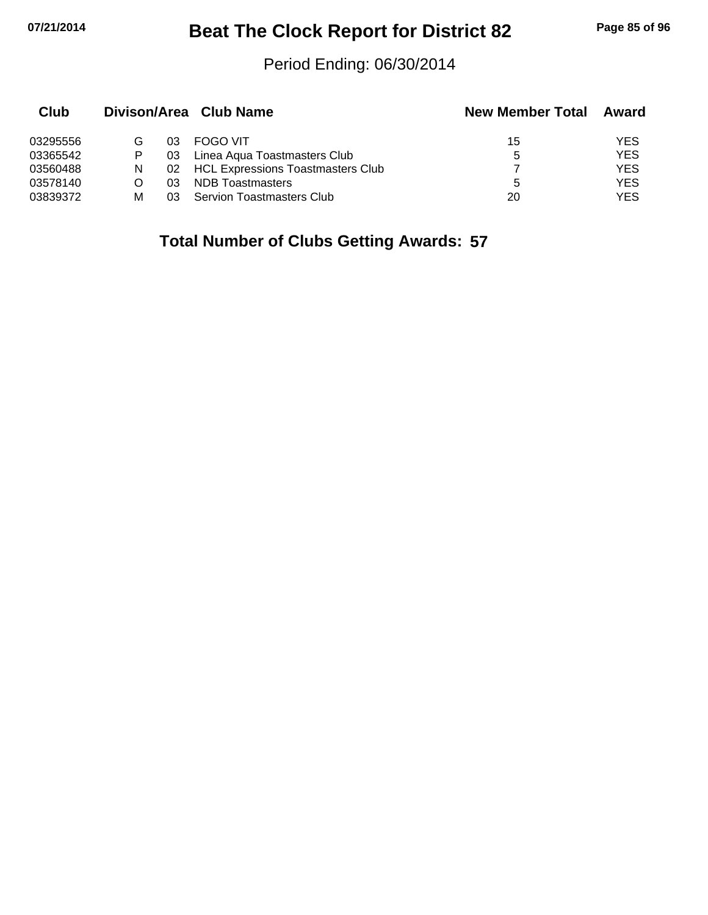# **07/21/2014 Beat The Clock Report for District 82 Page 85 of 96**

#### Period Ending: 06/30/2014

| Club     |   |    | Divison/Area Club Name               | <b>New Member Total</b> | Award      |
|----------|---|----|--------------------------------------|-------------------------|------------|
| 03295556 | G | 03 | <b>FOGO VIT</b>                      | 15                      | YES.       |
| 03365542 | Р | 03 | Linea Aqua Toastmasters Club         | 5                       | <b>YES</b> |
| 03560488 | N |    | 02 HCL Expressions Toastmasters Club |                         | YES.       |
| 03578140 |   | 03 | <b>NDB</b> Toastmasters              | 5                       | <b>YES</b> |
| 03839372 | М | 03 | Servion Toastmasters Club            | 20                      | <b>YES</b> |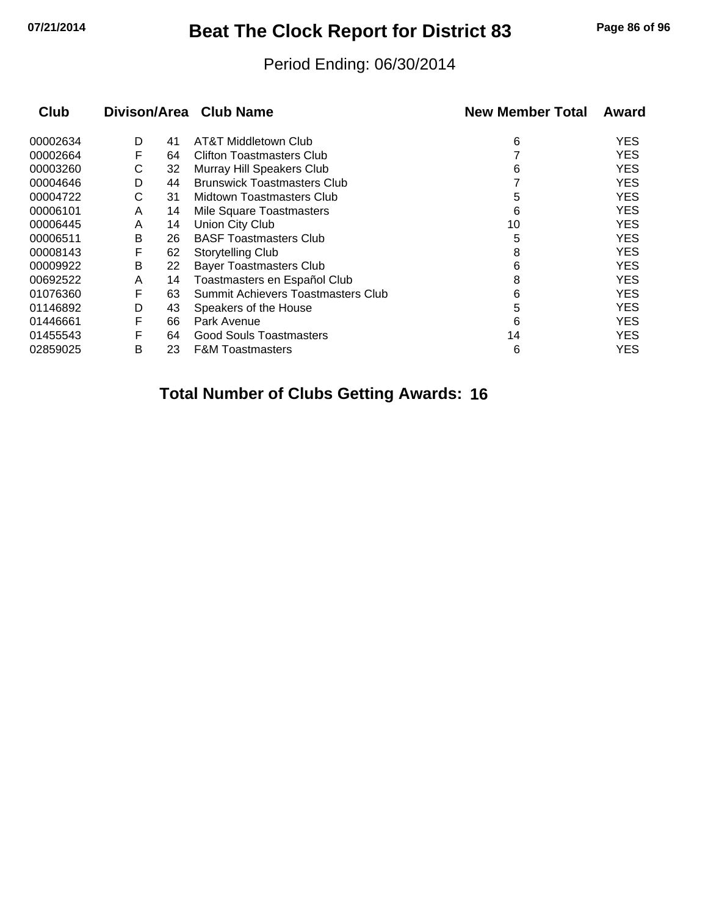# **07/21/2014 Beat The Clock Report for District 83 Page 86 of 96**

#### Period Ending: 06/30/2014

| Club     | Divison/Area Club Name |    |                                    | <b>New Member Total</b> | Award      |  |
|----------|------------------------|----|------------------------------------|-------------------------|------------|--|
| 00002634 | D                      | 41 | AT&T Middletown Club               | 6                       | YES        |  |
| 00002664 | F                      | 64 | <b>Clifton Toastmasters Club</b>   |                         | <b>YES</b> |  |
| 00003260 | С                      | 32 | Murray Hill Speakers Club          | 6                       | <b>YES</b> |  |
| 00004646 | D                      | 44 | <b>Brunswick Toastmasters Club</b> |                         | <b>YES</b> |  |
| 00004722 | С                      | 31 | Midtown Toastmasters Club          | 5                       | <b>YES</b> |  |
| 00006101 | A                      | 14 | Mile Square Toastmasters           | 6                       | <b>YES</b> |  |
| 00006445 | A                      | 14 | Union City Club                    | 10                      | YES        |  |
| 00006511 | В                      | 26 | <b>BASF Toastmasters Club</b>      | 5                       | <b>YES</b> |  |
| 00008143 | F                      | 62 | <b>Storytelling Club</b>           | 8                       | YES        |  |
| 00009922 | В                      | 22 | <b>Bayer Toastmasters Club</b>     | 6                       | <b>YES</b> |  |
| 00692522 | A                      | 14 | Toastmasters en Español Club       | 8                       | <b>YES</b> |  |
| 01076360 | F                      | 63 | Summit Achievers Toastmasters Club | 6                       | <b>YES</b> |  |
| 01146892 | D                      | 43 | Speakers of the House              | 5                       | <b>YES</b> |  |
| 01446661 | F                      | 66 | Park Avenue                        | 6                       | <b>YES</b> |  |
| 01455543 | F                      | 64 | Good Souls Toastmasters            | 14                      | YES.       |  |
| 02859025 | В                      | 23 | <b>F&amp;M Toastmasters</b>        | 6                       | YES        |  |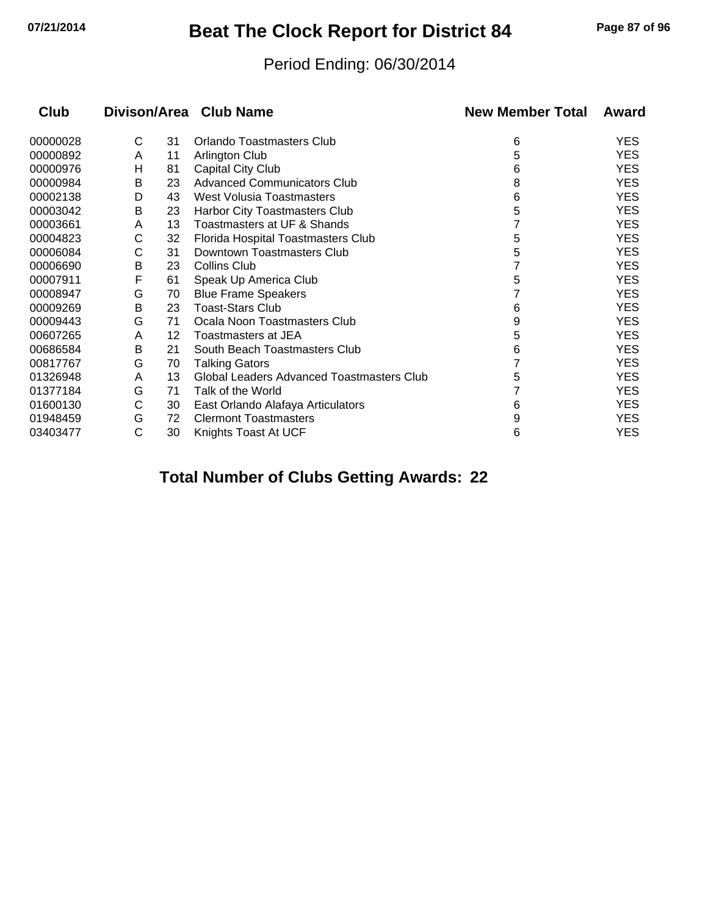# **07/21/2014 Beat The Clock Report for District 84 Page 87 of 96**

#### Period Ending: 06/30/2014

| <b>Club</b> |   |    | Divison/Area Club Name                    | <b>New Member Total</b> | Award      |
|-------------|---|----|-------------------------------------------|-------------------------|------------|
| 00000028    | С | 31 | <b>Orlando Toastmasters Club</b>          | 6                       | <b>YES</b> |
| 00000892    | A | 11 | <b>Arlington Club</b>                     | 5                       | <b>YES</b> |
| 00000976    | н | 81 | <b>Capital City Club</b>                  | 6                       | <b>YES</b> |
| 00000984    | B | 23 | <b>Advanced Communicators Club</b>        | 8                       | <b>YES</b> |
| 00002138    | D | 43 | West Volusia Toastmasters                 | 6                       | <b>YES</b> |
| 00003042    | B | 23 | <b>Harbor City Toastmasters Club</b>      | 5                       | <b>YES</b> |
| 00003661    | A | 13 | Toastmasters at UF & Shands               |                         | <b>YES</b> |
| 00004823    | С | 32 | Florida Hospital Toastmasters Club        | 5                       | <b>YES</b> |
| 00006084    | С | 31 | Downtown Toastmasters Club                | 5                       | <b>YES</b> |
| 00006690    | B | 23 | <b>Collins Club</b>                       |                         | <b>YES</b> |
| 00007911    | F | 61 | Speak Up America Club                     | 5                       | <b>YES</b> |
| 00008947    | G | 70 | <b>Blue Frame Speakers</b>                |                         | <b>YES</b> |
| 00009269    | B | 23 | <b>Toast-Stars Club</b>                   | 6                       | <b>YES</b> |
| 00009443    | G | 71 | Ocala Noon Toastmasters Club              | 9                       | <b>YES</b> |
| 00607265    | A | 12 | Toastmasters at JEA                       | 5                       | <b>YES</b> |
| 00686584    | В | 21 | South Beach Toastmasters Club             | 6                       | <b>YES</b> |
| 00817767    | G | 70 | <b>Talking Gators</b>                     |                         | <b>YES</b> |
| 01326948    | A | 13 | Global Leaders Advanced Toastmasters Club | 5                       | <b>YES</b> |
| 01377184    | G | 71 | Talk of the World                         |                         | <b>YES</b> |
| 01600130    | C | 30 | East Orlando Alafaya Articulators         | 6                       | <b>YES</b> |
| 01948459    | G | 72 | <b>Clermont Toastmasters</b>              | 9                       | <b>YES</b> |
| 03403477    | С | 30 | Knights Toast At UCF                      | 6                       | <b>YES</b> |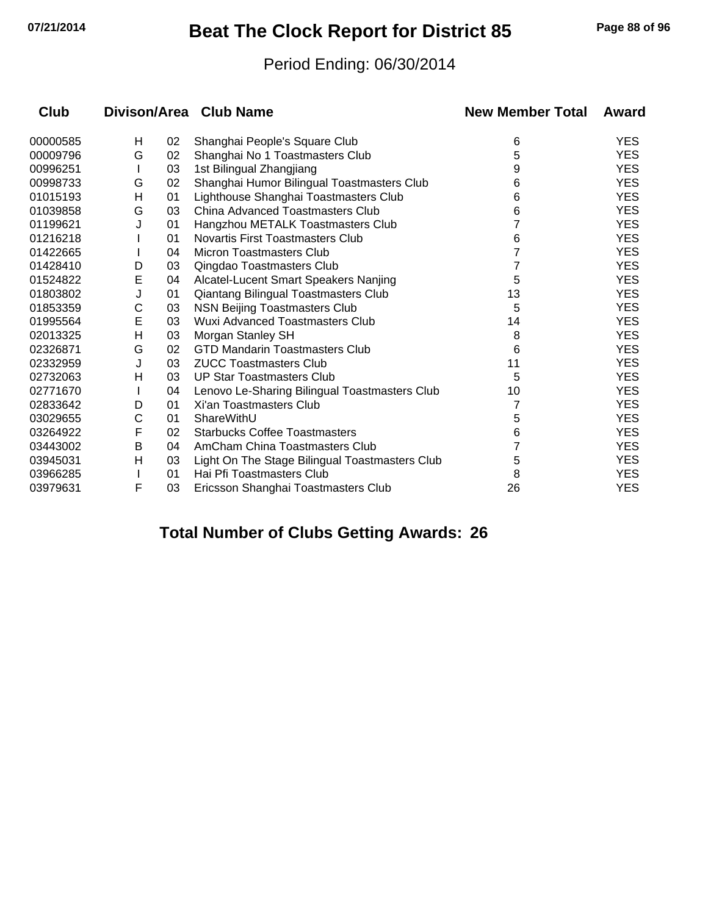## **07/21/2014 Beat The Clock Report for District 85 Page 88 of 96**

#### Period Ending: 06/30/2014

| Club     | Divison/Area Club Name |    |                                                | <b>New Member Total</b> | Award      |  |
|----------|------------------------|----|------------------------------------------------|-------------------------|------------|--|
| 00000585 | н                      | 02 | Shanghai People's Square Club                  | 6                       | <b>YES</b> |  |
| 00009796 | G                      | 02 | Shanghai No 1 Toastmasters Club                | 5                       | <b>YES</b> |  |
| 00996251 |                        | 03 | 1st Bilingual Zhangjiang                       | 9                       | <b>YES</b> |  |
| 00998733 | G                      | 02 | Shanghai Humor Bilingual Toastmasters Club     | 6                       | <b>YES</b> |  |
| 01015193 | Н                      | 01 | Lighthouse Shanghai Toastmasters Club          | 6                       | <b>YES</b> |  |
| 01039858 | G                      | 03 | China Advanced Toastmasters Club               | 6                       | <b>YES</b> |  |
| 01199621 | J                      | 01 | Hangzhou METALK Toastmasters Club              |                         | <b>YES</b> |  |
| 01216218 |                        | 01 | Novartis First Toastmasters Club               | 6                       | <b>YES</b> |  |
| 01422665 |                        | 04 | <b>Micron Toastmasters Club</b>                |                         | <b>YES</b> |  |
| 01428410 | D                      | 03 | Qingdao Toastmasters Club                      |                         | <b>YES</b> |  |
| 01524822 | E                      | 04 | Alcatel-Lucent Smart Speakers Nanjing          | 5                       | <b>YES</b> |  |
| 01803802 | J                      | 01 | Qiantang Bilingual Toastmasters Club           | 13                      | <b>YES</b> |  |
| 01853359 | С                      | 03 | <b>NSN Beijing Toastmasters Club</b>           | 5                       | <b>YES</b> |  |
| 01995564 | E                      | 03 | <b>Wuxi Advanced Toastmasters Club</b>         | 14                      | <b>YES</b> |  |
| 02013325 | Н                      | 03 | Morgan Stanley SH                              | 8                       | <b>YES</b> |  |
| 02326871 | G                      | 02 | <b>GTD Mandarin Toastmasters Club</b>          | 6                       | YES.       |  |
| 02332959 | J                      | 03 | <b>ZUCC Toastmasters Club</b>                  | 11                      | <b>YES</b> |  |
| 02732063 | Η                      | 03 | <b>UP Star Toastmasters Club</b>               | 5                       | <b>YES</b> |  |
| 02771670 |                        | 04 | Lenovo Le-Sharing Bilingual Toastmasters Club  | 10                      | <b>YES</b> |  |
| 02833642 | D                      | 01 | Xi'an Toastmasters Club                        |                         | <b>YES</b> |  |
| 03029655 | C                      | 01 | ShareWithU                                     | 5                       | <b>YES</b> |  |
| 03264922 | F                      | 02 | <b>Starbucks Coffee Toastmasters</b>           | 6                       | YES.       |  |
| 03443002 | B                      | 04 | AmCham China Toastmasters Club                 |                         | <b>YES</b> |  |
| 03945031 | Н                      | 03 | Light On The Stage Bilingual Toastmasters Club | 5                       | <b>YES</b> |  |
| 03966285 |                        | 01 | Hai Pfi Toastmasters Club                      | 8                       | <b>YES</b> |  |
| 03979631 | F                      | 03 | Ericsson Shanghai Toastmasters Club            | 26                      | <b>YES</b> |  |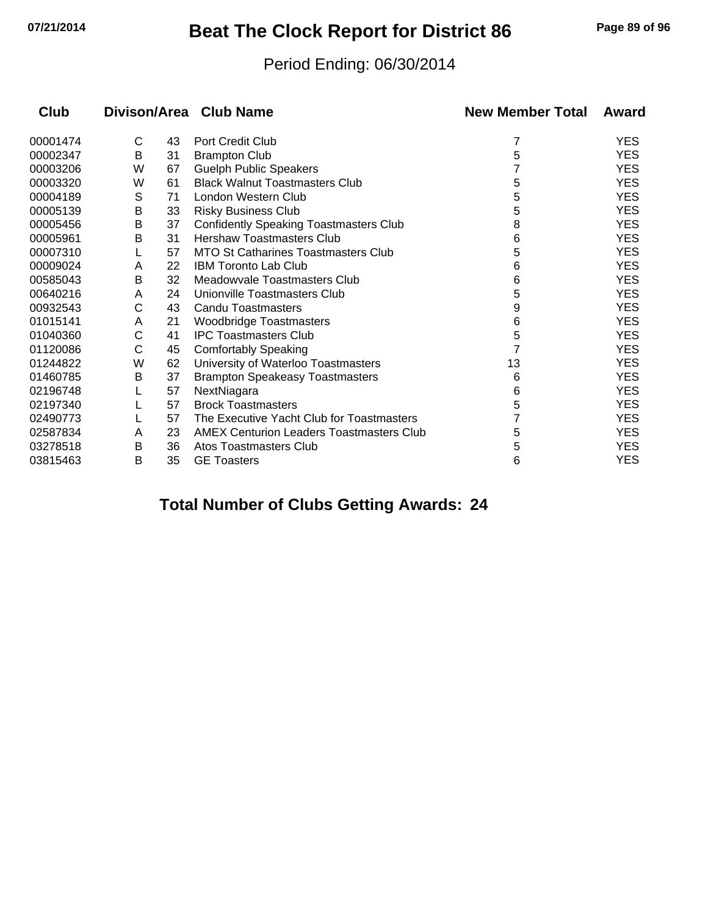## **07/21/2014 Beat The Clock Report for District 86 Page 89 of 96**

#### Period Ending: 06/30/2014

| Club     | Divison/Area Club Name |    |                                                 | <b>New Member Total</b> | Award      |  |
|----------|------------------------|----|-------------------------------------------------|-------------------------|------------|--|
| 00001474 | C                      | 43 | Port Credit Club                                | 7                       | <b>YES</b> |  |
| 00002347 | В                      | 31 | <b>Brampton Club</b>                            | 5                       | <b>YES</b> |  |
| 00003206 | W                      | 67 | <b>Guelph Public Speakers</b>                   |                         | <b>YES</b> |  |
| 00003320 | W                      | 61 | <b>Black Walnut Toastmasters Club</b>           | 5                       | <b>YES</b> |  |
| 00004189 | S                      | 71 | London Western Club                             | 5                       | <b>YES</b> |  |
| 00005139 | Β                      | 33 | <b>Risky Business Club</b>                      | 5                       | <b>YES</b> |  |
| 00005456 | В                      | 37 | <b>Confidently Speaking Toastmasters Club</b>   | 8                       | <b>YES</b> |  |
| 00005961 | B                      | 31 | <b>Hershaw Toastmasters Club</b>                | 6                       | <b>YES</b> |  |
| 00007310 |                        | 57 | <b>MTO St Catharines Toastmasters Club</b>      | 5                       | <b>YES</b> |  |
| 00009024 | A                      | 22 | <b>IBM Toronto Lab Club</b>                     | 6                       | <b>YES</b> |  |
| 00585043 | B                      | 32 | Meadowvale Toastmasters Club                    | 6                       | <b>YES</b> |  |
| 00640216 | A                      | 24 | Unionville Toastmasters Club                    | 5                       | <b>YES</b> |  |
| 00932543 | С                      | 43 | <b>Candu Toastmasters</b>                       | 9                       | <b>YES</b> |  |
| 01015141 | A                      | 21 | <b>Woodbridge Toastmasters</b>                  | 6                       | <b>YES</b> |  |
| 01040360 | C                      | 41 | <b>IPC Toastmasters Club</b>                    | 5                       | <b>YES</b> |  |
| 01120086 | С                      | 45 | <b>Comfortably Speaking</b>                     |                         | <b>YES</b> |  |
| 01244822 | W                      | 62 | University of Waterloo Toastmasters             | 13                      | <b>YES</b> |  |
| 01460785 | В                      | 37 | <b>Brampton Speakeasy Toastmasters</b>          | 6                       | <b>YES</b> |  |
| 02196748 |                        | 57 | NextNiagara                                     | 6                       | <b>YES</b> |  |
| 02197340 |                        | 57 | <b>Brock Toastmasters</b>                       | 5                       | <b>YES</b> |  |
| 02490773 |                        | 57 | The Executive Yacht Club for Toastmasters       |                         | <b>YES</b> |  |
| 02587834 | A                      | 23 | <b>AMEX Centurion Leaders Toastmasters Club</b> | 5                       | <b>YES</b> |  |
| 03278518 | B                      | 36 | Atos Toastmasters Club                          | 5                       | <b>YES</b> |  |
| 03815463 | B                      | 35 | <b>GE Toasters</b>                              | 6                       | <b>YES</b> |  |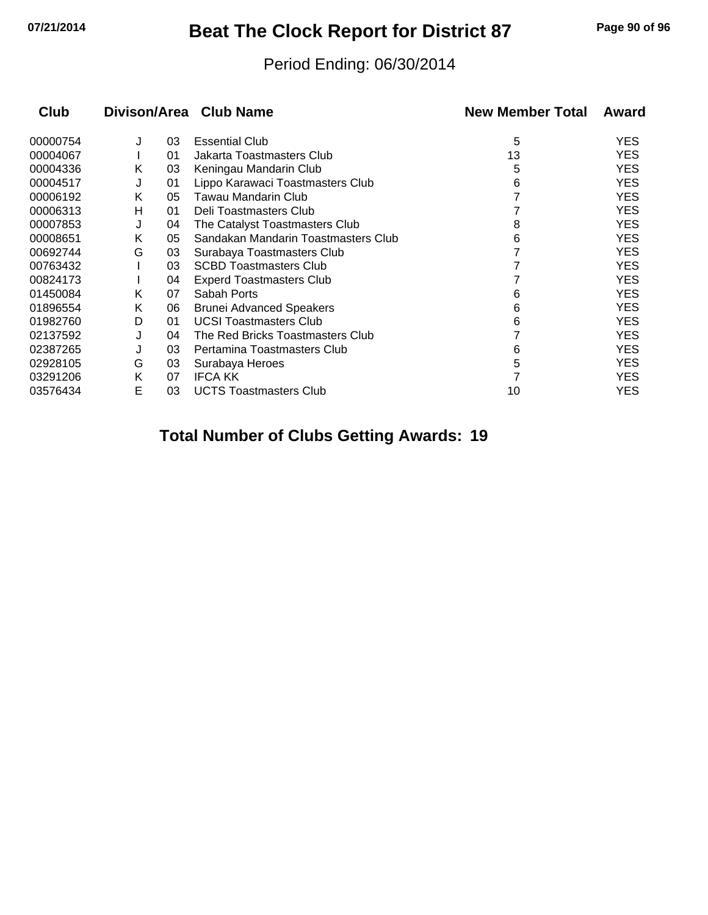## **07/21/2014 Beat The Clock Report for District 87 Page 90 of 96**

#### Period Ending: 06/30/2014

| Divison/Area Club Name<br><b>Club</b> |   |    |                                     | <b>New Member Total</b> | Award      |  |
|---------------------------------------|---|----|-------------------------------------|-------------------------|------------|--|
| 00000754                              | J | 03 | <b>Essential Club</b>               | 5                       | YES        |  |
| 00004067                              |   | 01 | Jakarta Toastmasters Club           | 13                      | YES        |  |
| 00004336                              | Κ | 03 | Keningau Mandarin Club              | 5                       | YES        |  |
| 00004517                              | J | 01 | Lippo Karawaci Toastmasters Club    | 6                       | YES        |  |
| 00006192                              | Κ | 05 | Tawau Mandarin Club                 |                         | YES        |  |
| 00006313                              | н | 01 | Deli Toastmasters Club              |                         | YES        |  |
| 00007853                              | J | 04 | The Catalyst Toastmasters Club      | 8                       | YES        |  |
| 00008651                              | Κ | 05 | Sandakan Mandarin Toastmasters Club | 6                       | <b>YES</b> |  |
| 00692744                              | G | 03 | Surabaya Toastmasters Club          |                         | YES        |  |
| 00763432                              |   | 03 | <b>SCBD Toastmasters Club</b>       |                         | YES        |  |
| 00824173                              |   | 04 | <b>Experd Toastmasters Club</b>     |                         | <b>YES</b> |  |
| 01450084                              | K | 07 | Sabah Ports                         | 6                       | YES        |  |
| 01896554                              | Κ | 06 | <b>Brunei Advanced Speakers</b>     | 6                       | YES        |  |
| 01982760                              | D | 01 | <b>UCSI Toastmasters Club</b>       | 6                       | <b>YES</b> |  |
| 02137592                              | J | 04 | The Red Bricks Toastmasters Club    |                         | YES        |  |
| 02387265                              | J | 03 | Pertamina Toastmasters Club         | 6                       | YES        |  |
| 02928105                              | G | 03 | Surabaya Heroes                     | 5                       | YES        |  |
| 03291206                              | K | 07 | <b>IFCA KK</b>                      |                         | YES        |  |
| 03576434                              | E | 03 | <b>UCTS Toastmasters Club</b>       | 10                      | YES        |  |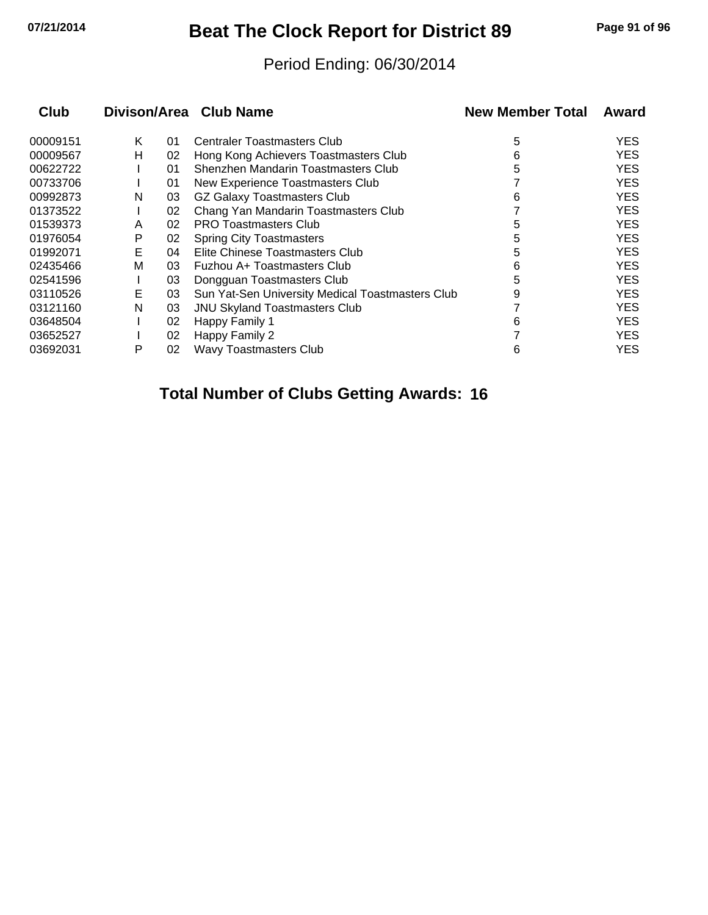# **07/21/2014 Beat The Clock Report for District 89 Page 91 of 96**

#### Period Ending: 06/30/2014

| Club     |   |    | Divison/Area Club Name                           | <b>New Member Total</b> | Award |
|----------|---|----|--------------------------------------------------|-------------------------|-------|
| 00009151 | K | 01 | <b>Centraler Toastmasters Club</b>               | 5                       | YES   |
| 00009567 | н | 02 | Hong Kong Achievers Toastmasters Club            | 6                       | YES   |
| 00622722 |   | 01 | Shenzhen Mandarin Toastmasters Club              | 5                       | YES   |
| 00733706 |   | 01 | New Experience Toastmasters Club                 |                         | YES   |
| 00992873 | N | 03 | <b>GZ Galaxy Toastmasters Club</b>               | 6                       | YES   |
| 01373522 |   | 02 | Chang Yan Mandarin Toastmasters Club             |                         | YES   |
| 01539373 | A | 02 | <b>PRO Toastmasters Club</b>                     | 5                       | YES   |
| 01976054 | P | 02 | <b>Spring City Toastmasters</b>                  | 5                       | YES   |
| 01992071 | Е | 04 | Elite Chinese Toastmasters Club                  | 5                       | YES   |
| 02435466 | M | 03 | Fuzhou A+ Toastmasters Club                      | 6                       | YES   |
| 02541596 |   | 03 | Dongguan Toastmasters Club                       | 5                       | YES   |
| 03110526 | Е | 03 | Sun Yat-Sen University Medical Toastmasters Club | 9                       | YES   |
| 03121160 | N | 03 | <b>JNU Skyland Toastmasters Club</b>             |                         | YES   |
| 03648504 |   | 02 | Happy Family 1                                   | 6                       | YES   |
| 03652527 |   | 02 | Happy Family 2                                   |                         | YES   |
| 03692031 | P | 02 | <b>Wavy Toastmasters Club</b>                    | 6                       | YES   |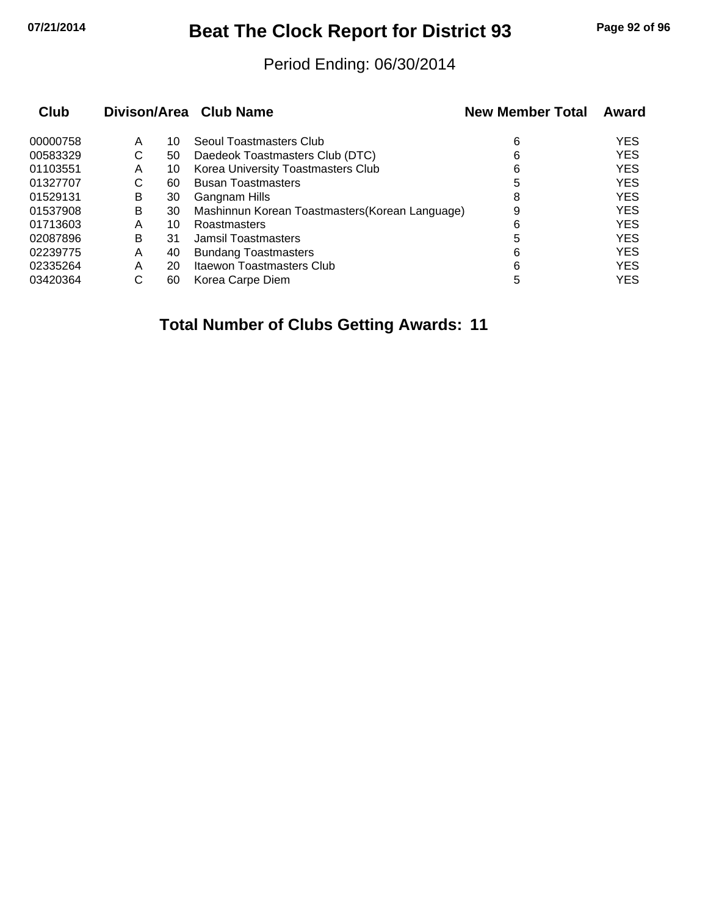## **07/21/2014 Beat The Clock Report for District 93 Page 92 of 96**

#### Period Ending: 06/30/2014

| Club     |   |    | Divison/Area Club Name                          | <b>New Member Total</b> | Award      |
|----------|---|----|-------------------------------------------------|-------------------------|------------|
| 00000758 | A | 10 | Seoul Toastmasters Club                         | 6                       | <b>YES</b> |
| 00583329 | С | 50 | Daedeok Toastmasters Club (DTC)                 | 6                       | <b>YES</b> |
| 01103551 | A | 10 | Korea University Toastmasters Club              | 6                       | <b>YES</b> |
| 01327707 | С | 60 | <b>Busan Toastmasters</b>                       | 5                       | <b>YES</b> |
| 01529131 | В | 30 | Gangnam Hills                                   | 8                       | <b>YES</b> |
| 01537908 | В | 30 | Mashinnun Korean Toastmasters (Korean Language) | 9                       | <b>YES</b> |
| 01713603 | Α | 10 | Roastmasters                                    | 6                       | <b>YES</b> |
| 02087896 | В | 31 | <b>Jamsil Toastmasters</b>                      | 5                       | <b>YES</b> |
| 02239775 | А | 40 | <b>Bundang Toastmasters</b>                     | 6                       | <b>YES</b> |
| 02335264 | Α | 20 | Itaewon Toastmasters Club                       | 6                       | <b>YES</b> |
| 03420364 | С | 60 | Korea Carpe Diem                                | 5                       | <b>YES</b> |
|          |   |    |                                                 |                         |            |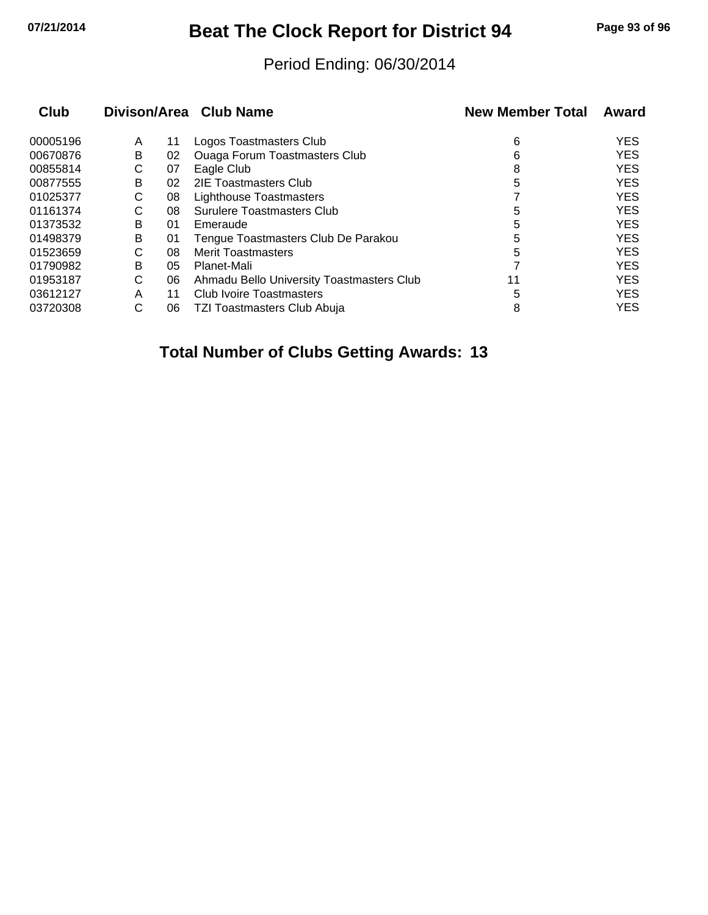## **07/21/2014 Beat The Clock Report for District 94 Page 93 of 96**

#### Period Ending: 06/30/2014

| Club     |   |    | Divison/Area Club Name                    | <b>New Member Total</b> | Award      |
|----------|---|----|-------------------------------------------|-------------------------|------------|
| 00005196 | A | 11 | Logos Toastmasters Club                   | 6                       | <b>YES</b> |
| 00670876 | В | 02 | <b>Ouaga Forum Toastmasters Club</b>      | 6                       | <b>YES</b> |
| 00855814 | С | 07 | Eagle Club                                | 8                       | <b>YES</b> |
| 00877555 | B | 02 | 2IE Toastmasters Club                     | 5                       | <b>YES</b> |
| 01025377 | С | 08 | <b>Lighthouse Toastmasters</b>            |                         | <b>YES</b> |
| 01161374 | С | 08 | Surulere Toastmasters Club                | 5                       | <b>YES</b> |
| 01373532 | B | 01 | Emeraude                                  | 5                       | <b>YES</b> |
| 01498379 | B | 01 | Tengue Toastmasters Club De Parakou       | 5                       | <b>YES</b> |
| 01523659 | С | 08 | <b>Merit Toastmasters</b>                 | 5                       | <b>YES</b> |
| 01790982 | B | 05 | Planet-Mali                               |                         | <b>YES</b> |
| 01953187 | C | 06 | Ahmadu Bello University Toastmasters Club | 11                      | <b>YES</b> |
| 03612127 | A | 11 | <b>Club Ivoire Toastmasters</b>           | 5                       | <b>YES</b> |
| 03720308 | С | 06 | TZI Toastmasters Club Abuja               | 8                       | <b>YES</b> |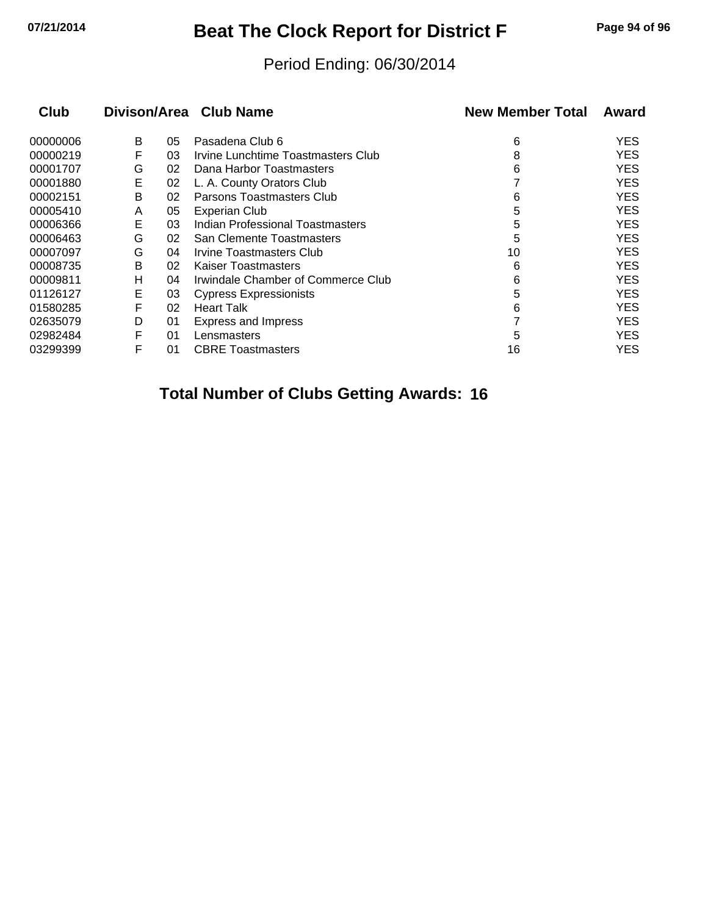## **07/21/2014 Beat The Clock Report for District F Page 94 of 96**

#### Period Ending: 06/30/2014

| Club     | Divison/Area Club Name |    |                                         | <b>New Member Total</b> | Award      |
|----------|------------------------|----|-----------------------------------------|-------------------------|------------|
| 00000006 | B                      | 05 | Pasadena Club 6                         | 6                       | <b>YES</b> |
| 00000219 | F                      | 03 | Irvine Lunchtime Toastmasters Club      | 8                       | YES        |
| 00001707 | G                      | 02 | Dana Harbor Toastmasters                | 6                       | <b>YES</b> |
| 00001880 | Е                      | 02 | L. A. County Orators Club               |                         | <b>YES</b> |
| 00002151 | B                      | 02 | Parsons Toastmasters Club               | 6                       | <b>YES</b> |
| 00005410 | A                      | 05 | <b>Experian Club</b>                    | 5                       | <b>YES</b> |
| 00006366 | Е                      | 03 | <b>Indian Professional Toastmasters</b> | 5                       | <b>YES</b> |
| 00006463 | G                      | 02 | San Clemente Toastmasters               | 5                       | <b>YES</b> |
| 00007097 | G                      | 04 | <b>Irvine Toastmasters Club</b>         | 10                      | <b>YES</b> |
| 00008735 | B                      | 02 | <b>Kaiser Toastmasters</b>              | 6                       | <b>YES</b> |
| 00009811 | н                      | 04 | Irwindale Chamber of Commerce Club      | 6                       | <b>YES</b> |
| 01126127 | Е                      | 03 | <b>Cypress Expressionists</b>           | 5                       | <b>YES</b> |
| 01580285 | F                      | 02 | <b>Heart Talk</b>                       | 6                       | <b>YES</b> |
| 02635079 | D                      | 01 | <b>Express and Impress</b>              |                         | <b>YES</b> |
| 02982484 | F                      | 01 | Lensmasters                             | 5                       | <b>YES</b> |
| 03299399 | F                      | 01 | <b>CBRE Toastmasters</b>                | 16                      | YES        |